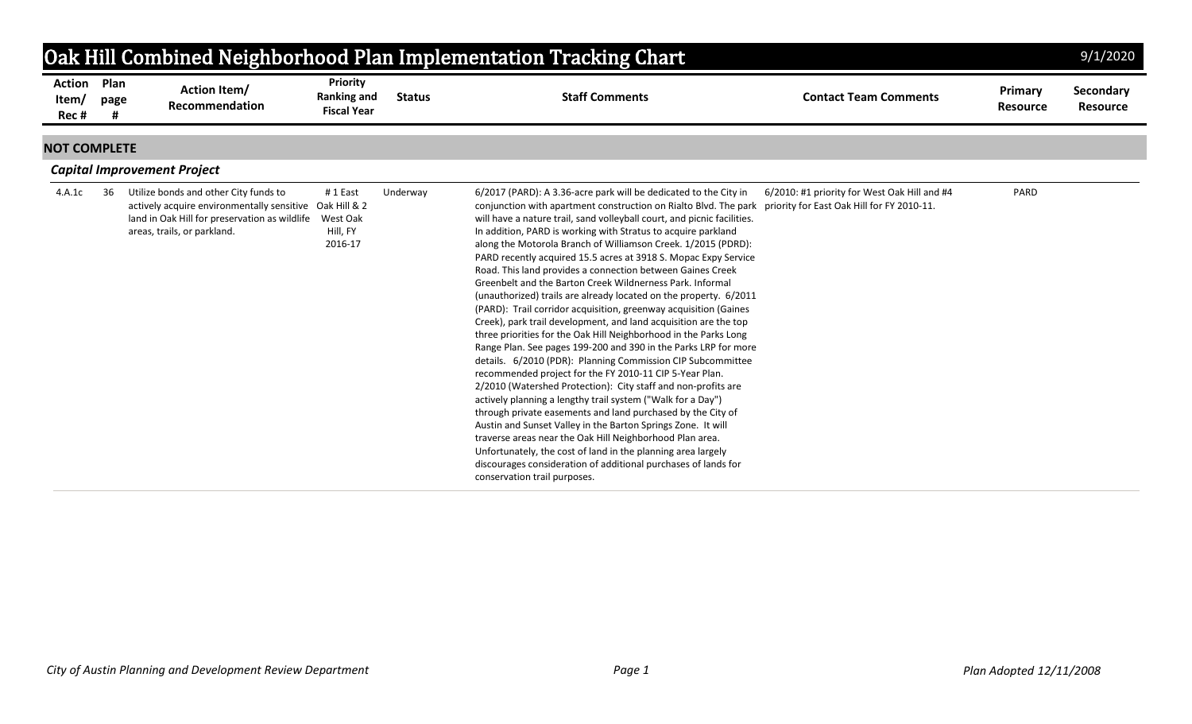| Oak Hill Combined Neighborhood Plan Implementation Tracking Chart<br>9/1/2020 |           |                                                                                                                                                                                  |                                               |               |                                                                                                                                                                                                                                                                                                                                                                                                                                                                                                                                                                                                                                                                                                                                                                                                                                                                                                                                                                                                                                                                                                                                                                                                                                                                                                                                                                                                                                                                                                                            |                                                                                            |                            |                              |  |  |
|-------------------------------------------------------------------------------|-----------|----------------------------------------------------------------------------------------------------------------------------------------------------------------------------------|-----------------------------------------------|---------------|----------------------------------------------------------------------------------------------------------------------------------------------------------------------------------------------------------------------------------------------------------------------------------------------------------------------------------------------------------------------------------------------------------------------------------------------------------------------------------------------------------------------------------------------------------------------------------------------------------------------------------------------------------------------------------------------------------------------------------------------------------------------------------------------------------------------------------------------------------------------------------------------------------------------------------------------------------------------------------------------------------------------------------------------------------------------------------------------------------------------------------------------------------------------------------------------------------------------------------------------------------------------------------------------------------------------------------------------------------------------------------------------------------------------------------------------------------------------------------------------------------------------------|--------------------------------------------------------------------------------------------|----------------------------|------------------------------|--|--|
| <b>Action Plan</b><br>Item/<br>Rec#                                           | page<br># | <b>Action Item/</b><br>Recommendation                                                                                                                                            | Priority<br>Ranking and<br><b>Fiscal Year</b> | <b>Status</b> | <b>Staff Comments</b>                                                                                                                                                                                                                                                                                                                                                                                                                                                                                                                                                                                                                                                                                                                                                                                                                                                                                                                                                                                                                                                                                                                                                                                                                                                                                                                                                                                                                                                                                                      | <b>Contact Team Comments</b>                                                               | Primary<br><b>Resource</b> | Secondary<br><b>Resource</b> |  |  |
| <b>NOT COMPLETE</b>                                                           |           |                                                                                                                                                                                  |                                               |               |                                                                                                                                                                                                                                                                                                                                                                                                                                                                                                                                                                                                                                                                                                                                                                                                                                                                                                                                                                                                                                                                                                                                                                                                                                                                                                                                                                                                                                                                                                                            |                                                                                            |                            |                              |  |  |
|                                                                               |           | <b>Capital Improvement Project</b>                                                                                                                                               |                                               |               |                                                                                                                                                                                                                                                                                                                                                                                                                                                                                                                                                                                                                                                                                                                                                                                                                                                                                                                                                                                                                                                                                                                                                                                                                                                                                                                                                                                                                                                                                                                            |                                                                                            |                            |                              |  |  |
| 4.A.1c                                                                        | 36        | Utilize bonds and other City funds to<br>actively acquire environmentally sensitive Oak Hill & 2<br>land in Oak Hill for preservation as wildlife<br>areas, trails, or parkland. | #1 East<br>West Oak<br>Hill, FY<br>2016-17    | Underway      | 6/2017 (PARD): A 3.36-acre park will be dedicated to the City in<br>conjunction with apartment construction on Rialto Blvd. The park<br>will have a nature trail, sand volleyball court, and picnic facilities.<br>In addition, PARD is working with Stratus to acquire parkland<br>along the Motorola Branch of Williamson Creek. 1/2015 (PDRD):<br>PARD recently acquired 15.5 acres at 3918 S. Mopac Expy Service<br>Road. This land provides a connection between Gaines Creek<br>Greenbelt and the Barton Creek Wildnerness Park, Informal<br>(unauthorized) trails are already located on the property. 6/2011<br>(PARD): Trail corridor acquisition, greenway acquisition (Gaines<br>Creek), park trail development, and land acquisition are the top<br>three priorities for the Oak Hill Neighborhood in the Parks Long<br>Range Plan. See pages 199-200 and 390 in the Parks LRP for more<br>details. 6/2010 (PDR): Planning Commission CIP Subcommittee<br>recommended project for the FY 2010-11 CIP 5-Year Plan.<br>2/2010 (Watershed Protection): City staff and non-profits are<br>actively planning a lengthy trail system ("Walk for a Day")<br>through private easements and land purchased by the City of<br>Austin and Sunset Valley in the Barton Springs Zone. It will<br>traverse areas near the Oak Hill Neighborhood Plan area.<br>Unfortunately, the cost of land in the planning area largely<br>discourages consideration of additional purchases of lands for<br>conservation trail purposes. | 6/2010: #1 priority for West Oak Hill and #4<br>priority for East Oak Hill for FY 2010-11. | PARD                       |                              |  |  |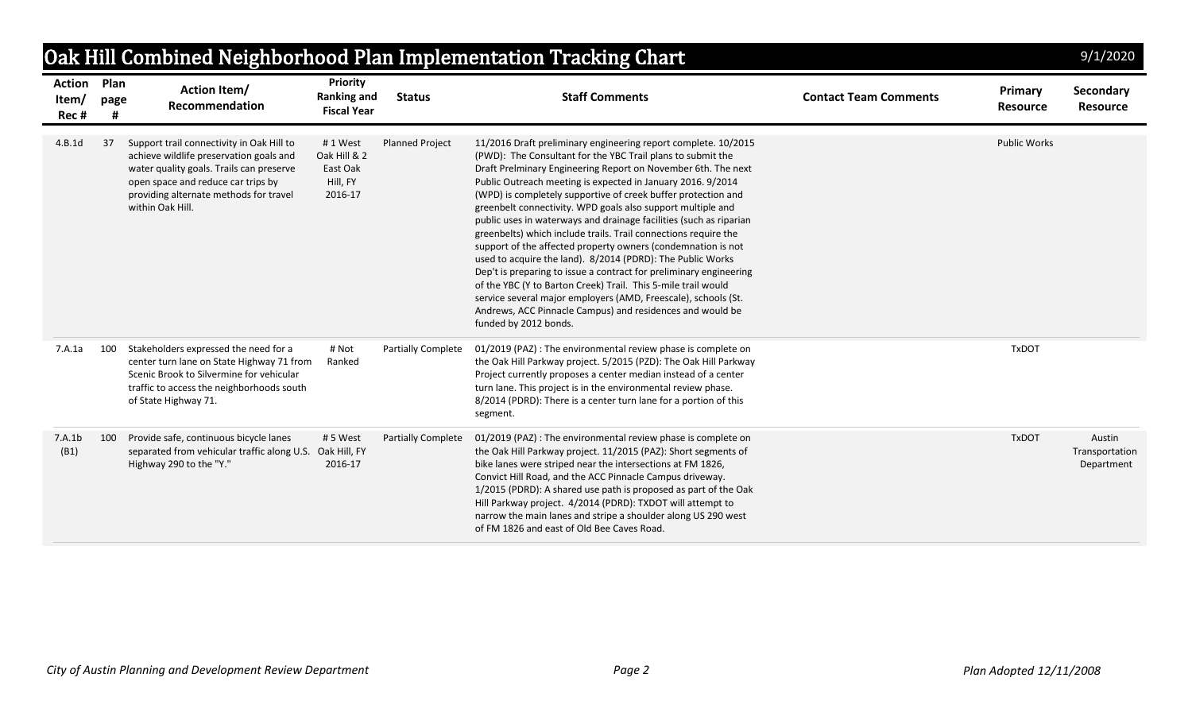|                                 |              |                                                                                                                                                                                                                                      |                                                            |                           | Oak Hill Combined Neighborhood Plan Implementation Tracking Chart                                                                                                                                                                                                                                                                                                                                                                                                                                                                                                                                                                                                                                                                                                                                                                                                                                                                                                   |                              |                                   | 9/1/2020                               |
|---------------------------------|--------------|--------------------------------------------------------------------------------------------------------------------------------------------------------------------------------------------------------------------------------------|------------------------------------------------------------|---------------------------|---------------------------------------------------------------------------------------------------------------------------------------------------------------------------------------------------------------------------------------------------------------------------------------------------------------------------------------------------------------------------------------------------------------------------------------------------------------------------------------------------------------------------------------------------------------------------------------------------------------------------------------------------------------------------------------------------------------------------------------------------------------------------------------------------------------------------------------------------------------------------------------------------------------------------------------------------------------------|------------------------------|-----------------------------------|----------------------------------------|
| <b>Action</b><br>Item/<br>Rec # | Plan<br>page | <b>Action Item/</b><br>Recommendation                                                                                                                                                                                                | Priority<br><b>Ranking and</b><br><b>Fiscal Year</b>       | <b>Status</b>             | <b>Staff Comments</b>                                                                                                                                                                                                                                                                                                                                                                                                                                                                                                                                                                                                                                                                                                                                                                                                                                                                                                                                               | <b>Contact Team Comments</b> | <b>Primary</b><br><b>Resource</b> | <b>Secondary</b><br>Resource           |
| 4.B.1d                          | 37           | Support trail connectivity in Oak Hill to<br>achieve wildlife preservation goals and<br>water quality goals. Trails can preserve<br>open space and reduce car trips by<br>providing alternate methods for travel<br>within Oak Hill. | #1 West<br>Oak Hill & 2<br>East Oak<br>Hill, FY<br>2016-17 | <b>Planned Project</b>    | 11/2016 Draft preliminary engineering report complete. 10/2015<br>(PWD): The Consultant for the YBC Trail plans to submit the<br>Draft Prelminary Engineering Report on November 6th. The next<br>Public Outreach meeting is expected in January 2016. 9/2014<br>(WPD) is completely supportive of creek buffer protection and<br>greenbelt connectivity. WPD goals also support multiple and<br>public uses in waterways and drainage facilities (such as riparian<br>greenbelts) which include trails. Trail connections require the<br>support of the affected property owners (condemnation is not<br>used to acquire the land). 8/2014 (PDRD): The Public Works<br>Dep't is preparing to issue a contract for preliminary engineering<br>of the YBC (Y to Barton Creek) Trail. This 5-mile trail would<br>service several major employers (AMD, Freescale), schools (St.<br>Andrews, ACC Pinnacle Campus) and residences and would be<br>funded by 2012 bonds. |                              | <b>Public Works</b>               |                                        |
| 7.A.1a                          | 100          | Stakeholders expressed the need for a<br>center turn lane on State Highway 71 from<br>Scenic Brook to Silvermine for vehicular<br>traffic to access the neighborhoods south<br>of State Highway 71.                                  | # Not<br>Ranked                                            | <b>Partially Complete</b> | 01/2019 (PAZ) : The environmental review phase is complete on<br>the Oak Hill Parkway project. 5/2015 (PZD): The Oak Hill Parkway<br>Project currently proposes a center median instead of a center<br>turn lane. This project is in the environmental review phase.<br>8/2014 (PDRD): There is a center turn lane for a portion of this<br>segment.                                                                                                                                                                                                                                                                                                                                                                                                                                                                                                                                                                                                                |                              | <b>TxDOT</b>                      |                                        |
| 7.A.1b<br>(B1)                  | 100          | Provide safe, continuous bicycle lanes<br>separated from vehicular traffic along U.S.<br>Highway 290 to the "Y."                                                                                                                     | #5 West<br>Oak Hill, FY<br>2016-17                         | <b>Partially Complete</b> | 01/2019 (PAZ) : The environmental review phase is complete on<br>the Oak Hill Parkway project. 11/2015 (PAZ): Short segments of<br>bike lanes were striped near the intersections at FM 1826,<br>Convict Hill Road, and the ACC Pinnacle Campus driveway.<br>1/2015 (PDRD): A shared use path is proposed as part of the Oak<br>Hill Parkway project. 4/2014 (PDRD): TXDOT will attempt to<br>narrow the main lanes and stripe a shoulder along US 290 west<br>of FM 1826 and east of Old Bee Caves Road.                                                                                                                                                                                                                                                                                                                                                                                                                                                           |                              | <b>TxDOT</b>                      | Austin<br>Transportation<br>Department |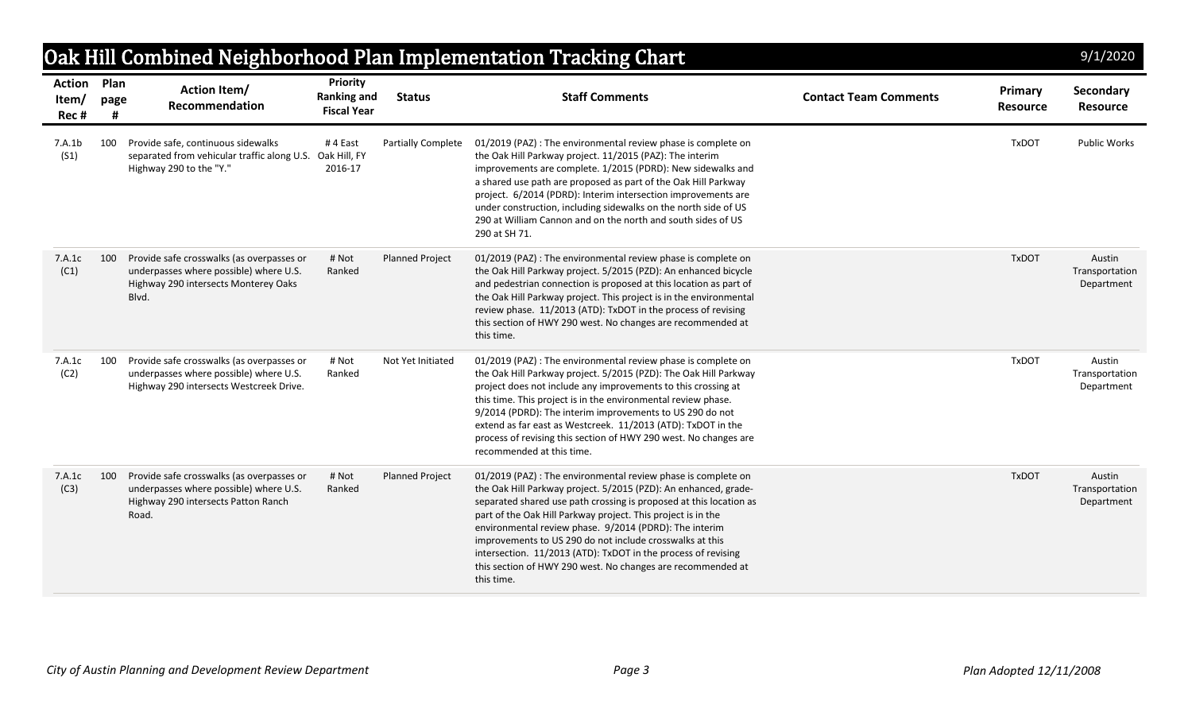|                                     |           |                                                                                                                                      |                                                             |                        | Oak Hill Combined Neighborhood Plan Implementation Tracking Chart                                                                                                                                                                                                                                                                                                                                                                                                                                                                          |                              |                            | 9/1/2020                               |
|-------------------------------------|-----------|--------------------------------------------------------------------------------------------------------------------------------------|-------------------------------------------------------------|------------------------|--------------------------------------------------------------------------------------------------------------------------------------------------------------------------------------------------------------------------------------------------------------------------------------------------------------------------------------------------------------------------------------------------------------------------------------------------------------------------------------------------------------------------------------------|------------------------------|----------------------------|----------------------------------------|
| <b>Action Plan</b><br>Item/<br>Rec# | page<br>Ħ | <b>Action Item/</b><br>Recommendation                                                                                                | <b>Priority</b><br><b>Ranking and</b><br><b>Fiscal Year</b> | <b>Status</b>          | <b>Staff Comments</b>                                                                                                                                                                                                                                                                                                                                                                                                                                                                                                                      | <b>Contact Team Comments</b> | Primary<br><b>Resource</b> | Secondary<br><b>Resource</b>           |
| 7.A.1b<br>(S1)                      | 100       | Provide safe, continuous sidewalks<br>separated from vehicular traffic along U.S.<br>Highway 290 to the "Y."                         | #4 East<br>Oak Hill, FY<br>2016-17                          | Partially Complete     | 01/2019 (PAZ) : The environmental review phase is complete on<br>the Oak Hill Parkway project. 11/2015 (PAZ): The interim<br>improvements are complete. 1/2015 (PDRD): New sidewalks and<br>a shared use path are proposed as part of the Oak Hill Parkway<br>project. 6/2014 (PDRD): Interim intersection improvements are<br>under construction, including sidewalks on the north side of US<br>290 at William Cannon and on the north and south sides of US<br>290 at SH 71.                                                            |                              | <b>TxDOT</b>               | <b>Public Works</b>                    |
| 7.A.1c<br>(C1)                      | 100       | Provide safe crosswalks (as overpasses or<br>underpasses where possible) where U.S.<br>Highway 290 intersects Monterey Oaks<br>Blvd. | # Not<br>Ranked                                             | <b>Planned Project</b> | 01/2019 (PAZ) : The environmental review phase is complete on<br>the Oak Hill Parkway project. 5/2015 (PZD): An enhanced bicycle<br>and pedestrian connection is proposed at this location as part of<br>the Oak Hill Parkway project. This project is in the environmental<br>review phase. 11/2013 (ATD): TxDOT in the process of revising<br>this section of HWY 290 west. No changes are recommended at<br>this time.                                                                                                                  |                              | <b>TxDOT</b>               | Austin<br>Transportation<br>Department |
| 7.A.1c<br>(C2)                      | 100       | Provide safe crosswalks (as overpasses or<br>underpasses where possible) where U.S.<br>Highway 290 intersects Westcreek Drive.       | # Not<br>Ranked                                             | Not Yet Initiated      | 01/2019 (PAZ) : The environmental review phase is complete on<br>the Oak Hill Parkway project. 5/2015 (PZD): The Oak Hill Parkway<br>project does not include any improvements to this crossing at<br>this time. This project is in the environmental review phase.<br>9/2014 (PDRD): The interim improvements to US 290 do not<br>extend as far east as Westcreek. 11/2013 (ATD): TxDOT in the<br>process of revising this section of HWY 290 west. No changes are<br>recommended at this time.                                           |                              | <b>TxDOT</b>               | Austin<br>Transportation<br>Department |
| 7.A.1c<br>(C3)                      | 100       | Provide safe crosswalks (as overpasses or<br>underpasses where possible) where U.S.<br>Highway 290 intersects Patton Ranch<br>Road.  | # Not<br>Ranked                                             | <b>Planned Project</b> | 01/2019 (PAZ) : The environmental review phase is complete on<br>the Oak Hill Parkway project. 5/2015 (PZD): An enhanced, grade-<br>separated shared use path crossing is proposed at this location as<br>part of the Oak Hill Parkway project. This project is in the<br>environmental review phase. 9/2014 (PDRD): The interim<br>improvements to US 290 do not include crosswalks at this<br>intersection. 11/2013 (ATD): TxDOT in the process of revising<br>this section of HWY 290 west. No changes are recommended at<br>this time. |                              | <b>TxDOT</b>               | Austin<br>Transportation<br>Department |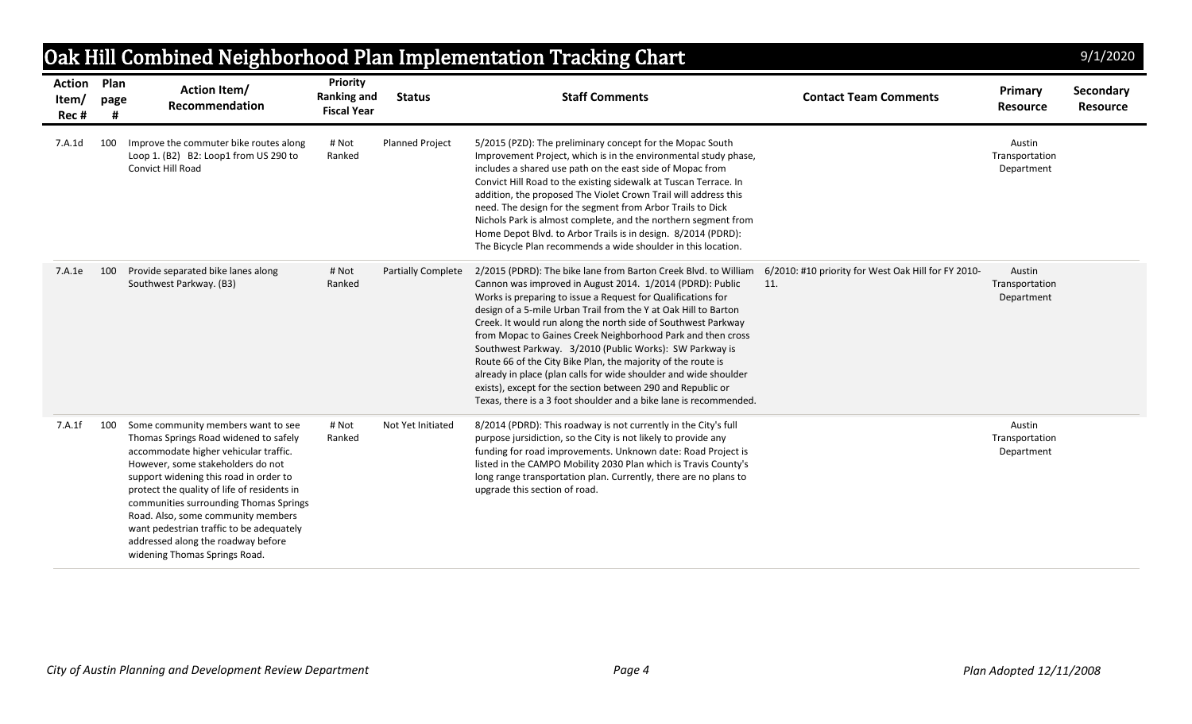|                                |              |                                                                                                                                                                                                                                                                                                                                                                                                                                                       |                                                      |                           | Oak Hill Combined Neighborhood Plan Implementation Tracking Chart                                                                                                                                                                                                                                                                                                                                                                                                                                                                                                                                                                                                                                                                  |                                                            |                                        | 9/1/2020                     |
|--------------------------------|--------------|-------------------------------------------------------------------------------------------------------------------------------------------------------------------------------------------------------------------------------------------------------------------------------------------------------------------------------------------------------------------------------------------------------------------------------------------------------|------------------------------------------------------|---------------------------|------------------------------------------------------------------------------------------------------------------------------------------------------------------------------------------------------------------------------------------------------------------------------------------------------------------------------------------------------------------------------------------------------------------------------------------------------------------------------------------------------------------------------------------------------------------------------------------------------------------------------------------------------------------------------------------------------------------------------------|------------------------------------------------------------|----------------------------------------|------------------------------|
| <b>Action</b><br>Item/<br>Rec# | Plan<br>page | <b>Action Item/</b><br><b>Recommendation</b>                                                                                                                                                                                                                                                                                                                                                                                                          | Priority<br><b>Ranking and</b><br><b>Fiscal Year</b> | <b>Status</b>             | <b>Staff Comments</b>                                                                                                                                                                                                                                                                                                                                                                                                                                                                                                                                                                                                                                                                                                              | <b>Contact Team Comments</b>                               | Primary<br><b>Resource</b>             | Secondary<br><b>Resource</b> |
| 7.A.1d                         | 100          | Improve the commuter bike routes along<br>Loop 1. (B2) B2: Loop1 from US 290 to<br>Convict Hill Road                                                                                                                                                                                                                                                                                                                                                  | # Not<br>Ranked                                      | <b>Planned Project</b>    | 5/2015 (PZD): The preliminary concept for the Mopac South<br>Improvement Project, which is in the environmental study phase,<br>includes a shared use path on the east side of Mopac from<br>Convict Hill Road to the existing sidewalk at Tuscan Terrace. In<br>addition, the proposed The Violet Crown Trail will address this<br>need. The design for the segment from Arbor Trails to Dick<br>Nichols Park is almost complete, and the northern segment from<br>Home Depot Blvd. to Arbor Trails is in design. 8/2014 (PDRD):<br>The Bicycle Plan recommends a wide shoulder in this location.                                                                                                                                 |                                                            | Austin<br>Transportation<br>Department |                              |
| 7.A.1e                         | 100          | Provide separated bike lanes along<br>Southwest Parkway. (B3)                                                                                                                                                                                                                                                                                                                                                                                         | # Not<br>Ranked                                      | <b>Partially Complete</b> | 2/2015 (PDRD): The bike lane from Barton Creek Blvd. to William<br>Cannon was improved in August 2014. 1/2014 (PDRD): Public<br>Works is preparing to issue a Request for Qualifications for<br>design of a 5-mile Urban Trail from the Y at Oak Hill to Barton<br>Creek. It would run along the north side of Southwest Parkway<br>from Mopac to Gaines Creek Neighborhood Park and then cross<br>Southwest Parkway. 3/2010 (Public Works): SW Parkway is<br>Route 66 of the City Bike Plan, the majority of the route is<br>already in place (plan calls for wide shoulder and wide shoulder<br>exists), except for the section between 290 and Republic or<br>Texas, there is a 3 foot shoulder and a bike lane is recommended. | 6/2010: #10 priority for West Oak Hill for FY 2010-<br>11. | Austin<br>Transportation<br>Department |                              |
| 7.A.1f                         | 100          | Some community members want to see<br>Thomas Springs Road widened to safely<br>accommodate higher vehicular traffic.<br>However, some stakeholders do not<br>support widening this road in order to<br>protect the quality of life of residents in<br>communities surrounding Thomas Springs<br>Road. Also, some community members<br>want pedestrian traffic to be adequately<br>addressed along the roadway before<br>widening Thomas Springs Road. | # Not<br>Ranked                                      | Not Yet Initiated         | 8/2014 (PDRD): This roadway is not currently in the City's full<br>purpose jursidiction, so the City is not likely to provide any<br>funding for road improvements. Unknown date: Road Project is<br>listed in the CAMPO Mobility 2030 Plan which is Travis County's<br>long range transportation plan. Currently, there are no plans to<br>upgrade this section of road.                                                                                                                                                                                                                                                                                                                                                          |                                                            | Austin<br>Transportation<br>Department |                              |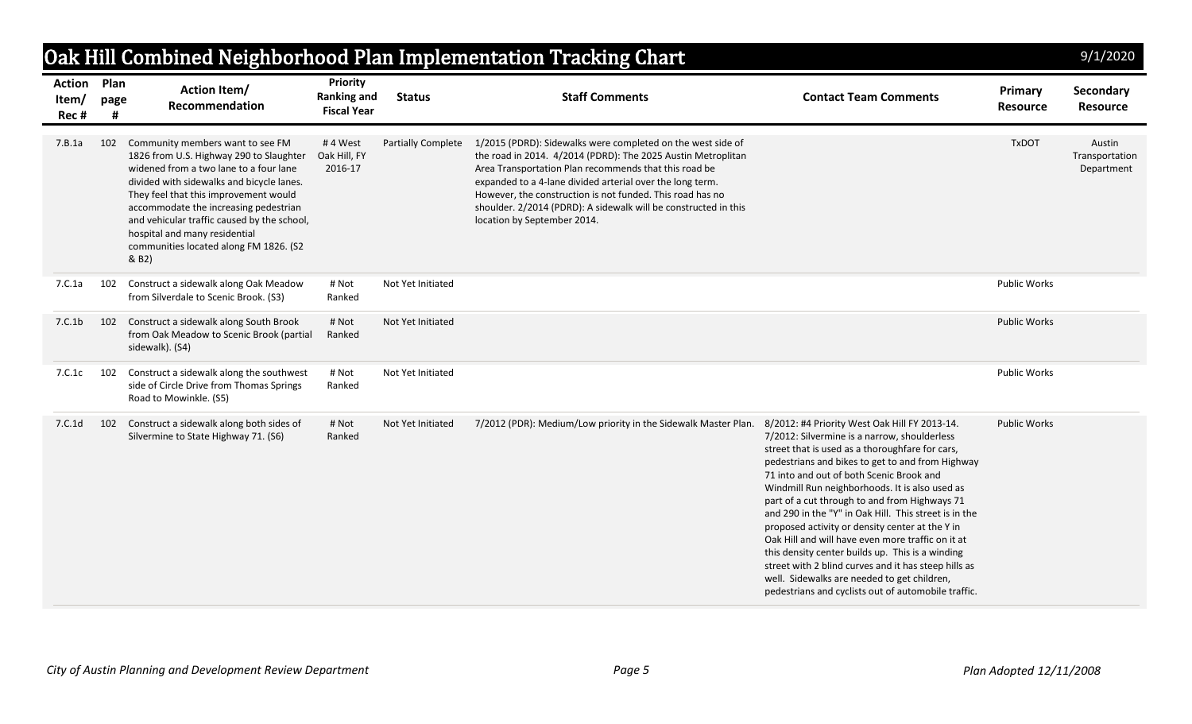|                                      |      |                                                                                                                                                                                                                                                                                                                                                                                         |                                                             |                    | Oak Hill Combined Neighborhood Plan Implementation Tracking Chart                                                                                                                                                                                                                                                                                                                                                |                                                                                                                                                                                                                                                                                                                                                                                                                                                                                                                                                                                                                                                                                                                                        |                            | 9/1/2020                               |
|--------------------------------------|------|-----------------------------------------------------------------------------------------------------------------------------------------------------------------------------------------------------------------------------------------------------------------------------------------------------------------------------------------------------------------------------------------|-------------------------------------------------------------|--------------------|------------------------------------------------------------------------------------------------------------------------------------------------------------------------------------------------------------------------------------------------------------------------------------------------------------------------------------------------------------------------------------------------------------------|----------------------------------------------------------------------------------------------------------------------------------------------------------------------------------------------------------------------------------------------------------------------------------------------------------------------------------------------------------------------------------------------------------------------------------------------------------------------------------------------------------------------------------------------------------------------------------------------------------------------------------------------------------------------------------------------------------------------------------------|----------------------------|----------------------------------------|
| <b>Action Plan</b><br>Item/<br>Rec # | page | <b>Action Item/</b><br>Recommendation                                                                                                                                                                                                                                                                                                                                                   | <b>Priority</b><br><b>Ranking and</b><br><b>Fiscal Year</b> | <b>Status</b>      | <b>Staff Comments</b>                                                                                                                                                                                                                                                                                                                                                                                            | <b>Contact Team Comments</b>                                                                                                                                                                                                                                                                                                                                                                                                                                                                                                                                                                                                                                                                                                           | Primary<br><b>Resource</b> | Secondary<br><b>Resource</b>           |
| 7.B.1a                               | 102  | Community members want to see FM<br>1826 from U.S. Highway 290 to Slaughter<br>widened from a two lane to a four lane<br>divided with sidewalks and bicycle lanes.<br>They feel that this improvement would<br>accommodate the increasing pedestrian<br>and vehicular traffic caused by the school,<br>hospital and many residential<br>communities located along FM 1826. (S2<br>& B2) | #4 West<br>Oak Hill, FY<br>2016-17                          | Partially Complete | 1/2015 (PDRD): Sidewalks were completed on the west side of<br>the road in 2014. 4/2014 (PDRD): The 2025 Austin Metroplitan<br>Area Transportation Plan recommends that this road be<br>expanded to a 4-lane divided arterial over the long term.<br>However, the construction is not funded. This road has no<br>shoulder. 2/2014 (PDRD): A sidewalk will be constructed in this<br>location by September 2014. |                                                                                                                                                                                                                                                                                                                                                                                                                                                                                                                                                                                                                                                                                                                                        | <b>TxDOT</b>               | Austin<br>Transportation<br>Department |
| 7.C.1a                               | 102  | Construct a sidewalk along Oak Meadow<br>from Silverdale to Scenic Brook. (S3)                                                                                                                                                                                                                                                                                                          | # Not<br>Ranked                                             | Not Yet Initiated  |                                                                                                                                                                                                                                                                                                                                                                                                                  |                                                                                                                                                                                                                                                                                                                                                                                                                                                                                                                                                                                                                                                                                                                                        | <b>Public Works</b>        |                                        |
| 7.C.1b                               | 102  | Construct a sidewalk along South Brook<br>from Oak Meadow to Scenic Brook (partial<br>sidewalk). (S4)                                                                                                                                                                                                                                                                                   | # Not<br>Ranked                                             | Not Yet Initiated  |                                                                                                                                                                                                                                                                                                                                                                                                                  |                                                                                                                                                                                                                                                                                                                                                                                                                                                                                                                                                                                                                                                                                                                                        | <b>Public Works</b>        |                                        |
| 7.C.1c                               | 102  | Construct a sidewalk along the southwest<br>side of Circle Drive from Thomas Springs<br>Road to Mowinkle. (S5)                                                                                                                                                                                                                                                                          | # Not<br>Ranked                                             | Not Yet Initiated  |                                                                                                                                                                                                                                                                                                                                                                                                                  |                                                                                                                                                                                                                                                                                                                                                                                                                                                                                                                                                                                                                                                                                                                                        | <b>Public Works</b>        |                                        |
| 7.C.1d                               | 102  | Construct a sidewalk along both sides of<br>Silvermine to State Highway 71. (S6)                                                                                                                                                                                                                                                                                                        | # Not<br>Ranked                                             | Not Yet Initiated  | 7/2012 (PDR): Medium/Low priority in the Sidewalk Master Plan.                                                                                                                                                                                                                                                                                                                                                   | 8/2012: #4 Priority West Oak Hill FY 2013-14.<br>7/2012: Silvermine is a narrow, shoulderless<br>street that is used as a thoroughfare for cars,<br>pedestrians and bikes to get to and from Highway<br>71 into and out of both Scenic Brook and<br>Windmill Run neighborhoods. It is also used as<br>part of a cut through to and from Highways 71<br>and 290 in the "Y" in Oak Hill. This street is in the<br>proposed activity or density center at the Y in<br>Oak Hill and will have even more traffic on it at<br>this density center builds up. This is a winding<br>street with 2 blind curves and it has steep hills as<br>well. Sidewalks are needed to get children,<br>pedestrians and cyclists out of automobile traffic. | <b>Public Works</b>        |                                        |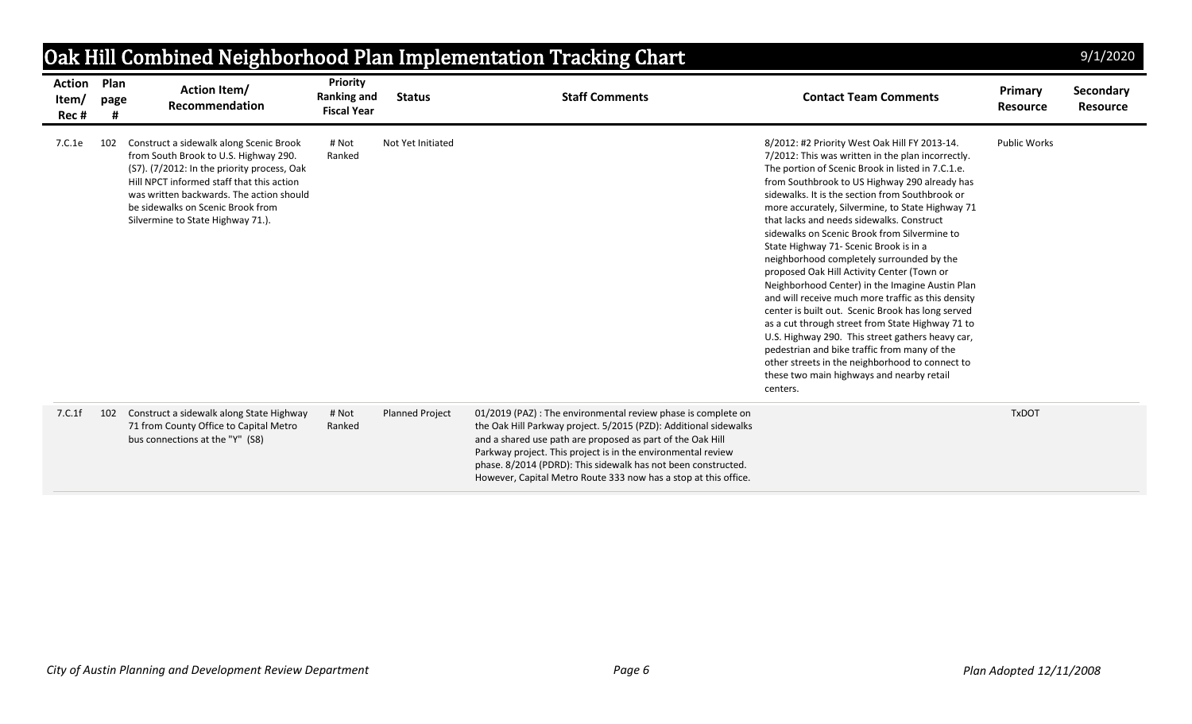|                                | Oak Hill Combined Neighborhood Plan Implementation Tracking Chart<br>9/1/2020 |                                                                                                                                                                                                                                                                                                    |                                                             |                        |                                                                                                                                                                                                                                                                                                                                                                                                     |                                                                                                                                                                                                                                                                                                                                                                                                                                                                                                                                                                                                                                                                                                                                                                                                                                                                                                                                                                                     |                            |                              |  |  |  |  |
|--------------------------------|-------------------------------------------------------------------------------|----------------------------------------------------------------------------------------------------------------------------------------------------------------------------------------------------------------------------------------------------------------------------------------------------|-------------------------------------------------------------|------------------------|-----------------------------------------------------------------------------------------------------------------------------------------------------------------------------------------------------------------------------------------------------------------------------------------------------------------------------------------------------------------------------------------------------|-------------------------------------------------------------------------------------------------------------------------------------------------------------------------------------------------------------------------------------------------------------------------------------------------------------------------------------------------------------------------------------------------------------------------------------------------------------------------------------------------------------------------------------------------------------------------------------------------------------------------------------------------------------------------------------------------------------------------------------------------------------------------------------------------------------------------------------------------------------------------------------------------------------------------------------------------------------------------------------|----------------------------|------------------------------|--|--|--|--|
| <b>Action</b><br>Item/<br>Rec# | Plan<br>page                                                                  | <b>Action Item/</b><br>Recommendation                                                                                                                                                                                                                                                              | <b>Priority</b><br><b>Ranking and</b><br><b>Fiscal Year</b> | <b>Status</b>          | <b>Staff Comments</b>                                                                                                                                                                                                                                                                                                                                                                               | <b>Contact Team Comments</b>                                                                                                                                                                                                                                                                                                                                                                                                                                                                                                                                                                                                                                                                                                                                                                                                                                                                                                                                                        | Primary<br><b>Resource</b> | Secondary<br><b>Resource</b> |  |  |  |  |
| 7.C.1e                         | 102                                                                           | Construct a sidewalk along Scenic Brook<br>from South Brook to U.S. Highway 290.<br>(S7). (7/2012: In the priority process, Oak<br>Hill NPCT informed staff that this action<br>was written backwards. The action should<br>be sidewalks on Scenic Brook from<br>Silvermine to State Highway 71.). | # Not<br>Ranked                                             | Not Yet Initiated      |                                                                                                                                                                                                                                                                                                                                                                                                     | 8/2012: #2 Priority West Oak Hill FY 2013-14.<br>7/2012: This was written in the plan incorrectly.<br>The portion of Scenic Brook in listed in 7.C.1.e.<br>from Southbrook to US Highway 290 already has<br>sidewalks. It is the section from Southbrook or<br>more accurately, Silvermine, to State Highway 71<br>that lacks and needs sidewalks. Construct<br>sidewalks on Scenic Brook from Silvermine to<br>State Highway 71- Scenic Brook is in a<br>neighborhood completely surrounded by the<br>proposed Oak Hill Activity Center (Town or<br>Neighborhood Center) in the Imagine Austin Plan<br>and will receive much more traffic as this density<br>center is built out. Scenic Brook has long served<br>as a cut through street from State Highway 71 to<br>U.S. Highway 290. This street gathers heavy car,<br>pedestrian and bike traffic from many of the<br>other streets in the neighborhood to connect to<br>these two main highways and nearby retail<br>centers. | <b>Public Works</b>        |                              |  |  |  |  |
| 7.C.1f                         | 102                                                                           | Construct a sidewalk along State Highway<br>71 from County Office to Capital Metro<br>bus connections at the "Y" (S8)                                                                                                                                                                              | # Not<br>Ranked                                             | <b>Planned Project</b> | 01/2019 (PAZ) : The environmental review phase is complete on<br>the Oak Hill Parkway project. 5/2015 (PZD): Additional sidewalks<br>and a shared use path are proposed as part of the Oak Hill<br>Parkway project. This project is in the environmental review<br>phase. 8/2014 (PDRD): This sidewalk has not been constructed.<br>However, Capital Metro Route 333 now has a stop at this office. |                                                                                                                                                                                                                                                                                                                                                                                                                                                                                                                                                                                                                                                                                                                                                                                                                                                                                                                                                                                     | <b>TxDOT</b>               |                              |  |  |  |  |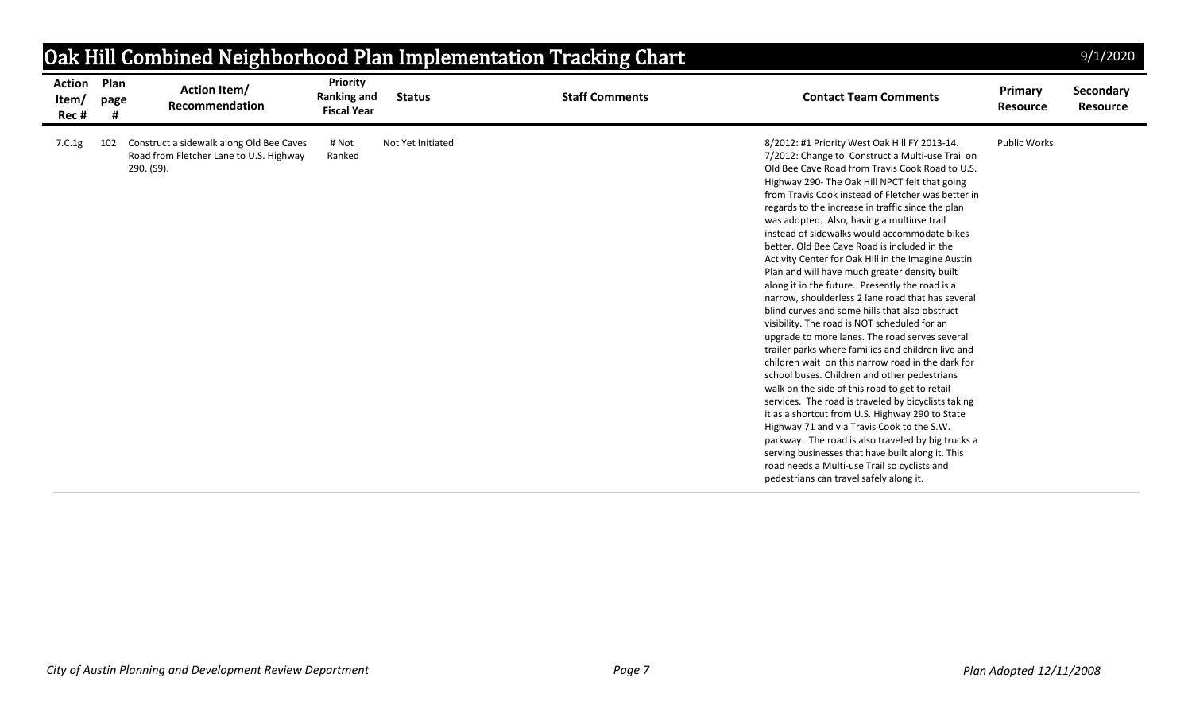|                                 |                   |                                                                                     |                                                             |                   | Oak Hill Combined Neighborhood Plan Implementation Tracking Chart |                                                                                                                                                                                                                                                                                                                                                                                                                                                                                                                                                                                                                                                                                                                                                                                                                                                                                                                                                                                                                                                                                                                                                                                                                                                                                                                                                                                                               |                            | 9/1/2020                     |
|---------------------------------|-------------------|-------------------------------------------------------------------------------------|-------------------------------------------------------------|-------------------|-------------------------------------------------------------------|---------------------------------------------------------------------------------------------------------------------------------------------------------------------------------------------------------------------------------------------------------------------------------------------------------------------------------------------------------------------------------------------------------------------------------------------------------------------------------------------------------------------------------------------------------------------------------------------------------------------------------------------------------------------------------------------------------------------------------------------------------------------------------------------------------------------------------------------------------------------------------------------------------------------------------------------------------------------------------------------------------------------------------------------------------------------------------------------------------------------------------------------------------------------------------------------------------------------------------------------------------------------------------------------------------------------------------------------------------------------------------------------------------------|----------------------------|------------------------------|
| <b>Action</b><br>Item/<br>Rec # | Plan<br>page      | <b>Action Item/</b><br>Recommendation                                               | <b>Priority</b><br><b>Ranking and</b><br><b>Fiscal Year</b> | <b>Status</b>     | <b>Staff Comments</b>                                             | <b>Contact Team Comments</b>                                                                                                                                                                                                                                                                                                                                                                                                                                                                                                                                                                                                                                                                                                                                                                                                                                                                                                                                                                                                                                                                                                                                                                                                                                                                                                                                                                                  | Primary<br><b>Resource</b> | Secondary<br><b>Resource</b> |
| 7.C.1g                          | 102<br>290. (S9). | Construct a sidewalk along Old Bee Caves<br>Road from Fletcher Lane to U.S. Highway | # Not<br>Ranked                                             | Not Yet Initiated |                                                                   | 8/2012: #1 Priority West Oak Hill FY 2013-14.<br>7/2012: Change to Construct a Multi-use Trail on<br>Old Bee Cave Road from Travis Cook Road to U.S.<br>Highway 290- The Oak Hill NPCT felt that going<br>from Travis Cook instead of Fletcher was better in<br>regards to the increase in traffic since the plan<br>was adopted. Also, having a multiuse trail<br>instead of sidewalks would accommodate bikes<br>better. Old Bee Cave Road is included in the<br>Activity Center for Oak Hill in the Imagine Austin<br>Plan and will have much greater density built<br>along it in the future. Presently the road is a<br>narrow, shoulderless 2 lane road that has several<br>blind curves and some hills that also obstruct<br>visibility. The road is NOT scheduled for an<br>upgrade to more lanes. The road serves several<br>trailer parks where families and children live and<br>children wait on this narrow road in the dark for<br>school buses. Children and other pedestrians<br>walk on the side of this road to get to retail<br>services. The road is traveled by bicyclists taking<br>it as a shortcut from U.S. Highway 290 to State<br>Highway 71 and via Travis Cook to the S.W.<br>parkway. The road is also traveled by big trucks a<br>serving businesses that have built along it. This<br>road needs a Multi-use Trail so cyclists and<br>pedestrians can travel safely along it. | <b>Public Works</b>        |                              |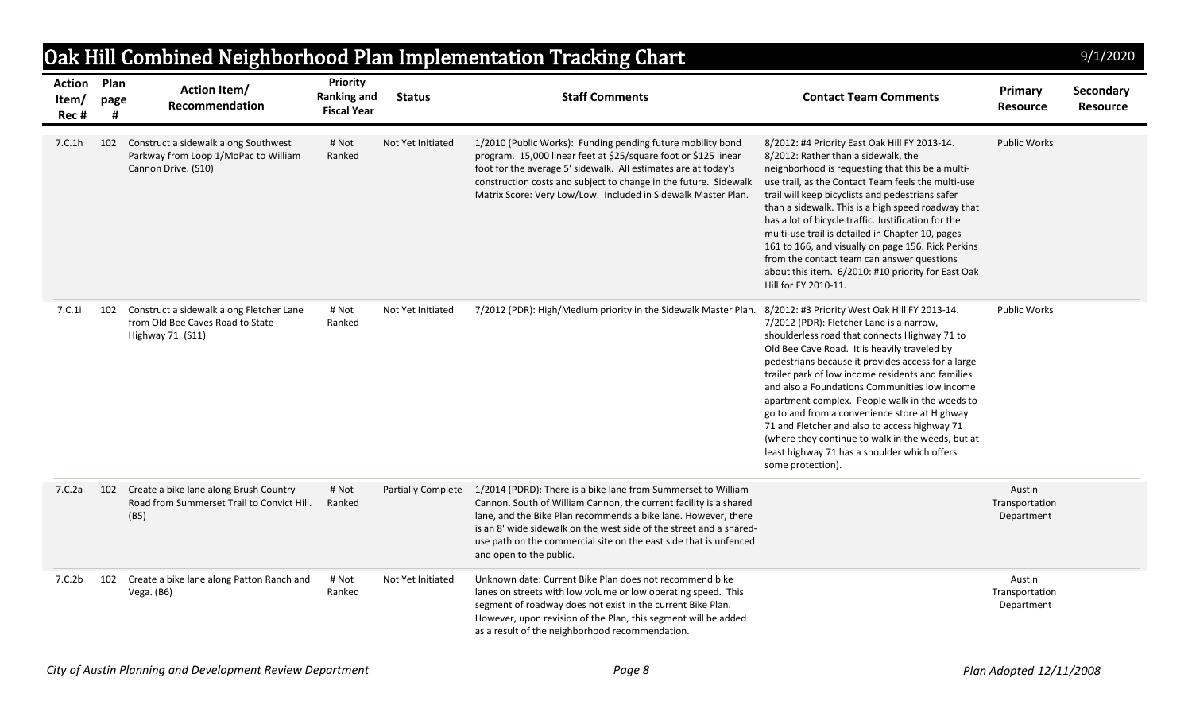| Oak Hill Combined Neighborhood Plan Implementation Tracking Chart<br>9/1/2020 |           |                                                                                                     |                                                             |                           |                                                                                                                                                                                                                                                                                                                                                                             |                                                                                                                                                                                                                                                                                                                                                                                                                                                                                                                                                                                                                                      |                                        |                              |  |  |
|-------------------------------------------------------------------------------|-----------|-----------------------------------------------------------------------------------------------------|-------------------------------------------------------------|---------------------------|-----------------------------------------------------------------------------------------------------------------------------------------------------------------------------------------------------------------------------------------------------------------------------------------------------------------------------------------------------------------------------|--------------------------------------------------------------------------------------------------------------------------------------------------------------------------------------------------------------------------------------------------------------------------------------------------------------------------------------------------------------------------------------------------------------------------------------------------------------------------------------------------------------------------------------------------------------------------------------------------------------------------------------|----------------------------------------|------------------------------|--|--|
| <b>Action Plan</b><br>Item/<br>Rec#                                           | page<br># | <b>Action Item/</b><br>Recommendation                                                               | <b>Priority</b><br><b>Ranking and</b><br><b>Fiscal Year</b> | <b>Status</b>             | <b>Staff Comments</b>                                                                                                                                                                                                                                                                                                                                                       | <b>Contact Team Comments</b>                                                                                                                                                                                                                                                                                                                                                                                                                                                                                                                                                                                                         | Primary<br><b>Resource</b>             | Secondary<br><b>Resource</b> |  |  |
| 7.C.1h                                                                        | 102       | Construct a sidewalk along Southwest<br>Parkway from Loop 1/MoPac to William<br>Cannon Drive. (S10) | # Not<br>Ranked                                             | Not Yet Initiated         | 1/2010 (Public Works): Funding pending future mobility bond<br>program. 15,000 linear feet at \$25/square foot or \$125 linear<br>foot for the average 5' sidewalk. All estimates are at today's<br>construction costs and subject to change in the future. Sidewalk<br>Matrix Score: Very Low/Low. Included in Sidewalk Master Plan.                                       | 8/2012: #4 Priority East Oak Hill FY 2013-14.<br>8/2012: Rather than a sidewalk, the<br>neighborhood is requesting that this be a multi-<br>use trail, as the Contact Team feels the multi-use<br>trail will keep bicyclists and pedestrians safer<br>than a sidewalk. This is a high speed roadway that<br>has a lot of bicycle traffic. Justification for the<br>multi-use trail is detailed in Chapter 10, pages<br>161 to 166, and visually on page 156. Rick Perkins<br>from the contact team can answer questions<br>about this item. 6/2010: #10 priority for East Oak<br>Hill for FY 2010-11.                                | <b>Public Works</b>                    |                              |  |  |
| 7.C.1i                                                                        | 102       | Construct a sidewalk along Fletcher Lane<br>from Old Bee Caves Road to State<br>Highway 71. (S11)   | # Not<br>Ranked                                             | Not Yet Initiated         | 7/2012 (PDR): High/Medium priority in the Sidewalk Master Plan.                                                                                                                                                                                                                                                                                                             | 8/2012: #3 Priority West Oak Hill FY 2013-14.<br>7/2012 (PDR): Fletcher Lane is a narrow,<br>shoulderless road that connects Highway 71 to<br>Old Bee Cave Road. It is heavily traveled by<br>pedestrians because it provides access for a large<br>trailer park of low income residents and families<br>and also a Foundations Communities low income<br>apartment complex. People walk in the weeds to<br>go to and from a convenience store at Highway<br>71 and Fletcher and also to access highway 71<br>(where they continue to walk in the weeds, but at<br>least highway 71 has a shoulder which offers<br>some protection). | <b>Public Works</b>                    |                              |  |  |
| 7.C.2a                                                                        | 102       | Create a bike lane along Brush Country<br>Road from Summerset Trail to Convict Hill.<br>(B5)        | # Not<br>Ranked                                             | <b>Partially Complete</b> | 1/2014 (PDRD): There is a bike lane from Summerset to William<br>Cannon. South of William Cannon, the current facility is a shared<br>lane, and the Bike Plan recommends a bike lane. However, there<br>is an 8' wide sidewalk on the west side of the street and a shared-<br>use path on the commercial site on the east side that is unfenced<br>and open to the public. |                                                                                                                                                                                                                                                                                                                                                                                                                                                                                                                                                                                                                                      | Austin<br>Transportation<br>Department |                              |  |  |
| 7.C.2b                                                                        | 102       | Create a bike lane along Patton Ranch and<br>Vega. $(B6)$                                           | # Not<br>Ranked                                             | Not Yet Initiated         | Unknown date: Current Bike Plan does not recommend bike<br>lanes on streets with low volume or low operating speed. This<br>segment of roadway does not exist in the current Bike Plan.<br>However, upon revision of the Plan, this segment will be added<br>as a result of the neighborhood recommendation.                                                                |                                                                                                                                                                                                                                                                                                                                                                                                                                                                                                                                                                                                                                      | Austin<br>Transportation<br>Department |                              |  |  |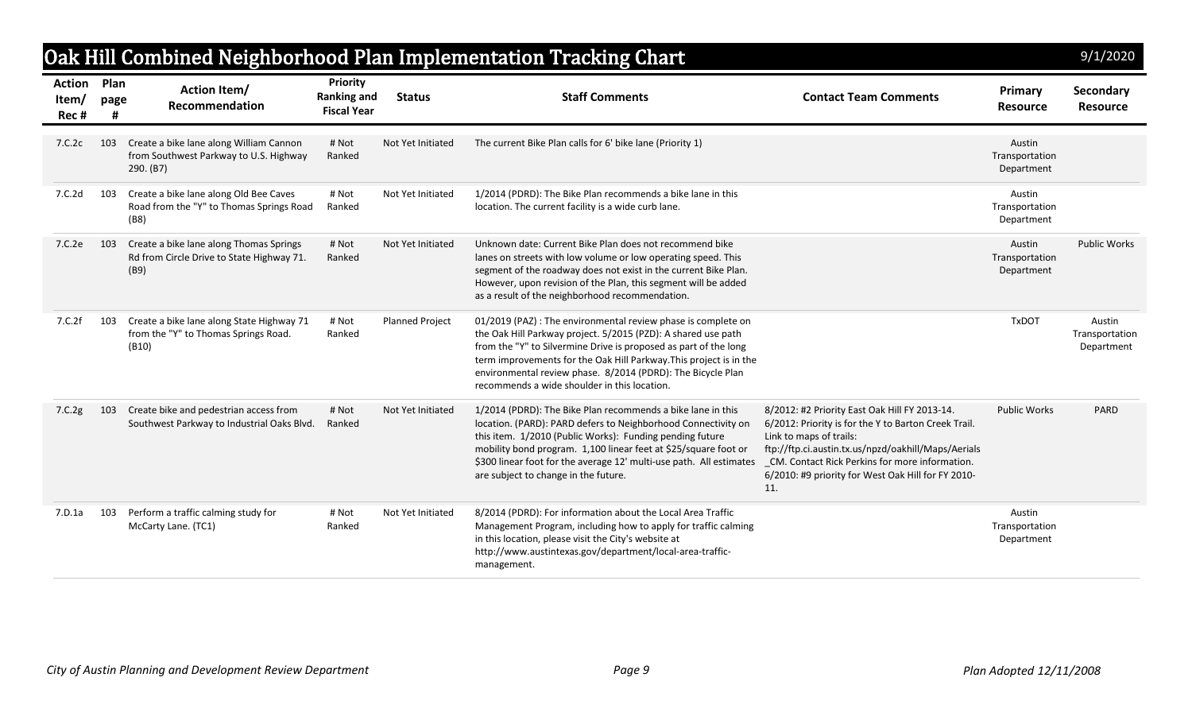|                                |              |                                                                                                |                                                      |                        | Oak Hill Combined Neighborhood Plan Implementation Tracking Chart                                                                                                                                                                                                                                                                                                                       |                                                                                                                                                                                                                                                                                                         |                                        | 9/1/2020                               |
|--------------------------------|--------------|------------------------------------------------------------------------------------------------|------------------------------------------------------|------------------------|-----------------------------------------------------------------------------------------------------------------------------------------------------------------------------------------------------------------------------------------------------------------------------------------------------------------------------------------------------------------------------------------|---------------------------------------------------------------------------------------------------------------------------------------------------------------------------------------------------------------------------------------------------------------------------------------------------------|----------------------------------------|----------------------------------------|
| <b>Action</b><br>Item/<br>Rec# | Plan<br>page | <b>Action Item/</b><br>Recommendation                                                          | Priority<br><b>Ranking and</b><br><b>Fiscal Year</b> | <b>Status</b>          | <b>Staff Comments</b>                                                                                                                                                                                                                                                                                                                                                                   | <b>Contact Team Comments</b>                                                                                                                                                                                                                                                                            | Primary<br><b>Resource</b>             | Secondary<br><b>Resource</b>           |
| 7.C.2c                         | 103          | Create a bike lane along William Cannon<br>from Southwest Parkway to U.S. Highway<br>290. (B7) | # Not<br>Ranked                                      | Not Yet Initiated      | The current Bike Plan calls for 6' bike lane (Priority 1)                                                                                                                                                                                                                                                                                                                               |                                                                                                                                                                                                                                                                                                         | Austin<br>Transportation<br>Department |                                        |
| 7.C.2d                         | 103          | Create a bike lane along Old Bee Caves<br>Road from the "Y" to Thomas Springs Road<br>(B8)     | # Not<br>Ranked                                      | Not Yet Initiated      | 1/2014 (PDRD): The Bike Plan recommends a bike lane in this<br>location. The current facility is a wide curb lane.                                                                                                                                                                                                                                                                      |                                                                                                                                                                                                                                                                                                         | Austin<br>Transportation<br>Department |                                        |
| 7.C.2e                         | 103          | Create a bike lane along Thomas Springs<br>Rd from Circle Drive to State Highway 71.<br>(B9)   | # Not<br>Ranked                                      | Not Yet Initiated      | Unknown date: Current Bike Plan does not recommend bike<br>lanes on streets with low volume or low operating speed. This<br>segment of the roadway does not exist in the current Bike Plan.<br>However, upon revision of the Plan, this segment will be added<br>as a result of the neighborhood recommendation.                                                                        |                                                                                                                                                                                                                                                                                                         | Austin<br>Transportation<br>Department | <b>Public Works</b>                    |
| 7.C.2f                         | 103          | Create a bike lane along State Highway 71<br>from the "Y" to Thomas Springs Road.<br>(B10)     | # Not<br>Ranked                                      | <b>Planned Project</b> | 01/2019 (PAZ) : The environmental review phase is complete on<br>the Oak Hill Parkway project. 5/2015 (PZD): A shared use path<br>from the "Y" to Silvermine Drive is proposed as part of the long<br>term improvements for the Oak Hill Parkway. This project is in the<br>environmental review phase. 8/2014 (PDRD): The Bicycle Plan<br>recommends a wide shoulder in this location. |                                                                                                                                                                                                                                                                                                         | <b>TxDOT</b>                           | Austin<br>Transportation<br>Department |
| 7.C.2g                         | 103          | Create bike and pedestrian access from<br>Southwest Parkway to Industrial Oaks Blvd.           | # Not<br>Ranked                                      | Not Yet Initiated      | 1/2014 (PDRD): The Bike Plan recommends a bike lane in this<br>location. (PARD): PARD defers to Neighborhood Connectivity on<br>this item. 1/2010 (Public Works): Funding pending future<br>mobility bond program. 1,100 linear feet at \$25/square foot or<br>\$300 linear foot for the average 12' multi-use path. All estimates<br>are subject to change in the future.              | 8/2012: #2 Priority East Oak Hill FY 2013-14.<br>6/2012: Priority is for the Y to Barton Creek Trail.<br>Link to maps of trails:<br>ftp://ftp.ci.austin.tx.us/npzd/oakhill/Maps/Aerials<br>_CM. Contact Rick Perkins for more information.<br>6/2010: #9 priority for West Oak Hill for FY 2010-<br>11. | <b>Public Works</b>                    | <b>PARD</b>                            |
| 7.D.1a                         | 103          | Perform a traffic calming study for<br>McCarty Lane. (TC1)                                     | # Not<br>Ranked                                      | Not Yet Initiated      | 8/2014 (PDRD): For information about the Local Area Traffic<br>Management Program, including how to apply for traffic calming<br>in this location, please visit the City's website at<br>http://www.austintexas.gov/department/local-area-traffic-<br>management.                                                                                                                       |                                                                                                                                                                                                                                                                                                         | Austin<br>Transportation<br>Department |                                        |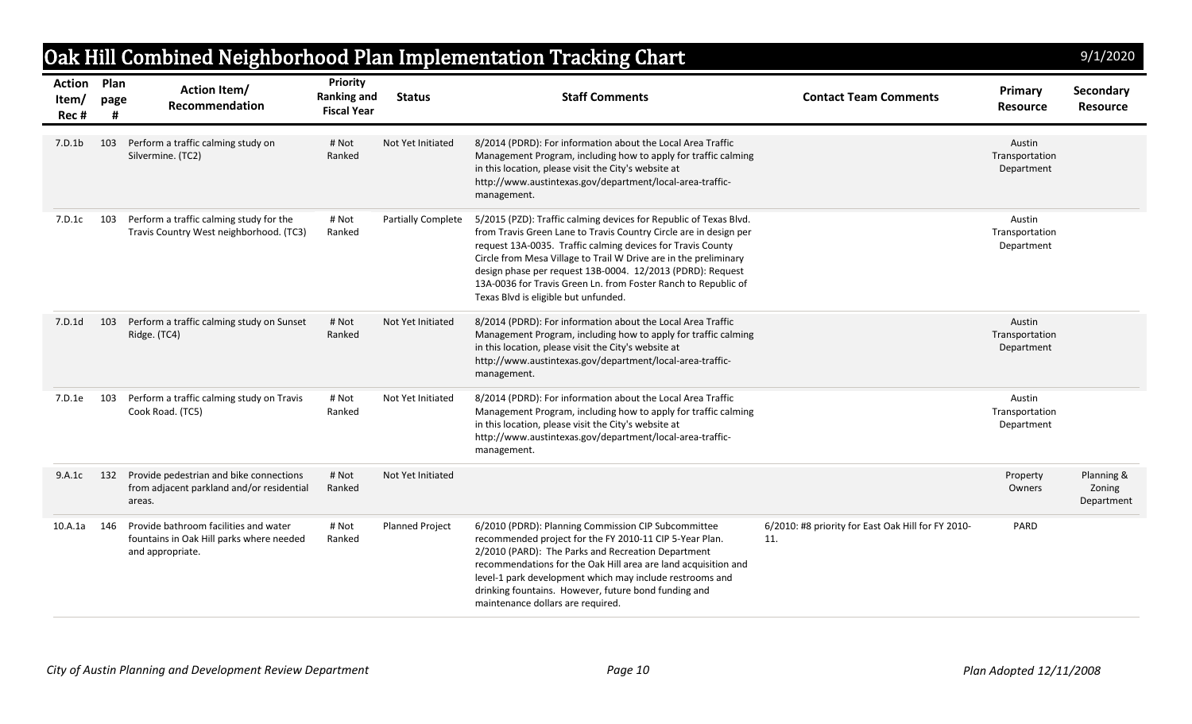|                                     |           |                                                                                                       |                                                             |                           | Oak Hill Combined Neighborhood Plan Implementation Tracking Chart                                                                                                                                                                                                                                                                                                                                                                                 |                                                           |                                        | 9/1/2020                           |
|-------------------------------------|-----------|-------------------------------------------------------------------------------------------------------|-------------------------------------------------------------|---------------------------|---------------------------------------------------------------------------------------------------------------------------------------------------------------------------------------------------------------------------------------------------------------------------------------------------------------------------------------------------------------------------------------------------------------------------------------------------|-----------------------------------------------------------|----------------------------------------|------------------------------------|
| <b>Action Plan</b><br>Item/<br>Rec# | page<br># | <b>Action Item/</b><br>Recommendation                                                                 | <b>Priority</b><br><b>Ranking and</b><br><b>Fiscal Year</b> | <b>Status</b>             | <b>Staff Comments</b>                                                                                                                                                                                                                                                                                                                                                                                                                             | <b>Contact Team Comments</b>                              | Primary<br><b>Resource</b>             | Secondary<br><b>Resource</b>       |
| 7.D.1b                              | 103       | Perform a traffic calming study on<br>Silvermine. (TC2)                                               | # Not<br>Ranked                                             | Not Yet Initiated         | 8/2014 (PDRD): For information about the Local Area Traffic<br>Management Program, including how to apply for traffic calming<br>in this location, please visit the City's website at<br>http://www.austintexas.gov/department/local-area-traffic-<br>management.                                                                                                                                                                                 |                                                           | Austin<br>Transportation<br>Department |                                    |
| 7.D.1c                              | 103       | Perform a traffic calming study for the<br>Travis Country West neighborhood. (TC3)                    | # Not<br>Ranked                                             | <b>Partially Complete</b> | 5/2015 (PZD): Traffic calming devices for Republic of Texas Blvd.<br>from Travis Green Lane to Travis Country Circle are in design per<br>request 13A-0035. Traffic calming devices for Travis County<br>Circle from Mesa Village to Trail W Drive are in the preliminary<br>design phase per request 13B-0004. 12/2013 (PDRD): Request<br>13A-0036 for Travis Green Ln. from Foster Ranch to Republic of<br>Texas Blvd is eligible but unfunded. |                                                           | Austin<br>Transportation<br>Department |                                    |
| 7.D.1d                              | 103       | Perform a traffic calming study on Sunset<br>Ridge. (TC4)                                             | # Not<br>Ranked                                             | Not Yet Initiated         | 8/2014 (PDRD): For information about the Local Area Traffic<br>Management Program, including how to apply for traffic calming<br>in this location, please visit the City's website at<br>http://www.austintexas.gov/department/local-area-traffic-<br>management.                                                                                                                                                                                 |                                                           | Austin<br>Transportation<br>Department |                                    |
| 7.D.1e                              | 103       | Perform a traffic calming study on Travis<br>Cook Road. (TC5)                                         | # Not<br>Ranked                                             | Not Yet Initiated         | 8/2014 (PDRD): For information about the Local Area Traffic<br>Management Program, including how to apply for traffic calming<br>in this location, please visit the City's website at<br>http://www.austintexas.gov/department/local-area-traffic-<br>management.                                                                                                                                                                                 |                                                           | Austin<br>Transportation<br>Department |                                    |
| 9.A.1c                              | 132       | Provide pedestrian and bike connections<br>from adjacent parkland and/or residential<br>areas.        | # Not<br>Ranked                                             | Not Yet Initiated         |                                                                                                                                                                                                                                                                                                                                                                                                                                                   |                                                           | Property<br>Owners                     | Planning &<br>Zoning<br>Department |
| 10.A.1a                             | 146       | Provide bathroom facilities and water<br>fountains in Oak Hill parks where needed<br>and appropriate. | # Not<br>Ranked                                             | <b>Planned Project</b>    | 6/2010 (PDRD): Planning Commission CIP Subcommittee<br>recommended project for the FY 2010-11 CIP 5-Year Plan.<br>2/2010 (PARD): The Parks and Recreation Department<br>recommendations for the Oak Hill area are land acquisition and<br>level-1 park development which may include restrooms and<br>drinking fountains. However, future bond funding and<br>maintenance dollars are required.                                                   | 6/2010: #8 priority for East Oak Hill for FY 2010-<br>11. | PARD                                   |                                    |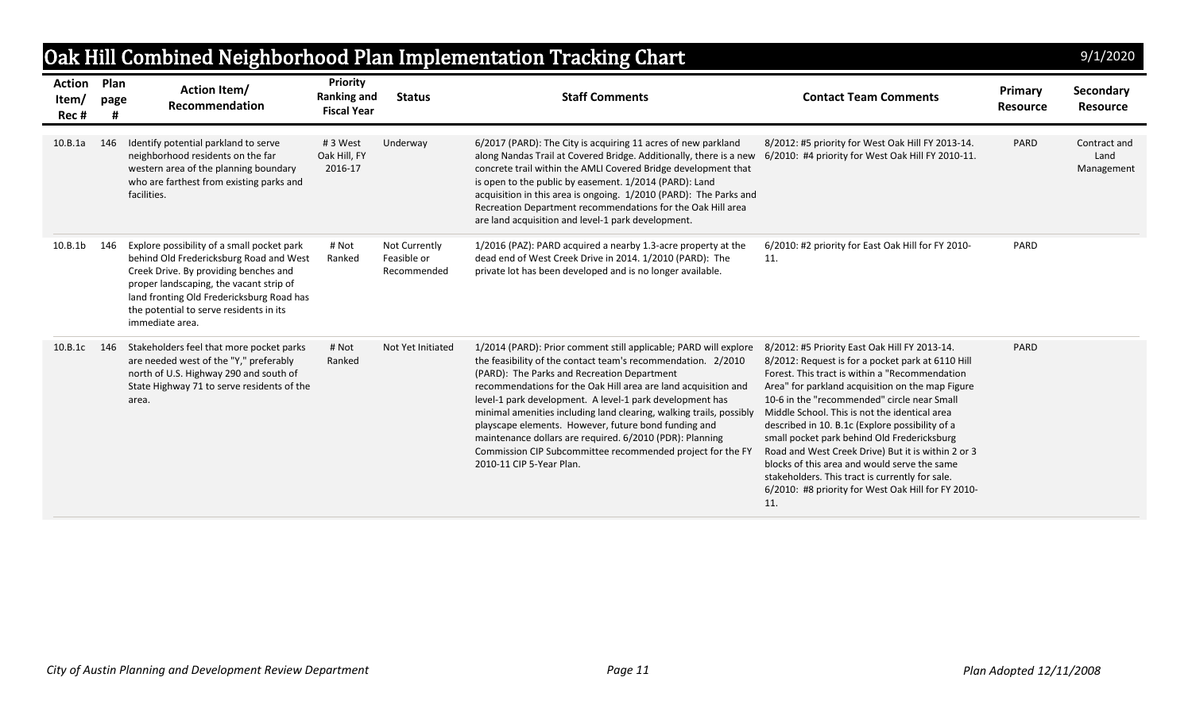|                                 |              |                                                                                                                                                                                                                                                                                      |                                                      |                                             | Oak Hill Combined Neighborhood Plan Implementation Tracking Chart                                                                                                                                                                                                                                                                                                                                                                                                                                                                                                                                  |                                                                                                                                                                                                                                                                                                                                                                                                                                                                                                                                                                                                                                  |                            | 9/1/2020                           |
|---------------------------------|--------------|--------------------------------------------------------------------------------------------------------------------------------------------------------------------------------------------------------------------------------------------------------------------------------------|------------------------------------------------------|---------------------------------------------|----------------------------------------------------------------------------------------------------------------------------------------------------------------------------------------------------------------------------------------------------------------------------------------------------------------------------------------------------------------------------------------------------------------------------------------------------------------------------------------------------------------------------------------------------------------------------------------------------|----------------------------------------------------------------------------------------------------------------------------------------------------------------------------------------------------------------------------------------------------------------------------------------------------------------------------------------------------------------------------------------------------------------------------------------------------------------------------------------------------------------------------------------------------------------------------------------------------------------------------------|----------------------------|------------------------------------|
| <b>Action</b><br>Item/<br>Rec # | Plan<br>page | <b>Action Item/</b><br>Recommendation                                                                                                                                                                                                                                                | Priority<br><b>Ranking and</b><br><b>Fiscal Year</b> | <b>Status</b>                               | <b>Staff Comments</b>                                                                                                                                                                                                                                                                                                                                                                                                                                                                                                                                                                              | <b>Contact Team Comments</b>                                                                                                                                                                                                                                                                                                                                                                                                                                                                                                                                                                                                     | Primary<br><b>Resource</b> | Secondary<br><b>Resource</b>       |
| 10.B.1a                         | 146          | Identify potential parkland to serve<br>neighborhood residents on the far<br>western area of the planning boundary<br>who are farthest from existing parks and<br>facilities.                                                                                                        | #3 West<br>Oak Hill, FY<br>2016-17                   | Underway                                    | 6/2017 (PARD): The City is acquiring 11 acres of new parkland<br>along Nandas Trail at Covered Bridge. Additionally, there is a new<br>concrete trail within the AMLI Covered Bridge development that<br>is open to the public by easement. 1/2014 (PARD): Land<br>acquisition in this area is ongoing. 1/2010 (PARD): The Parks and<br>Recreation Department recommendations for the Oak Hill area<br>are land acquisition and level-1 park development.                                                                                                                                          | 8/2012: #5 priority for West Oak Hill FY 2013-14.<br>6/2010: #4 priority for West Oak Hill FY 2010-11.                                                                                                                                                                                                                                                                                                                                                                                                                                                                                                                           | PARD                       | Contract and<br>Land<br>Management |
| 10.B.1b                         | 146          | Explore possibility of a small pocket park<br>behind Old Fredericksburg Road and West<br>Creek Drive. By providing benches and<br>proper landscaping, the vacant strip of<br>land fronting Old Fredericksburg Road has<br>the potential to serve residents in its<br>immediate area. | # Not<br>Ranked                                      | Not Currently<br>Feasible or<br>Recommended | 1/2016 (PAZ): PARD acquired a nearby 1.3-acre property at the<br>dead end of West Creek Drive in 2014. 1/2010 (PARD): The<br>private lot has been developed and is no longer available.                                                                                                                                                                                                                                                                                                                                                                                                            | 6/2010: #2 priority for East Oak Hill for FY 2010-<br>11.                                                                                                                                                                                                                                                                                                                                                                                                                                                                                                                                                                        | PARD                       |                                    |
| 10.B.1c                         | 146          | Stakeholders feel that more pocket parks<br>are needed west of the "Y," preferably<br>north of U.S. Highway 290 and south of<br>State Highway 71 to serve residents of the<br>area.                                                                                                  | # Not<br>Ranked                                      | Not Yet Initiated                           | 1/2014 (PARD): Prior comment still applicable; PARD will explore<br>the feasibility of the contact team's recommendation. 2/2010<br>(PARD): The Parks and Recreation Department<br>recommendations for the Oak Hill area are land acquisition and<br>level-1 park development. A level-1 park development has<br>minimal amenities including land clearing, walking trails, possibly<br>playscape elements. However, future bond funding and<br>maintenance dollars are required. 6/2010 (PDR): Planning<br>Commission CIP Subcommittee recommended project for the FY<br>2010-11 CIP 5-Year Plan. | 8/2012: #5 Priority East Oak Hill FY 2013-14.<br>8/2012: Request is for a pocket park at 6110 Hill<br>Forest. This tract is within a "Recommendation<br>Area" for parkland acquisition on the map Figure<br>10-6 in the "recommended" circle near Small<br>Middle School. This is not the identical area<br>described in 10. B.1c (Explore possibility of a<br>small pocket park behind Old Fredericksburg<br>Road and West Creek Drive) But it is within 2 or 3<br>blocks of this area and would serve the same<br>stakeholders. This tract is currently for sale.<br>6/2010: #8 priority for West Oak Hill for FY 2010-<br>11. | PARD                       |                                    |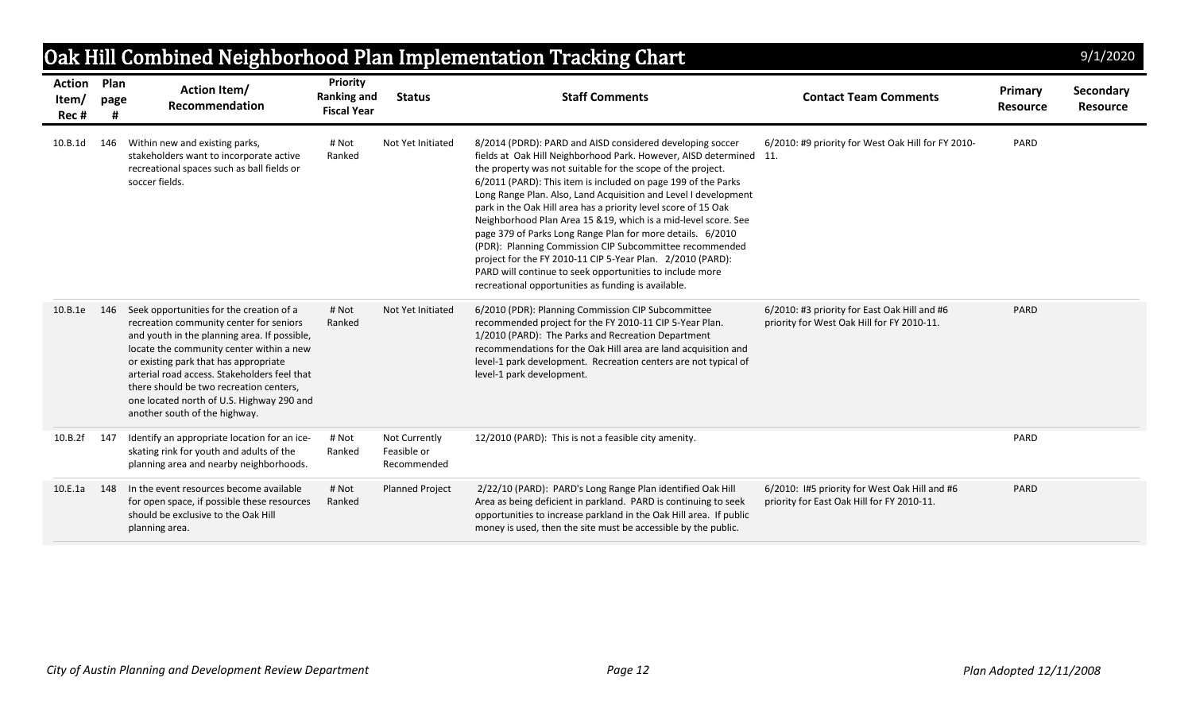|                                      |      |                                                                                                                                                                                                                                                                                                                                                                                                   |                                                             |                                             | Oak Hill Combined Neighborhood Plan Implementation Tracking Chart                                                                                                                                                                                                                                                                                                                                                                                                                                                                                                                                                                                                                                                                                                                |                                                                                             |                            | 9/1/2020              |
|--------------------------------------|------|---------------------------------------------------------------------------------------------------------------------------------------------------------------------------------------------------------------------------------------------------------------------------------------------------------------------------------------------------------------------------------------------------|-------------------------------------------------------------|---------------------------------------------|----------------------------------------------------------------------------------------------------------------------------------------------------------------------------------------------------------------------------------------------------------------------------------------------------------------------------------------------------------------------------------------------------------------------------------------------------------------------------------------------------------------------------------------------------------------------------------------------------------------------------------------------------------------------------------------------------------------------------------------------------------------------------------|---------------------------------------------------------------------------------------------|----------------------------|-----------------------|
| <b>Action Plan</b><br>Item/<br>Rec # | page | <b>Action Item/</b><br>Recommendation                                                                                                                                                                                                                                                                                                                                                             | <b>Priority</b><br><b>Ranking and</b><br><b>Fiscal Year</b> | <b>Status</b>                               | <b>Staff Comments</b>                                                                                                                                                                                                                                                                                                                                                                                                                                                                                                                                                                                                                                                                                                                                                            | <b>Contact Team Comments</b>                                                                | Primary<br><b>Resource</b> | Secondary<br>Resource |
| 10.B.1d                              | 146  | Within new and existing parks,<br>stakeholders want to incorporate active<br>recreational spaces such as ball fields or<br>soccer fields.                                                                                                                                                                                                                                                         | # Not<br>Ranked                                             | Not Yet Initiated                           | 8/2014 (PDRD): PARD and AISD considered developing soccer<br>fields at Oak Hill Neighborhood Park. However, AISD determined 11.<br>the property was not suitable for the scope of the project.<br>6/2011 (PARD): This item is included on page 199 of the Parks<br>Long Range Plan. Also, Land Acquisition and Level I development<br>park in the Oak Hill area has a priority level score of 15 Oak<br>Neighborhood Plan Area 15 &19, which is a mid-level score. See<br>page 379 of Parks Long Range Plan for more details. 6/2010<br>(PDR): Planning Commission CIP Subcommittee recommended<br>project for the FY 2010-11 CIP 5-Year Plan. 2/2010 (PARD):<br>PARD will continue to seek opportunities to include more<br>recreational opportunities as funding is available. | 6/2010: #9 priority for West Oak Hill for FY 2010-                                          | PARD                       |                       |
| 10.B.1e                              | 146  | Seek opportunities for the creation of a<br>recreation community center for seniors<br>and youth in the planning area. If possible,<br>locate the community center within a new<br>or existing park that has appropriate<br>arterial road access. Stakeholders feel that<br>there should be two recreation centers,<br>one located north of U.S. Highway 290 and<br>another south of the highway. | # Not<br>Ranked                                             | Not Yet Initiated                           | 6/2010 (PDR): Planning Commission CIP Subcommittee<br>recommended project for the FY 2010-11 CIP 5-Year Plan.<br>1/2010 (PARD): The Parks and Recreation Department<br>recommendations for the Oak Hill area are land acquisition and<br>level-1 park development. Recreation centers are not typical of<br>level-1 park development.                                                                                                                                                                                                                                                                                                                                                                                                                                            | 6/2010: #3 priority for East Oak Hill and #6<br>priority for West Oak Hill for FY 2010-11.  | PARD                       |                       |
| 10.B.2f                              | 147  | Identify an appropriate location for an ice-<br>skating rink for youth and adults of the<br>planning area and nearby neighborhoods.                                                                                                                                                                                                                                                               | # Not<br>Ranked                                             | Not Currently<br>Feasible or<br>Recommended | 12/2010 (PARD): This is not a feasible city amenity.                                                                                                                                                                                                                                                                                                                                                                                                                                                                                                                                                                                                                                                                                                                             |                                                                                             | PARD                       |                       |
| 10.E.1a                              | 148  | In the event resources become available<br>for open space, if possible these resources<br>should be exclusive to the Oak Hill<br>planning area.                                                                                                                                                                                                                                                   | # Not<br>Ranked                                             | <b>Planned Project</b>                      | 2/22/10 (PARD): PARD's Long Range Plan identified Oak Hill<br>Area as being deficient in parkland. PARD is continuing to seek<br>opportunities to increase parkland in the Oak Hill area. If public<br>money is used, then the site must be accessible by the public.                                                                                                                                                                                                                                                                                                                                                                                                                                                                                                            | 6/2010: I#5 priority for West Oak Hill and #6<br>priority for East Oak Hill for FY 2010-11. | PARD                       |                       |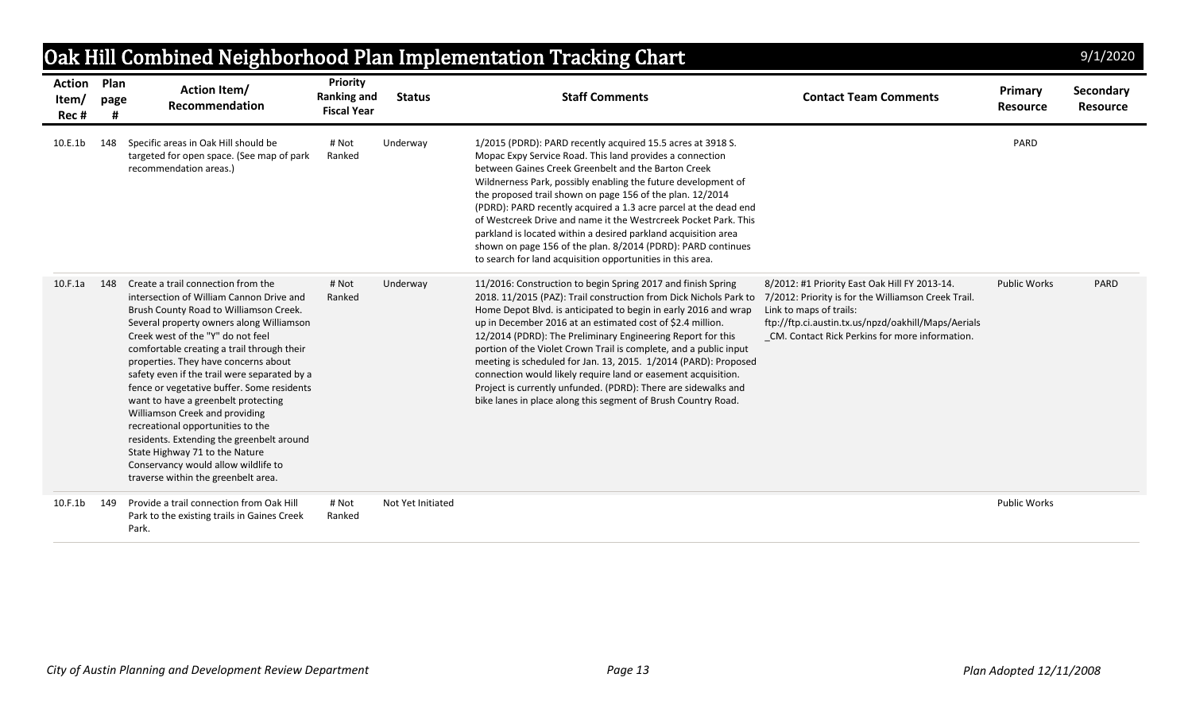|                                |                   |                                                                                                                                                                                                                                                                                                                                                                                                                                                                                                                                                                                                                                                                          |                                                             |                   | Oak Hill Combined Neighborhood Plan Implementation Tracking Chart                                                                                                                                                                                                                                                                                                                                                                                                                                                                                                                                                                                                             |                                                                                                                                                                                                                                          |                            | 9/1/2020                     |
|--------------------------------|-------------------|--------------------------------------------------------------------------------------------------------------------------------------------------------------------------------------------------------------------------------------------------------------------------------------------------------------------------------------------------------------------------------------------------------------------------------------------------------------------------------------------------------------------------------------------------------------------------------------------------------------------------------------------------------------------------|-------------------------------------------------------------|-------------------|-------------------------------------------------------------------------------------------------------------------------------------------------------------------------------------------------------------------------------------------------------------------------------------------------------------------------------------------------------------------------------------------------------------------------------------------------------------------------------------------------------------------------------------------------------------------------------------------------------------------------------------------------------------------------------|------------------------------------------------------------------------------------------------------------------------------------------------------------------------------------------------------------------------------------------|----------------------------|------------------------------|
| <b>Action</b><br>Item/<br>Rec# | Plan<br>page<br># | <b>Action Item/</b><br>Recommendation                                                                                                                                                                                                                                                                                                                                                                                                                                                                                                                                                                                                                                    | <b>Priority</b><br><b>Ranking and</b><br><b>Fiscal Year</b> | <b>Status</b>     | <b>Staff Comments</b>                                                                                                                                                                                                                                                                                                                                                                                                                                                                                                                                                                                                                                                         | <b>Contact Team Comments</b>                                                                                                                                                                                                             | Primary<br><b>Resource</b> | Secondary<br><b>Resource</b> |
| 10.E.1b                        | 148               | Specific areas in Oak Hill should be<br>targeted for open space. (See map of park<br>recommendation areas.)                                                                                                                                                                                                                                                                                                                                                                                                                                                                                                                                                              | # Not<br>Ranked                                             | Underway          | 1/2015 (PDRD): PARD recently acquired 15.5 acres at 3918 S.<br>Mopac Expy Service Road. This land provides a connection<br>between Gaines Creek Greenbelt and the Barton Creek<br>Wildnerness Park, possibly enabling the future development of<br>the proposed trail shown on page 156 of the plan. 12/2014<br>(PDRD): PARD recently acquired a 1.3 acre parcel at the dead end<br>of Westcreek Drive and name it the Westrcreek Pocket Park. This<br>parkland is located within a desired parkland acquisition area<br>shown on page 156 of the plan. 8/2014 (PDRD): PARD continues<br>to search for land acquisition opportunities in this area.                           |                                                                                                                                                                                                                                          | PARD                       |                              |
| 10.F.1a                        | 148               | Create a trail connection from the<br>intersection of William Cannon Drive and<br>Brush County Road to Williamson Creek.<br>Several property owners along Williamson<br>Creek west of the "Y" do not feel<br>comfortable creating a trail through their<br>properties. They have concerns about<br>safety even if the trail were separated by a<br>fence or vegetative buffer. Some residents<br>want to have a greenbelt protecting<br>Williamson Creek and providing<br>recreational opportunities to the<br>residents. Extending the greenbelt around<br>State Highway 71 to the Nature<br>Conservancy would allow wildlife to<br>traverse within the greenbelt area. | # Not<br>Ranked                                             | Underway          | 11/2016: Construction to begin Spring 2017 and finish Spring<br>2018. 11/2015 (PAZ): Trail construction from Dick Nichols Park to<br>Home Depot Blvd. is anticipated to begin in early 2016 and wrap<br>up in December 2016 at an estimated cost of \$2.4 million.<br>12/2014 (PDRD): The Preliminary Engineering Report for this<br>portion of the Violet Crown Trail is complete, and a public input<br>meeting is scheduled for Jan. 13, 2015. 1/2014 (PARD): Proposed<br>connection would likely require land or easement acquisition.<br>Project is currently unfunded. (PDRD): There are sidewalks and<br>bike lanes in place along this segment of Brush Country Road. | 8/2012: #1 Priority East Oak Hill FY 2013-14.<br>7/2012: Priority is for the Williamson Creek Trail.<br>Link to maps of trails:<br>ftp://ftp.ci.austin.tx.us/npzd/oakhill/Maps/Aerials<br>CM. Contact Rick Perkins for more information. | <b>Public Works</b>        | PARD                         |
| 10.F.1b                        | 149               | Provide a trail connection from Oak Hill<br>Park to the existing trails in Gaines Creek<br>Park.                                                                                                                                                                                                                                                                                                                                                                                                                                                                                                                                                                         | # Not<br>Ranked                                             | Not Yet Initiated |                                                                                                                                                                                                                                                                                                                                                                                                                                                                                                                                                                                                                                                                               |                                                                                                                                                                                                                                          | <b>Public Works</b>        |                              |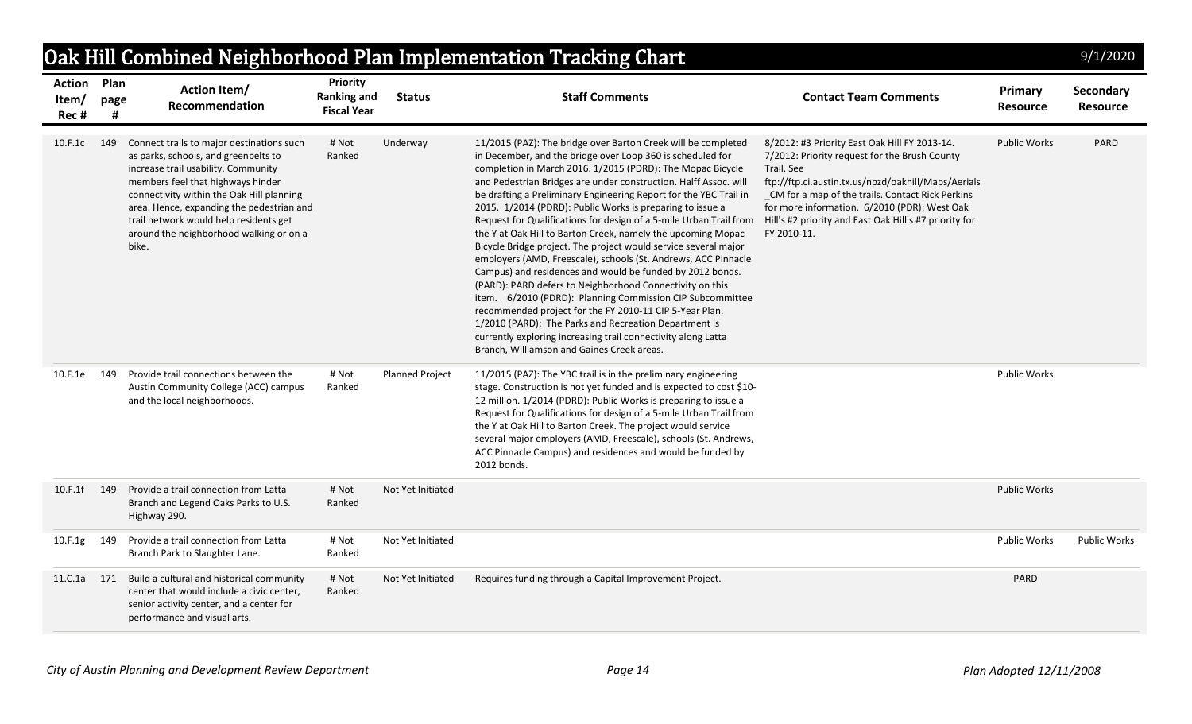|                                     |      |                                                                                                                                                                                                                                                                                                                                                       |                                                             |                        | Oak Hill Combined Neighborhood Plan Implementation Tracking Chart                                                                                                                                                                                                                                                                                                                                                                                                                                                                                                                                                                                                                                                                                                                                                                                                                                                                                                                                                                                                                                   |                                                                                                                                                                                                                                                                                                                                                  |                            | 9/1/2020                     |
|-------------------------------------|------|-------------------------------------------------------------------------------------------------------------------------------------------------------------------------------------------------------------------------------------------------------------------------------------------------------------------------------------------------------|-------------------------------------------------------------|------------------------|-----------------------------------------------------------------------------------------------------------------------------------------------------------------------------------------------------------------------------------------------------------------------------------------------------------------------------------------------------------------------------------------------------------------------------------------------------------------------------------------------------------------------------------------------------------------------------------------------------------------------------------------------------------------------------------------------------------------------------------------------------------------------------------------------------------------------------------------------------------------------------------------------------------------------------------------------------------------------------------------------------------------------------------------------------------------------------------------------------|--------------------------------------------------------------------------------------------------------------------------------------------------------------------------------------------------------------------------------------------------------------------------------------------------------------------------------------------------|----------------------------|------------------------------|
| <b>Action Plan</b><br>Item/<br>Rec# | page | <b>Action Item/</b><br>Recommendation                                                                                                                                                                                                                                                                                                                 | <b>Priority</b><br><b>Ranking and</b><br><b>Fiscal Year</b> | <b>Status</b>          | <b>Staff Comments</b>                                                                                                                                                                                                                                                                                                                                                                                                                                                                                                                                                                                                                                                                                                                                                                                                                                                                                                                                                                                                                                                                               | <b>Contact Team Comments</b>                                                                                                                                                                                                                                                                                                                     | Primary<br><b>Resource</b> | Secondary<br><b>Resource</b> |
| 10.F.1c                             | 149  | Connect trails to major destinations such<br>as parks, schools, and greenbelts to<br>increase trail usability. Community<br>members feel that highways hinder<br>connectivity within the Oak Hill planning<br>area. Hence, expanding the pedestrian and<br>trail network would help residents get<br>around the neighborhood walking or on a<br>bike. | # Not<br>Ranked                                             | Underway               | 11/2015 (PAZ): The bridge over Barton Creek will be completed<br>in December, and the bridge over Loop 360 is scheduled for<br>completion in March 2016. 1/2015 (PDRD): The Mopac Bicycle<br>and Pedestrian Bridges are under construction. Halff Assoc. will<br>be drafting a Preliminary Engineering Report for the YBC Trail in<br>2015. 1/2014 (PDRD): Public Works is preparing to issue a<br>Request for Qualifications for design of a 5-mile Urban Trail from<br>the Y at Oak Hill to Barton Creek, namely the upcoming Mopac<br>Bicycle Bridge project. The project would service several major<br>employers (AMD, Freescale), schools (St. Andrews, ACC Pinnacle<br>Campus) and residences and would be funded by 2012 bonds.<br>(PARD): PARD defers to Neighborhood Connectivity on this<br>item. 6/2010 (PDRD): Planning Commission CIP Subcommittee<br>recommended project for the FY 2010-11 CIP 5-Year Plan.<br>1/2010 (PARD): The Parks and Recreation Department is<br>currently exploring increasing trail connectivity along Latta<br>Branch, Williamson and Gaines Creek areas. | 8/2012: #3 Priority East Oak Hill FY 2013-14.<br>7/2012: Priority request for the Brush County<br>Trail. See<br>ftp://ftp.ci.austin.tx.us/npzd/oakhill/Maps/Aerials<br>CM for a map of the trails. Contact Rick Perkins<br>for more information. 6/2010 (PDR): West Oak<br>Hill's #2 priority and East Oak Hill's #7 priority for<br>FY 2010-11. | <b>Public Works</b>        | PARD                         |
| 10.F.1e                             | 149  | Provide trail connections between the<br>Austin Community College (ACC) campus<br>and the local neighborhoods.                                                                                                                                                                                                                                        | # Not<br>Ranked                                             | <b>Planned Project</b> | 11/2015 (PAZ): The YBC trail is in the preliminary engineering<br>stage. Construction is not yet funded and is expected to cost \$10-<br>12 million. 1/2014 (PDRD): Public Works is preparing to issue a<br>Request for Qualifications for design of a 5-mile Urban Trail from<br>the Y at Oak Hill to Barton Creek. The project would service<br>several major employers (AMD, Freescale), schools (St. Andrews,<br>ACC Pinnacle Campus) and residences and would be funded by<br>2012 bonds.                                                                                                                                                                                                                                                                                                                                                                                                                                                                                                                                                                                                      |                                                                                                                                                                                                                                                                                                                                                  | <b>Public Works</b>        |                              |
| 10.F.1f                             | 149  | Provide a trail connection from Latta<br>Branch and Legend Oaks Parks to U.S.<br>Highway 290.                                                                                                                                                                                                                                                         | # Not<br>Ranked                                             | Not Yet Initiated      |                                                                                                                                                                                                                                                                                                                                                                                                                                                                                                                                                                                                                                                                                                                                                                                                                                                                                                                                                                                                                                                                                                     |                                                                                                                                                                                                                                                                                                                                                  | <b>Public Works</b>        |                              |
| 10.F.1g                             | 149  | Provide a trail connection from Latta<br>Branch Park to Slaughter Lane.                                                                                                                                                                                                                                                                               | # Not<br>Ranked                                             | Not Yet Initiated      |                                                                                                                                                                                                                                                                                                                                                                                                                                                                                                                                                                                                                                                                                                                                                                                                                                                                                                                                                                                                                                                                                                     |                                                                                                                                                                                                                                                                                                                                                  | <b>Public Works</b>        | <b>Public Works</b>          |
| 11.C.1a                             | 171  | Build a cultural and historical community<br>center that would include a civic center,<br>senior activity center, and a center for<br>performance and visual arts.                                                                                                                                                                                    | # Not<br>Ranked                                             | Not Yet Initiated      | Requires funding through a Capital Improvement Project.                                                                                                                                                                                                                                                                                                                                                                                                                                                                                                                                                                                                                                                                                                                                                                                                                                                                                                                                                                                                                                             |                                                                                                                                                                                                                                                                                                                                                  | PARD                       |                              |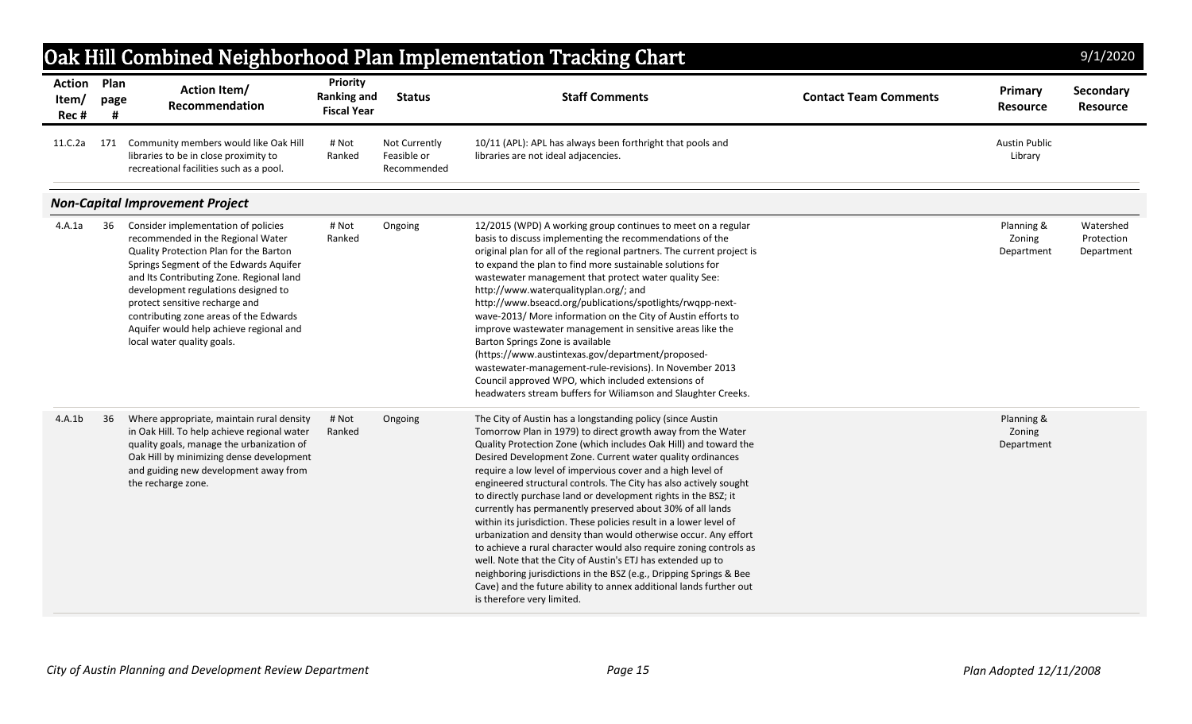|                                |              |                                                                                                                                                                                                                                                                                                                                                                                                      |                                                             |                                             | Oak Hill Combined Neighborhood Plan Implementation Tracking Chart                                                                                                                                                                                                                                                                                                                                                                                                                                                                                                                                                                                                                                                                                                                                                                                                                                                                                                                       |                              |                                    | 9/1/2020                              |
|--------------------------------|--------------|------------------------------------------------------------------------------------------------------------------------------------------------------------------------------------------------------------------------------------------------------------------------------------------------------------------------------------------------------------------------------------------------------|-------------------------------------------------------------|---------------------------------------------|-----------------------------------------------------------------------------------------------------------------------------------------------------------------------------------------------------------------------------------------------------------------------------------------------------------------------------------------------------------------------------------------------------------------------------------------------------------------------------------------------------------------------------------------------------------------------------------------------------------------------------------------------------------------------------------------------------------------------------------------------------------------------------------------------------------------------------------------------------------------------------------------------------------------------------------------------------------------------------------------|------------------------------|------------------------------------|---------------------------------------|
| <b>Action</b><br>Item/<br>Rec# | Plan<br>page | <b>Action Item/</b><br>Recommendation                                                                                                                                                                                                                                                                                                                                                                | <b>Priority</b><br><b>Ranking and</b><br><b>Fiscal Year</b> | <b>Status</b>                               | <b>Staff Comments</b>                                                                                                                                                                                                                                                                                                                                                                                                                                                                                                                                                                                                                                                                                                                                                                                                                                                                                                                                                                   | <b>Contact Team Comments</b> | Primary<br><b>Resource</b>         | Secondary<br><b>Resource</b>          |
| 11.C.2a                        | 171          | Community members would like Oak Hill<br>libraries to be in close proximity to<br>recreational facilities such as a pool.                                                                                                                                                                                                                                                                            | # Not<br>Ranked                                             | Not Currently<br>Feasible or<br>Recommended | 10/11 (APL): APL has always been forthright that pools and<br>libraries are not ideal adjacencies.                                                                                                                                                                                                                                                                                                                                                                                                                                                                                                                                                                                                                                                                                                                                                                                                                                                                                      |                              | <b>Austin Public</b><br>Library    |                                       |
|                                |              | <b>Non-Capital Improvement Project</b>                                                                                                                                                                                                                                                                                                                                                               |                                                             |                                             |                                                                                                                                                                                                                                                                                                                                                                                                                                                                                                                                                                                                                                                                                                                                                                                                                                                                                                                                                                                         |                              |                                    |                                       |
| 4.A.1a                         | 36           | Consider implementation of policies<br>recommended in the Regional Water<br>Quality Protection Plan for the Barton<br>Springs Segment of the Edwards Aquifer<br>and Its Contributing Zone. Regional land<br>development regulations designed to<br>protect sensitive recharge and<br>contributing zone areas of the Edwards<br>Aquifer would help achieve regional and<br>local water quality goals. | # Not<br>Ranked                                             | Ongoing                                     | 12/2015 (WPD) A working group continues to meet on a regular<br>basis to discuss implementing the recommendations of the<br>original plan for all of the regional partners. The current project is<br>to expand the plan to find more sustainable solutions for<br>wastewater management that protect water quality See:<br>http://www.waterqualityplan.org/; and<br>http://www.bseacd.org/publications/spotlights/rwqpp-next-<br>wave-2013/ More information on the City of Austin efforts to<br>improve wastewater management in sensitive areas like the<br>Barton Springs Zone is available<br>(https://www.austintexas.gov/department/proposed-<br>wastewater-management-rule-revisions). In November 2013<br>Council approved WPO, which included extensions of<br>headwaters stream buffers for Wiliamson and Slaughter Creeks.                                                                                                                                                  |                              | Planning &<br>Zoning<br>Department | Watershed<br>Protection<br>Department |
| 4.A.1b                         | 36           | Where appropriate, maintain rural density<br>in Oak Hill. To help achieve regional water<br>quality goals, manage the urbanization of<br>Oak Hill by minimizing dense development<br>and guiding new development away from<br>the recharge zone.                                                                                                                                                     | # Not<br>Ranked                                             | Ongoing                                     | The City of Austin has a longstanding policy (since Austin<br>Tomorrow Plan in 1979) to direct growth away from the Water<br>Quality Protection Zone (which includes Oak Hill) and toward the<br>Desired Development Zone. Current water quality ordinances<br>require a low level of impervious cover and a high level of<br>engineered structural controls. The City has also actively sought<br>to directly purchase land or development rights in the BSZ; it<br>currently has permanently preserved about 30% of all lands<br>within its jurisdiction. These policies result in a lower level of<br>urbanization and density than would otherwise occur. Any effort<br>to achieve a rural character would also require zoning controls as<br>well. Note that the City of Austin's ETJ has extended up to<br>neighboring jurisdictions in the BSZ (e.g., Dripping Springs & Bee<br>Cave) and the future ability to annex additional lands further out<br>is therefore very limited. |                              | Planning &<br>Zoning<br>Department |                                       |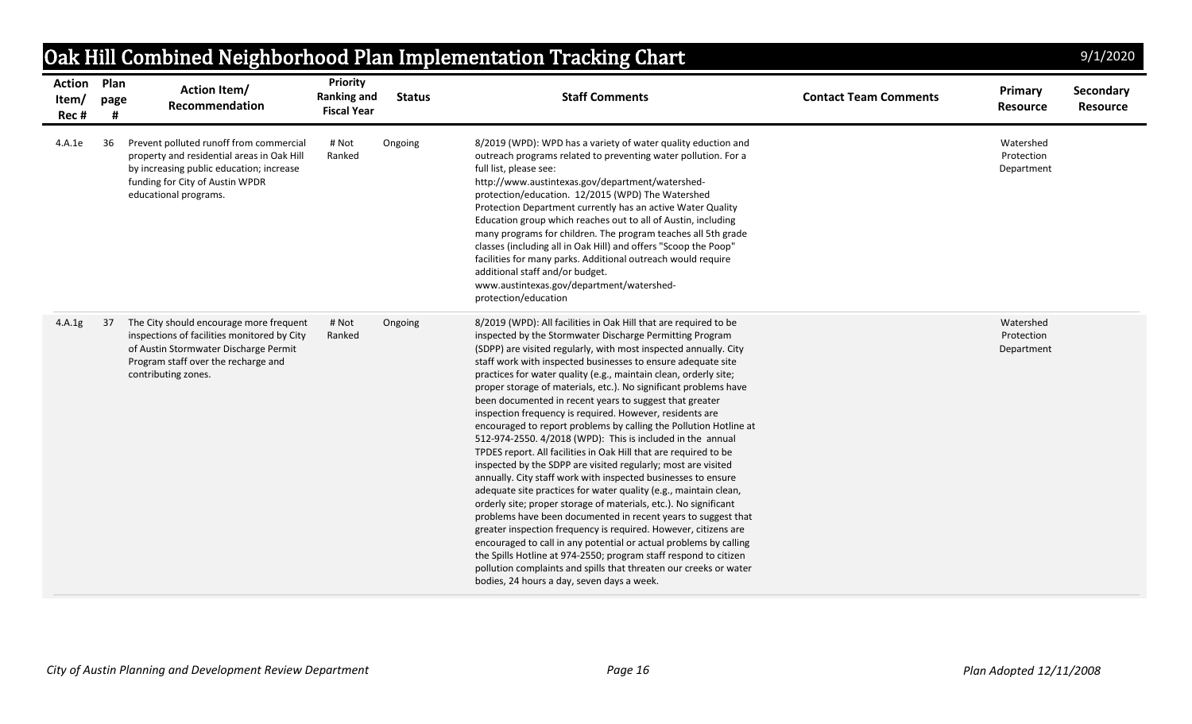| <b>Action Plan</b><br>Item/<br>Rec# | page | <b>Action Item/</b><br>Recommendation                                                                                                                                                         | Priority<br><b>Ranking and</b><br><b>Fiscal Year</b> | <b>Status</b> | <b>Staff Comments</b>                                                                                                                                                                                                                                                                                                                                                                                                                                                                                                                                                                                                                                                                                                                                                                                                                                                                                                                                                                                                                                                                                                                                                                                                                                                                                                                                                                                            | <b>Contact Team Comments</b> | Primary<br><b>Resource</b>            | Secondary<br><b>Resource</b> |
|-------------------------------------|------|-----------------------------------------------------------------------------------------------------------------------------------------------------------------------------------------------|------------------------------------------------------|---------------|------------------------------------------------------------------------------------------------------------------------------------------------------------------------------------------------------------------------------------------------------------------------------------------------------------------------------------------------------------------------------------------------------------------------------------------------------------------------------------------------------------------------------------------------------------------------------------------------------------------------------------------------------------------------------------------------------------------------------------------------------------------------------------------------------------------------------------------------------------------------------------------------------------------------------------------------------------------------------------------------------------------------------------------------------------------------------------------------------------------------------------------------------------------------------------------------------------------------------------------------------------------------------------------------------------------------------------------------------------------------------------------------------------------|------------------------------|---------------------------------------|------------------------------|
| 4.A.1e                              | 36   | Prevent polluted runoff from commercial<br>property and residential areas in Oak Hill<br>by increasing public education; increase<br>funding for City of Austin WPDR<br>educational programs. | # Not<br>Ranked                                      | Ongoing       | 8/2019 (WPD): WPD has a variety of water quality eduction and<br>outreach programs related to preventing water pollution. For a<br>full list, please see:<br>http://www.austintexas.gov/department/watershed-<br>protection/education. 12/2015 (WPD) The Watershed<br>Protection Department currently has an active Water Quality<br>Education group which reaches out to all of Austin, including<br>many programs for children. The program teaches all 5th grade<br>classes (including all in Oak Hill) and offers "Scoop the Poop"<br>facilities for many parks. Additional outreach would require<br>additional staff and/or budget.<br>www.austintexas.gov/department/watershed-<br>protection/education                                                                                                                                                                                                                                                                                                                                                                                                                                                                                                                                                                                                                                                                                                   |                              | Watershed<br>Protection<br>Department |                              |
| 4.A.1g                              | 37   | The City should encourage more frequent<br>inspections of facilities monitored by City<br>of Austin Stormwater Discharge Permit<br>Program staff over the recharge and<br>contributing zones. | # Not<br>Ranked                                      | Ongoing       | 8/2019 (WPD): All facilities in Oak Hill that are required to be<br>inspected by the Stormwater Discharge Permitting Program<br>(SDPP) are visited regularly, with most inspected annually. City<br>staff work with inspected businesses to ensure adequate site<br>practices for water quality (e.g., maintain clean, orderly site;<br>proper storage of materials, etc.). No significant problems have<br>been documented in recent years to suggest that greater<br>inspection frequency is required. However, residents are<br>encouraged to report problems by calling the Pollution Hotline at<br>512-974-2550. 4/2018 (WPD): This is included in the annual<br>TPDES report. All facilities in Oak Hill that are required to be<br>inspected by the SDPP are visited regularly; most are visited<br>annually. City staff work with inspected businesses to ensure<br>adequate site practices for water quality (e.g., maintain clean,<br>orderly site; proper storage of materials, etc.). No significant<br>problems have been documented in recent years to suggest that<br>greater inspection frequency is required. However, citizens are<br>encouraged to call in any potential or actual problems by calling<br>the Spills Hotline at 974-2550; program staff respond to citizen<br>pollution complaints and spills that threaten our creeks or water<br>bodies, 24 hours a day, seven days a week. |                              | Watershed<br>Protection<br>Department |                              |

## *City of Austin Planning and Development Review Department Page 16 Plan Adopted 12/11/2008*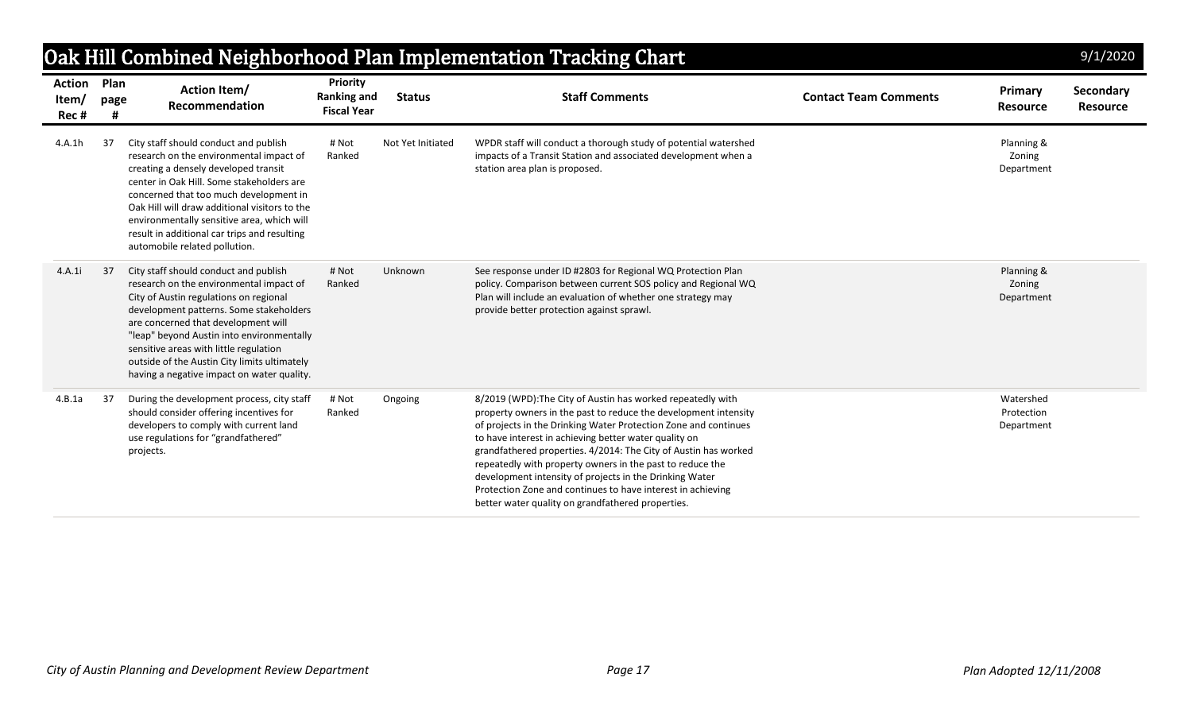|                                |              |                                                                                                                                                                                                                                                                                                                                                                                                   |                                                      |                   | Oak Hill Combined Neighborhood Plan Implementation Tracking Chart                                                                                                                                                                                                                                                                                                                                                                                                                                                                                                         |                              |                                       | 9/1/2020                     |
|--------------------------------|--------------|---------------------------------------------------------------------------------------------------------------------------------------------------------------------------------------------------------------------------------------------------------------------------------------------------------------------------------------------------------------------------------------------------|------------------------------------------------------|-------------------|---------------------------------------------------------------------------------------------------------------------------------------------------------------------------------------------------------------------------------------------------------------------------------------------------------------------------------------------------------------------------------------------------------------------------------------------------------------------------------------------------------------------------------------------------------------------------|------------------------------|---------------------------------------|------------------------------|
| <b>Action</b><br>Item/<br>Rec# | Plan<br>page | <b>Action Item/</b><br>Recommendation                                                                                                                                                                                                                                                                                                                                                             | Priority<br><b>Ranking and</b><br><b>Fiscal Year</b> | <b>Status</b>     | <b>Staff Comments</b>                                                                                                                                                                                                                                                                                                                                                                                                                                                                                                                                                     | <b>Contact Team Comments</b> | Primary<br><b>Resource</b>            | Secondary<br><b>Resource</b> |
| 4.A.1h                         | 37           | City staff should conduct and publish<br>research on the environmental impact of<br>creating a densely developed transit<br>center in Oak Hill. Some stakeholders are<br>concerned that too much development in<br>Oak Hill will draw additional visitors to the<br>environmentally sensitive area, which will<br>result in additional car trips and resulting<br>automobile related pollution.   | # Not<br>Ranked                                      | Not Yet Initiated | WPDR staff will conduct a thorough study of potential watershed<br>impacts of a Transit Station and associated development when a<br>station area plan is proposed.                                                                                                                                                                                                                                                                                                                                                                                                       |                              | Planning &<br>Zoning<br>Department    |                              |
| 4.A.1i                         | 37           | City staff should conduct and publish<br>research on the environmental impact of<br>City of Austin regulations on regional<br>development patterns. Some stakeholders<br>are concerned that development will<br>"leap" beyond Austin into environmentally<br>sensitive areas with little regulation<br>outside of the Austin City limits ultimately<br>having a negative impact on water quality. | # Not<br>Ranked                                      | Unknown           | See response under ID #2803 for Regional WQ Protection Plan<br>policy. Comparison between current SOS policy and Regional WQ<br>Plan will include an evaluation of whether one strategy may<br>provide better protection against sprawl.                                                                                                                                                                                                                                                                                                                                  |                              | Planning &<br>Zoning<br>Department    |                              |
| 4.B.1a                         | 37           | During the development process, city staff<br>should consider offering incentives for<br>developers to comply with current land<br>use regulations for "grandfathered"<br>projects.                                                                                                                                                                                                               | # Not<br>Ranked                                      | Ongoing           | 8/2019 (WPD): The City of Austin has worked repeatedly with<br>property owners in the past to reduce the development intensity<br>of projects in the Drinking Water Protection Zone and continues<br>to have interest in achieving better water quality on<br>grandfathered properties. 4/2014: The City of Austin has worked<br>repeatedly with property owners in the past to reduce the<br>development intensity of projects in the Drinking Water<br>Protection Zone and continues to have interest in achieving<br>better water quality on grandfathered properties. |                              | Watershed<br>Protection<br>Department |                              |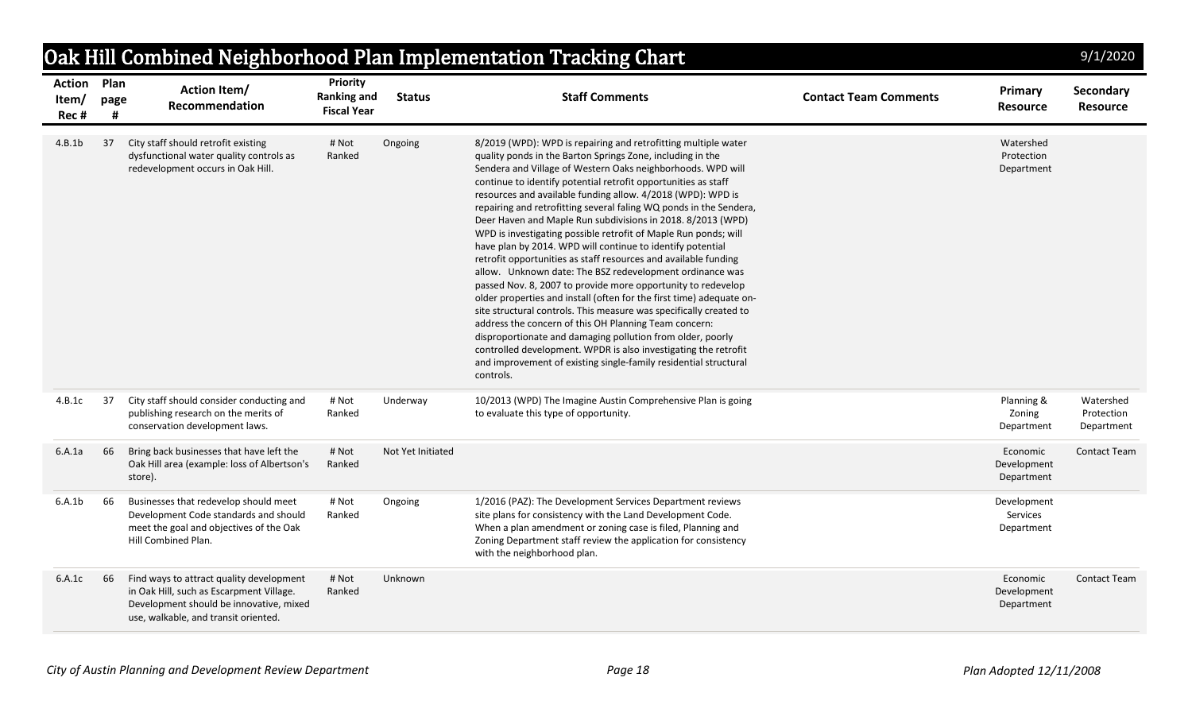|                                |                   |                                                                                                                                                                         |                                                             |                   | Oak Hill Combined Neighborhood Plan Implementation Tracking Chart                                                                                                                                                                                                                                                                                                                                                                                                                                                                                                                                                                                                                                                                                                                                                                                                                                                                                                                                                                                                                                                                                                                                                          |                              |                                       | 9/1/2020                              |
|--------------------------------|-------------------|-------------------------------------------------------------------------------------------------------------------------------------------------------------------------|-------------------------------------------------------------|-------------------|----------------------------------------------------------------------------------------------------------------------------------------------------------------------------------------------------------------------------------------------------------------------------------------------------------------------------------------------------------------------------------------------------------------------------------------------------------------------------------------------------------------------------------------------------------------------------------------------------------------------------------------------------------------------------------------------------------------------------------------------------------------------------------------------------------------------------------------------------------------------------------------------------------------------------------------------------------------------------------------------------------------------------------------------------------------------------------------------------------------------------------------------------------------------------------------------------------------------------|------------------------------|---------------------------------------|---------------------------------------|
| <b>Action</b><br>Item/<br>Rec# | Plan<br>page<br># | <b>Action Item/</b><br><b>Recommendation</b>                                                                                                                            | <b>Priority</b><br><b>Ranking and</b><br><b>Fiscal Year</b> | <b>Status</b>     | <b>Staff Comments</b>                                                                                                                                                                                                                                                                                                                                                                                                                                                                                                                                                                                                                                                                                                                                                                                                                                                                                                                                                                                                                                                                                                                                                                                                      | <b>Contact Team Comments</b> | Primary<br><b>Resource</b>            | Secondary<br>Resource                 |
| 4.B.1b                         | 37                | City staff should retrofit existing<br>dysfunctional water quality controls as<br>redevelopment occurs in Oak Hill.                                                     | # Not<br>Ranked                                             | Ongoing           | 8/2019 (WPD): WPD is repairing and retrofitting multiple water<br>quality ponds in the Barton Springs Zone, including in the<br>Sendera and Village of Western Oaks neighborhoods. WPD will<br>continue to identify potential retrofit opportunities as staff<br>resources and available funding allow. 4/2018 (WPD): WPD is<br>repairing and retrofitting several faling WQ ponds in the Sendera,<br>Deer Haven and Maple Run subdivisions in 2018. 8/2013 (WPD)<br>WPD is investigating possible retrofit of Maple Run ponds; will<br>have plan by 2014. WPD will continue to identify potential<br>retrofit opportunities as staff resources and available funding<br>allow. Unknown date: The BSZ redevelopment ordinance was<br>passed Nov. 8, 2007 to provide more opportunity to redevelop<br>older properties and install (often for the first time) adequate on-<br>site structural controls. This measure was specifically created to<br>address the concern of this OH Planning Team concern:<br>disproportionate and damaging pollution from older, poorly<br>controlled development. WPDR is also investigating the retrofit<br>and improvement of existing single-family residential structural<br>controls. |                              | Watershed<br>Protection<br>Department |                                       |
| 4.B.1c                         | 37                | City staff should consider conducting and<br>publishing research on the merits of<br>conservation development laws.                                                     | # Not<br>Ranked                                             | Underway          | 10/2013 (WPD) The Imagine Austin Comprehensive Plan is going<br>to evaluate this type of opportunity.                                                                                                                                                                                                                                                                                                                                                                                                                                                                                                                                                                                                                                                                                                                                                                                                                                                                                                                                                                                                                                                                                                                      |                              | Planning &<br>Zoning<br>Department    | Watershed<br>Protection<br>Department |
| 6.A.1a                         | 66                | Bring back businesses that have left the<br>Oak Hill area (example: loss of Albertson's<br>store).                                                                      | # Not<br>Ranked                                             | Not Yet Initiated |                                                                                                                                                                                                                                                                                                                                                                                                                                                                                                                                                                                                                                                                                                                                                                                                                                                                                                                                                                                                                                                                                                                                                                                                                            |                              | Economic<br>Development<br>Department | <b>Contact Team</b>                   |
| 6.A.1b                         | 66                | Businesses that redevelop should meet<br>Development Code standards and should<br>meet the goal and objectives of the Oak<br>Hill Combined Plan.                        | # Not<br>Ranked                                             | Ongoing           | 1/2016 (PAZ): The Development Services Department reviews<br>site plans for consistency with the Land Development Code.<br>When a plan amendment or zoning case is filed, Planning and<br>Zoning Department staff review the application for consistency<br>with the neighborhood plan.                                                                                                                                                                                                                                                                                                                                                                                                                                                                                                                                                                                                                                                                                                                                                                                                                                                                                                                                    |                              | Development<br>Services<br>Department |                                       |
| 6.A.1c                         | 66                | Find ways to attract quality development<br>in Oak Hill, such as Escarpment Village.<br>Development should be innovative, mixed<br>use, walkable, and transit oriented. | # Not<br>Ranked                                             | Unknown           |                                                                                                                                                                                                                                                                                                                                                                                                                                                                                                                                                                                                                                                                                                                                                                                                                                                                                                                                                                                                                                                                                                                                                                                                                            |                              | Economic<br>Development<br>Department | <b>Contact Team</b>                   |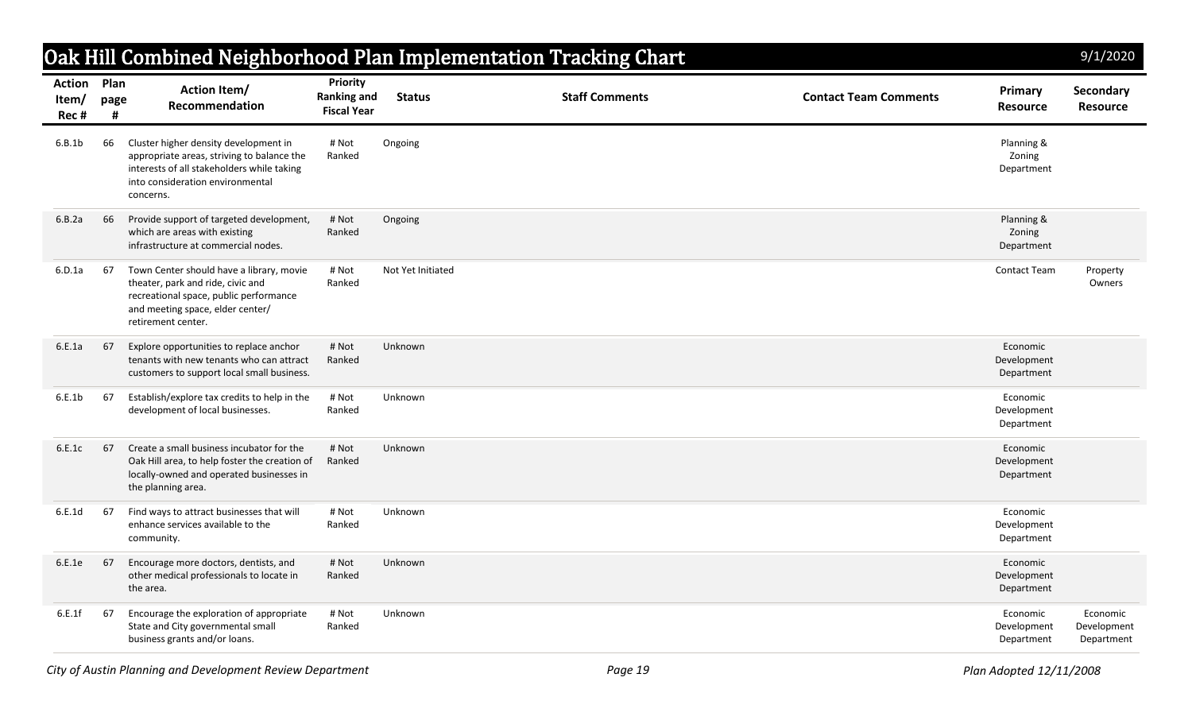|                                     |           |                                                                                                                                                                                    |                                                             |                   | Oak Hill Combined Neighborhood Plan Implementation Tracking Chart |                              |                                       | 9/1/2020                              |
|-------------------------------------|-----------|------------------------------------------------------------------------------------------------------------------------------------------------------------------------------------|-------------------------------------------------------------|-------------------|-------------------------------------------------------------------|------------------------------|---------------------------------------|---------------------------------------|
| <b>Action Plan</b><br>Item/<br>Rec# | page<br># | <b>Action Item/</b><br>Recommendation                                                                                                                                              | <b>Priority</b><br><b>Ranking and</b><br><b>Fiscal Year</b> | <b>Status</b>     | <b>Staff Comments</b>                                             | <b>Contact Team Comments</b> | Primary<br><b>Resource</b>            | Secondary<br><b>Resource</b>          |
| 6.B.1b                              | 66        | Cluster higher density development in<br>appropriate areas, striving to balance the<br>interests of all stakeholders while taking<br>into consideration environmental<br>concerns. | # Not<br>Ranked                                             | Ongoing           |                                                                   |                              | Planning &<br>Zoning<br>Department    |                                       |
| 6.B.2a                              | 66        | Provide support of targeted development,<br>which are areas with existing<br>infrastructure at commercial nodes.                                                                   | # Not<br>Ranked                                             | Ongoing           |                                                                   |                              | Planning &<br>Zoning<br>Department    |                                       |
| 6.D.1a                              | 67        | Town Center should have a library, movie<br>theater, park and ride, civic and<br>recreational space, public performance<br>and meeting space, elder center/<br>retirement center.  | # Not<br>Ranked                                             | Not Yet Initiated |                                                                   |                              | <b>Contact Team</b>                   | Property<br>Owners                    |
| 6.E.1a                              | 67        | Explore opportunities to replace anchor<br>tenants with new tenants who can attract<br>customers to support local small business.                                                  | # Not<br>Ranked                                             | Unknown           |                                                                   |                              | Economic<br>Development<br>Department |                                       |
| 6.E.1b                              | 67        | Establish/explore tax credits to help in the<br>development of local businesses.                                                                                                   | # Not<br>Ranked                                             | Unknown           |                                                                   |                              | Economic<br>Development<br>Department |                                       |
| 6.E.1c                              | 67        | Create a small business incubator for the<br>Oak Hill area, to help foster the creation of<br>locally-owned and operated businesses in<br>the planning area.                       | # Not<br>Ranked                                             | Unknown           |                                                                   |                              | Economic<br>Development<br>Department |                                       |
| 6.E.1d                              | 67        | Find ways to attract businesses that will<br>enhance services available to the<br>community.                                                                                       | # Not<br>Ranked                                             | Unknown           |                                                                   |                              | Economic<br>Development<br>Department |                                       |
| 6.E.1e                              | 67        | Encourage more doctors, dentists, and<br>other medical professionals to locate in<br>the area.                                                                                     | # Not<br>Ranked                                             | Unknown           |                                                                   |                              | Economic<br>Development<br>Department |                                       |
| 6.E.1f                              | 67        | Encourage the exploration of appropriate<br>State and City governmental small<br>business grants and/or loans.                                                                     | # Not<br>Ranked                                             | Unknown           |                                                                   |                              | Economic<br>Development<br>Department | Economic<br>Development<br>Department |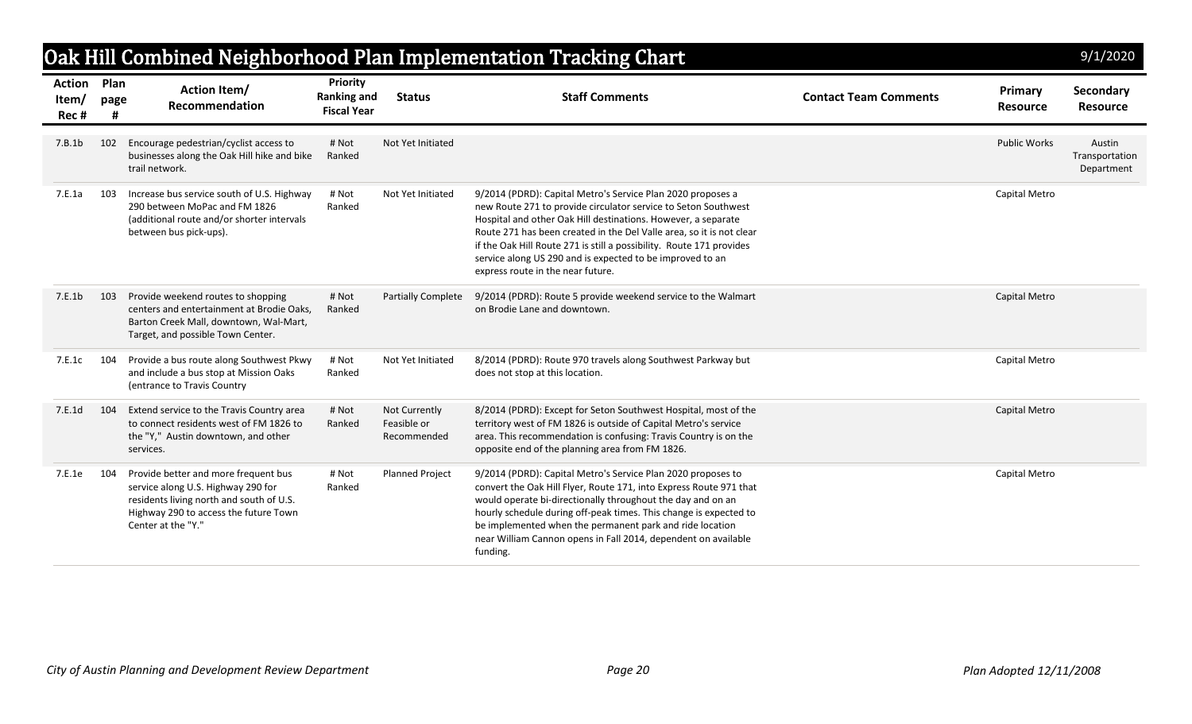| Oak Hill Combined Neighborhood Plan Implementation Tracking Chart<br>9/1/2020 |              |                                                                                                                                                                                       |                                                      |                                             |                                                                                                                                                                                                                                                                                                                                                                                                                                                  |                              |                            |                                        |  |
|-------------------------------------------------------------------------------|--------------|---------------------------------------------------------------------------------------------------------------------------------------------------------------------------------------|------------------------------------------------------|---------------------------------------------|--------------------------------------------------------------------------------------------------------------------------------------------------------------------------------------------------------------------------------------------------------------------------------------------------------------------------------------------------------------------------------------------------------------------------------------------------|------------------------------|----------------------------|----------------------------------------|--|
| <b>Action</b><br>Item/<br>Rec#                                                | Plan<br>page | <b>Action Item/</b><br>Recommendation                                                                                                                                                 | Priority<br><b>Ranking and</b><br><b>Fiscal Year</b> | <b>Status</b>                               | <b>Staff Comments</b>                                                                                                                                                                                                                                                                                                                                                                                                                            | <b>Contact Team Comments</b> | Primary<br><b>Resource</b> | <b>Secondary</b><br><b>Resource</b>    |  |
| 7.B.1b                                                                        | 102          | Encourage pedestrian/cyclist access to<br>businesses along the Oak Hill hike and bike<br>trail network.                                                                               | # Not<br>Ranked                                      | Not Yet Initiated                           |                                                                                                                                                                                                                                                                                                                                                                                                                                                  |                              | <b>Public Works</b>        | Austin<br>Transportation<br>Department |  |
| 7.E.1a                                                                        | 103          | Increase bus service south of U.S. Highway<br>290 between MoPac and FM 1826<br>(additional route and/or shorter intervals<br>between bus pick-ups).                                   | # Not<br>Ranked                                      | Not Yet Initiated                           | 9/2014 (PDRD): Capital Metro's Service Plan 2020 proposes a<br>new Route 271 to provide circulator service to Seton Southwest<br>Hospital and other Oak Hill destinations. However, a separate<br>Route 271 has been created in the Del Valle area, so it is not clear<br>if the Oak Hill Route 271 is still a possibility. Route 171 provides<br>service along US 290 and is expected to be improved to an<br>express route in the near future. |                              | Capital Metro              |                                        |  |
| 7.E.1b                                                                        | 103          | Provide weekend routes to shopping<br>centers and entertainment at Brodie Oaks,<br>Barton Creek Mall, downtown, Wal-Mart,<br>Target, and possible Town Center.                        | # Not<br>Ranked                                      | Partially Complete                          | 9/2014 (PDRD): Route 5 provide weekend service to the Walmart<br>on Brodie Lane and downtown.                                                                                                                                                                                                                                                                                                                                                    |                              | Capital Metro              |                                        |  |
| 7.E.1c                                                                        | 104          | Provide a bus route along Southwest Pkwy<br>and include a bus stop at Mission Oaks<br>(entrance to Travis Country                                                                     | # Not<br>Ranked                                      | Not Yet Initiated                           | 8/2014 (PDRD): Route 970 travels along Southwest Parkway but<br>does not stop at this location.                                                                                                                                                                                                                                                                                                                                                  |                              | Capital Metro              |                                        |  |
| 7.E.1d                                                                        | 104          | Extend service to the Travis Country area<br>to connect residents west of FM 1826 to<br>the "Y," Austin downtown, and other<br>services.                                              | # Not<br>Ranked                                      | Not Currently<br>Feasible or<br>Recommended | 8/2014 (PDRD): Except for Seton Southwest Hospital, most of the<br>territory west of FM 1826 is outside of Capital Metro's service<br>area. This recommendation is confusing: Travis Country is on the<br>opposite end of the planning area from FM 1826.                                                                                                                                                                                        |                              | Capital Metro              |                                        |  |
| 7.E.1e                                                                        | 104          | Provide better and more frequent bus<br>service along U.S. Highway 290 for<br>residents living north and south of U.S.<br>Highway 290 to access the future Town<br>Center at the "Y." | # Not<br>Ranked                                      | <b>Planned Project</b>                      | 9/2014 (PDRD): Capital Metro's Service Plan 2020 proposes to<br>convert the Oak Hill Flyer, Route 171, into Express Route 971 that<br>would operate bi-directionally throughout the day and on an<br>hourly schedule during off-peak times. This change is expected to<br>be implemented when the permanent park and ride location<br>near William Cannon opens in Fall 2014, dependent on available<br>funding.                                 |                              | Capital Metro              |                                        |  |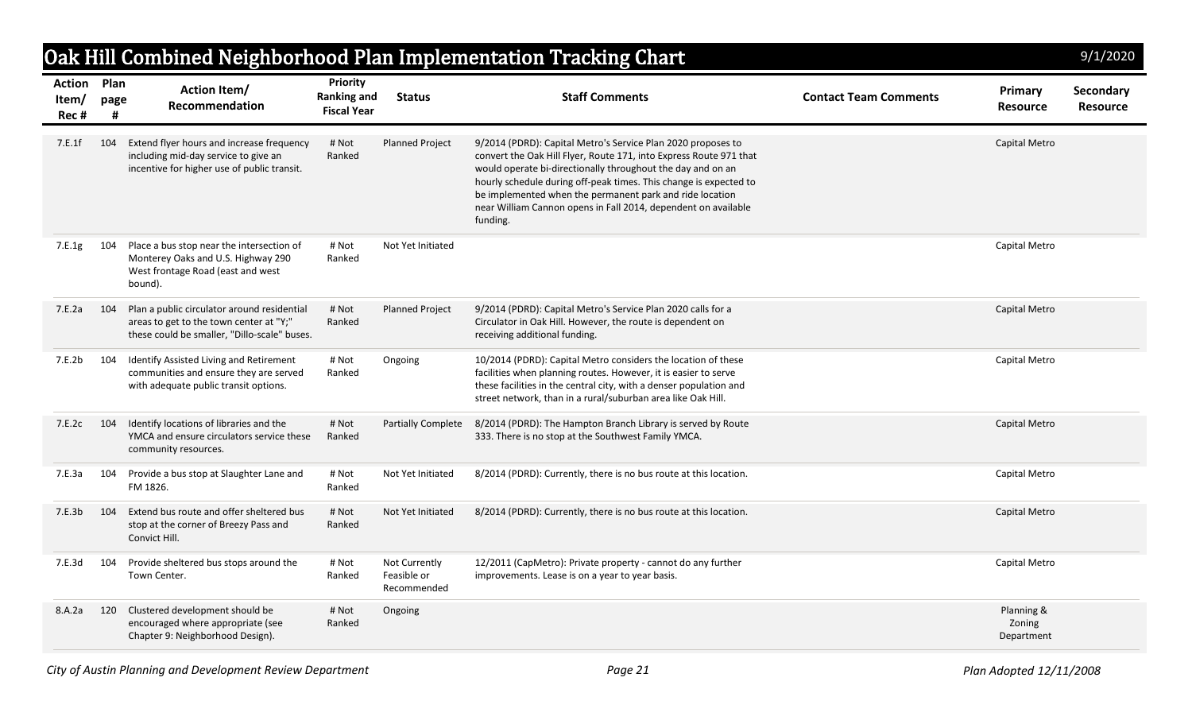|                                     |           |                                                                                                                                        |                                                      |                                             | Oak Hill Combined Neighborhood Plan Implementation Tracking Chart                                                                                                                                                                                                                                                                                                                                                |                              |                                    | 9/1/2020                     |
|-------------------------------------|-----------|----------------------------------------------------------------------------------------------------------------------------------------|------------------------------------------------------|---------------------------------------------|------------------------------------------------------------------------------------------------------------------------------------------------------------------------------------------------------------------------------------------------------------------------------------------------------------------------------------------------------------------------------------------------------------------|------------------------------|------------------------------------|------------------------------|
| <b>Action Plan</b><br>Item/<br>Rec# | page<br># | <b>Action Item/</b><br>Recommendation                                                                                                  | Priority<br><b>Ranking and</b><br><b>Fiscal Year</b> | <b>Status</b>                               | <b>Staff Comments</b>                                                                                                                                                                                                                                                                                                                                                                                            | <b>Contact Team Comments</b> | Primary<br><b>Resource</b>         | Secondary<br><b>Resource</b> |
| 7.E.1f                              | 104       | Extend flyer hours and increase frequency<br>including mid-day service to give an<br>incentive for higher use of public transit.       | # Not<br>Ranked                                      | <b>Planned Project</b>                      | 9/2014 (PDRD): Capital Metro's Service Plan 2020 proposes to<br>convert the Oak Hill Flyer, Route 171, into Express Route 971 that<br>would operate bi-directionally throughout the day and on an<br>hourly schedule during off-peak times. This change is expected to<br>be implemented when the permanent park and ride location<br>near William Cannon opens in Fall 2014, dependent on available<br>funding. |                              | Capital Metro                      |                              |
| 7.E.1g                              | 104       | Place a bus stop near the intersection of<br>Monterey Oaks and U.S. Highway 290<br>West frontage Road (east and west<br>bound).        | # Not<br>Ranked                                      | Not Yet Initiated                           |                                                                                                                                                                                                                                                                                                                                                                                                                  |                              | Capital Metro                      |                              |
| 7.E.2a                              | 104       | Plan a public circulator around residential<br>areas to get to the town center at "Y;"<br>these could be smaller, "Dillo-scale" buses. | # Not<br>Ranked                                      | <b>Planned Project</b>                      | 9/2014 (PDRD): Capital Metro's Service Plan 2020 calls for a<br>Circulator in Oak Hill. However, the route is dependent on<br>receiving additional funding.                                                                                                                                                                                                                                                      |                              | Capital Metro                      |                              |
| 7.E.2b                              | 104       | Identify Assisted Living and Retirement<br>communities and ensure they are served<br>with adequate public transit options.             | # Not<br>Ranked                                      | Ongoing                                     | 10/2014 (PDRD): Capital Metro considers the location of these<br>facilities when planning routes. However, it is easier to serve<br>these facilities in the central city, with a denser population and<br>street network, than in a rural/suburban area like Oak Hill.                                                                                                                                           |                              | Capital Metro                      |                              |
| 7.E.2c                              | 104       | Identify locations of libraries and the<br>YMCA and ensure circulators service these<br>community resources.                           | # Not<br>Ranked                                      |                                             | Partially Complete 8/2014 (PDRD): The Hampton Branch Library is served by Route<br>333. There is no stop at the Southwest Family YMCA.                                                                                                                                                                                                                                                                           |                              | Capital Metro                      |                              |
| 7.E.3a                              | 104       | Provide a bus stop at Slaughter Lane and<br>FM 1826.                                                                                   | # Not<br>Ranked                                      | Not Yet Initiated                           | 8/2014 (PDRD): Currently, there is no bus route at this location.                                                                                                                                                                                                                                                                                                                                                |                              | Capital Metro                      |                              |
| 7.E.3b                              | 104       | Extend bus route and offer sheltered bus<br>stop at the corner of Breezy Pass and<br>Convict Hill.                                     | # Not<br>Ranked                                      | Not Yet Initiated                           | 8/2014 (PDRD): Currently, there is no bus route at this location.                                                                                                                                                                                                                                                                                                                                                |                              | Capital Metro                      |                              |
| 7.E.3d                              | 104       | Provide sheltered bus stops around the<br>Town Center.                                                                                 | # Not<br>Ranked                                      | Not Currently<br>Feasible or<br>Recommended | 12/2011 (CapMetro): Private property - cannot do any further<br>improvements. Lease is on a year to year basis.                                                                                                                                                                                                                                                                                                  |                              | Capital Metro                      |                              |
| 8.A.2a                              | 120       | Clustered development should be<br>encouraged where appropriate (see<br>Chapter 9: Neighborhood Design).                               | # Not<br>Ranked                                      | Ongoing                                     |                                                                                                                                                                                                                                                                                                                                                                                                                  |                              | Planning &<br>Zoning<br>Department |                              |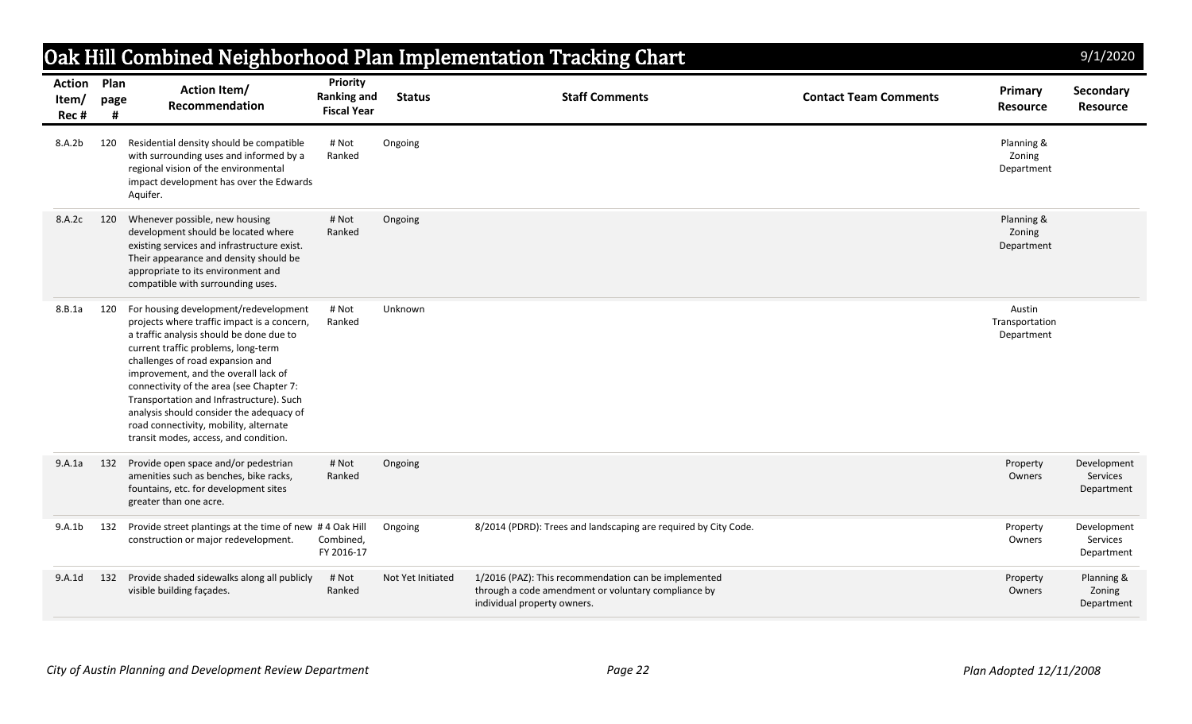|                                     |      |                                                                                                                                                                                                                                                                                                                                                                                                                                                                            |                                                      |                   | Oak Hill Combined Neighborhood Plan Implementation Tracking Chart                                                                          |                              |                                        | 9/1/2020                              |
|-------------------------------------|------|----------------------------------------------------------------------------------------------------------------------------------------------------------------------------------------------------------------------------------------------------------------------------------------------------------------------------------------------------------------------------------------------------------------------------------------------------------------------------|------------------------------------------------------|-------------------|--------------------------------------------------------------------------------------------------------------------------------------------|------------------------------|----------------------------------------|---------------------------------------|
| <b>Action Plan</b><br>Item/<br>Rec# | page | <b>Action Item/</b><br><b>Recommendation</b>                                                                                                                                                                                                                                                                                                                                                                                                                               | Priority<br><b>Ranking and</b><br><b>Fiscal Year</b> | <b>Status</b>     | <b>Staff Comments</b>                                                                                                                      | <b>Contact Team Comments</b> | Primary<br><b>Resource</b>             | Secondary<br><b>Resource</b>          |
| 8.A.2b                              | 120  | Residential density should be compatible<br>with surrounding uses and informed by a<br>regional vision of the environmental<br>impact development has over the Edwards<br>Aquifer.                                                                                                                                                                                                                                                                                         | # Not<br>Ranked                                      | Ongoing           |                                                                                                                                            |                              | Planning &<br>Zoning<br>Department     |                                       |
| 8.A.2c                              | 120  | Whenever possible, new housing<br>development should be located where<br>existing services and infrastructure exist.<br>Their appearance and density should be<br>appropriate to its environment and<br>compatible with surrounding uses.                                                                                                                                                                                                                                  | # Not<br>Ranked                                      | Ongoing           |                                                                                                                                            |                              | Planning &<br>Zoning<br>Department     |                                       |
| 8.B.1a                              | 120  | For housing development/redevelopment<br>projects where traffic impact is a concern,<br>a traffic analysis should be done due to<br>current traffic problems, long-term<br>challenges of road expansion and<br>improvement, and the overall lack of<br>connectivity of the area (see Chapter 7:<br>Transportation and Infrastructure). Such<br>analysis should consider the adequacy of<br>road connectivity, mobility, alternate<br>transit modes, access, and condition. | # Not<br>Ranked                                      | Unknown           |                                                                                                                                            |                              | Austin<br>Transportation<br>Department |                                       |
| 9.A.1a                              | 132  | Provide open space and/or pedestrian<br>amenities such as benches, bike racks,<br>fountains, etc. for development sites<br>greater than one acre.                                                                                                                                                                                                                                                                                                                          | # Not<br>Ranked                                      | Ongoing           |                                                                                                                                            |                              | Property<br>Owners                     | Development<br>Services<br>Department |
| 9.A.1b                              | 132  | Provide street plantings at the time of new #4 Oak Hill<br>construction or major redevelopment.                                                                                                                                                                                                                                                                                                                                                                            | Combined,<br>FY 2016-17                              | Ongoing           | 8/2014 (PDRD): Trees and landscaping are required by City Code.                                                                            |                              | Property<br>Owners                     | Development<br>Services<br>Department |
| 9.A.1d                              | 132  | Provide shaded sidewalks along all publicly<br>visible building façades.                                                                                                                                                                                                                                                                                                                                                                                                   | # Not<br>Ranked                                      | Not Yet Initiated | 1/2016 (PAZ): This recommendation can be implemented<br>through a code amendment or voluntary compliance by<br>individual property owners. |                              | Property<br>Owners                     | Planning &<br>Zoning<br>Department    |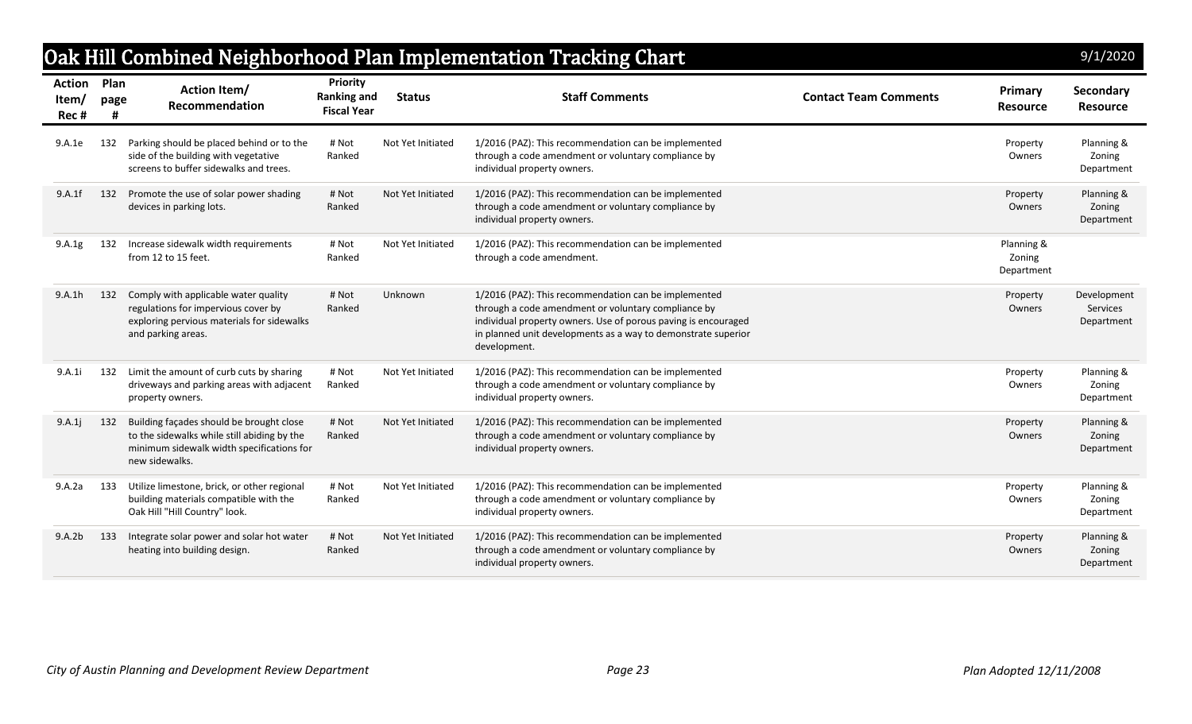## Oak Hill Combined Neighborhood Plan Implementation Tracking Chart

| /<br>/<br>1<br>20<br>9<br>2<br>ŋ<br>J |  |  |  |
|---------------------------------------|--|--|--|
|                                       |  |  |  |
|                                       |  |  |  |

| <b>Action</b><br>ltem/<br>Rec # | Plan<br>page | Action Item/<br>Recommendation                                                                                                                         | Priority<br><b>Ranking and</b><br><b>Fiscal Year</b> | <b>Status</b>     | <b>Staff Comments</b>                                                                                                                                                                                                                                          | <b>Contact Team Comments</b> | <b>Primary</b><br><b>Resource</b>  | Secondary<br><b>Resource</b>          |
|---------------------------------|--------------|--------------------------------------------------------------------------------------------------------------------------------------------------------|------------------------------------------------------|-------------------|----------------------------------------------------------------------------------------------------------------------------------------------------------------------------------------------------------------------------------------------------------------|------------------------------|------------------------------------|---------------------------------------|
| 9.A.1e                          | 132          | Parking should be placed behind or to the<br>side of the building with vegetative<br>screens to buffer sidewalks and trees.                            | # Not<br>Ranked                                      | Not Yet Initiated | 1/2016 (PAZ): This recommendation can be implemented<br>through a code amendment or voluntary compliance by<br>individual property owners.                                                                                                                     |                              | Property<br>Owners                 | Planning &<br>Zoning<br>Department    |
| 9.A.1f                          | 132          | Promote the use of solar power shading<br>devices in parking lots.                                                                                     | # Not<br>Ranked                                      | Not Yet Initiated | 1/2016 (PAZ): This recommendation can be implemented<br>through a code amendment or voluntary compliance by<br>individual property owners.                                                                                                                     |                              | Property<br>Owners                 | Planning &<br>Zoning<br>Department    |
| 9.A.1g                          | 132          | Increase sidewalk width requirements<br>from 12 to 15 feet.                                                                                            | # Not<br>Ranked                                      | Not Yet Initiated | 1/2016 (PAZ): This recommendation can be implemented<br>through a code amendment.                                                                                                                                                                              |                              | Planning &<br>Zoning<br>Department |                                       |
| 9.A.1h                          | 132          | Comply with applicable water quality<br>regulations for impervious cover by<br>exploring pervious materials for sidewalks<br>and parking areas.        | # Not<br>Ranked                                      | Unknown           | 1/2016 (PAZ): This recommendation can be implemented<br>through a code amendment or voluntary compliance by<br>individual property owners. Use of porous paving is encouraged<br>in planned unit developments as a way to demonstrate superior<br>development. |                              | Property<br>Owners                 | Development<br>Services<br>Department |
| 9.A.1i                          | 132          | Limit the amount of curb cuts by sharing<br>driveways and parking areas with adjacent<br>property owners.                                              | # Not<br>Ranked                                      | Not Yet Initiated | 1/2016 (PAZ): This recommendation can be implemented<br>through a code amendment or voluntary compliance by<br>individual property owners.                                                                                                                     |                              | Property<br>Owners                 | Planning &<br>Zoning<br>Department    |
| 9.A.1j                          | 132          | Building façades should be brought close<br>to the sidewalks while still abiding by the<br>minimum sidewalk width specifications for<br>new sidewalks. | # Not<br>Ranked                                      | Not Yet Initiated | 1/2016 (PAZ): This recommendation can be implemented<br>through a code amendment or voluntary compliance by<br>individual property owners.                                                                                                                     |                              | Property<br>Owners                 | Planning &<br>Zoning<br>Department    |
| 9.A.2a                          | 133          | Utilize limestone, brick, or other regional<br>building materials compatible with the<br>Oak Hill "Hill Country" look.                                 | # Not<br>Ranked                                      | Not Yet Initiated | 1/2016 (PAZ): This recommendation can be implemented<br>through a code amendment or voluntary compliance by<br>individual property owners.                                                                                                                     |                              | Property<br>Owners                 | Planning &<br>Zoning<br>Department    |
| 9.A.2b                          | 133          | Integrate solar power and solar hot water<br>heating into building design.                                                                             | # Not<br>Ranked                                      | Not Yet Initiated | 1/2016 (PAZ): This recommendation can be implemented<br>through a code amendment or voluntary compliance by<br>individual property owners.                                                                                                                     |                              | Property<br>Owners                 | Planning &<br>Zoning<br>Department    |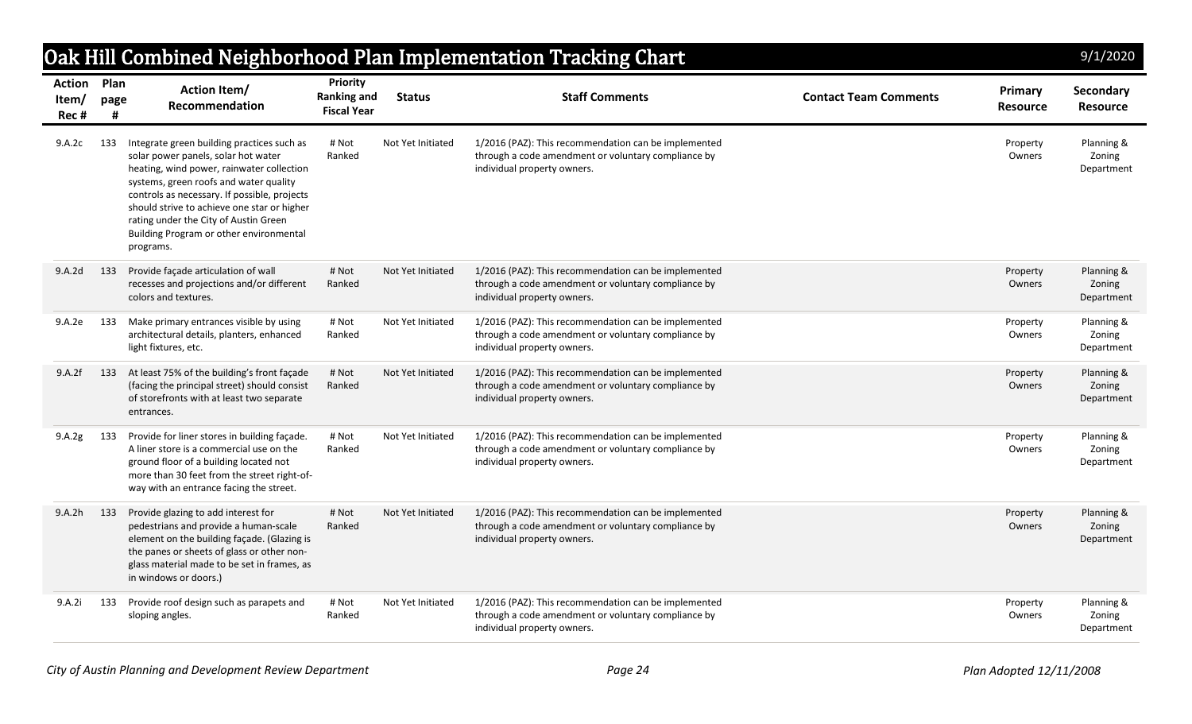|                                      |           |                                                                                                                                                                                                                                                                                                                                                                          |                                                      |                   | Oak Hill Combined Neighborhood Plan Implementation Tracking Chart                                                                          |                              |                            | 9/1/2020                           |
|--------------------------------------|-----------|--------------------------------------------------------------------------------------------------------------------------------------------------------------------------------------------------------------------------------------------------------------------------------------------------------------------------------------------------------------------------|------------------------------------------------------|-------------------|--------------------------------------------------------------------------------------------------------------------------------------------|------------------------------|----------------------------|------------------------------------|
| <b>Action Plan</b><br>Item/<br>Rec # | page<br># | <b>Action Item/</b><br>Recommendation                                                                                                                                                                                                                                                                                                                                    | Priority<br><b>Ranking and</b><br><b>Fiscal Year</b> | <b>Status</b>     | <b>Staff Comments</b>                                                                                                                      | <b>Contact Team Comments</b> | Primary<br><b>Resource</b> | Secondary<br><b>Resource</b>       |
| 9.A.2c                               | 133       | Integrate green building practices such as<br>solar power panels, solar hot water<br>heating, wind power, rainwater collection<br>systems, green roofs and water quality<br>controls as necessary. If possible, projects<br>should strive to achieve one star or higher<br>rating under the City of Austin Green<br>Building Program or other environmental<br>programs. | # Not<br>Ranked                                      | Not Yet Initiated | 1/2016 (PAZ): This recommendation can be implemented<br>through a code amendment or voluntary compliance by<br>individual property owners. |                              | Property<br>Owners         | Planning &<br>Zoning<br>Department |
| 9.A.2d                               | 133       | Provide façade articulation of wall<br>recesses and projections and/or different<br>colors and textures.                                                                                                                                                                                                                                                                 | # Not<br>Ranked                                      | Not Yet Initiated | 1/2016 (PAZ): This recommendation can be implemented<br>through a code amendment or voluntary compliance by<br>individual property owners. |                              | Property<br>Owners         | Planning &<br>Zoning<br>Department |
| 9.A.2e                               | 133       | Make primary entrances visible by using<br>architectural details, planters, enhanced<br>light fixtures, etc.                                                                                                                                                                                                                                                             | # Not<br>Ranked                                      | Not Yet Initiated | 1/2016 (PAZ): This recommendation can be implemented<br>through a code amendment or voluntary compliance by<br>individual property owners. |                              | Property<br>Owners         | Planning &<br>Zoning<br>Department |
| 9.A.2f                               | 133       | At least 75% of the building's front façade<br>(facing the principal street) should consist<br>of storefronts with at least two separate<br>entrances.                                                                                                                                                                                                                   | # Not<br>Ranked                                      | Not Yet Initiated | 1/2016 (PAZ): This recommendation can be implemented<br>through a code amendment or voluntary compliance by<br>individual property owners. |                              | Property<br>Owners         | Planning &<br>Zoning<br>Department |
| 9.A.2g                               | 133       | Provide for liner stores in building facade.<br>A liner store is a commercial use on the<br>ground floor of a building located not<br>more than 30 feet from the street right-of-<br>way with an entrance facing the street.                                                                                                                                             | # Not<br>Ranked                                      | Not Yet Initiated | 1/2016 (PAZ): This recommendation can be implemented<br>through a code amendment or voluntary compliance by<br>individual property owners. |                              | Property<br>Owners         | Planning &<br>Zoning<br>Department |
| 9.A.2h                               | 133       | Provide glazing to add interest for<br>pedestrians and provide a human-scale<br>element on the building façade. (Glazing is<br>the panes or sheets of glass or other non-<br>glass material made to be set in frames, as<br>in windows or doors.)                                                                                                                        | # Not<br>Ranked                                      | Not Yet Initiated | 1/2016 (PAZ): This recommendation can be implemented<br>through a code amendment or voluntary compliance by<br>individual property owners. |                              | Property<br>Owners         | Planning &<br>Zoning<br>Department |
| 9.A.2i                               | 133       | Provide roof design such as parapets and<br>sloping angles.                                                                                                                                                                                                                                                                                                              | # Not<br>Ranked                                      | Not Yet Initiated | 1/2016 (PAZ): This recommendation can be implemented<br>through a code amendment or voluntary compliance by<br>individual property owners. |                              | Property<br>Owners         | Planning &<br>Zoning<br>Department |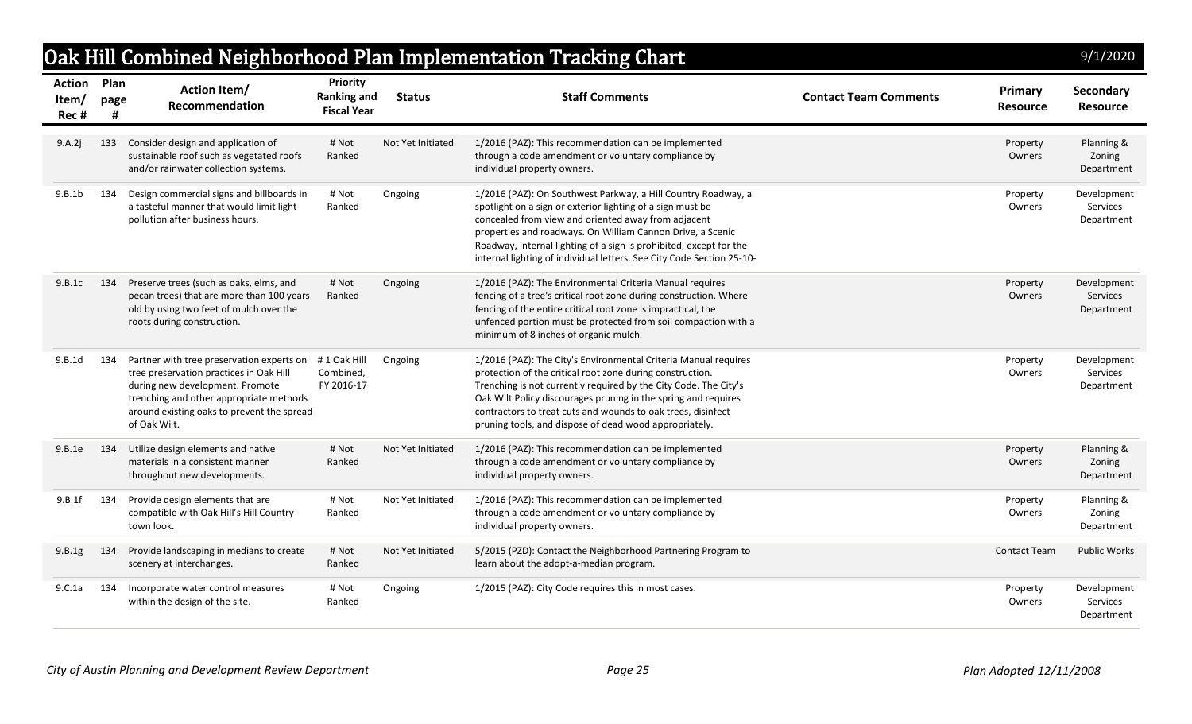| <b>Action Plan</b><br>Item/ | page | <b>Action Item/</b><br>Recommendation                                                                                                                                                                                            | <b>Priority</b><br><b>Ranking and</b>  | <b>Status</b>     | <b>Staff Comments</b>                                                                                                                                                                                                                                                                                                                                                                           | <b>Contact Team Comments</b> | Primary<br><b>Resource</b> | Secondary<br><b>Resource</b>                 |
|-----------------------------|------|----------------------------------------------------------------------------------------------------------------------------------------------------------------------------------------------------------------------------------|----------------------------------------|-------------------|-------------------------------------------------------------------------------------------------------------------------------------------------------------------------------------------------------------------------------------------------------------------------------------------------------------------------------------------------------------------------------------------------|------------------------------|----------------------------|----------------------------------------------|
| Rec#                        |      |                                                                                                                                                                                                                                  | <b>Fiscal Year</b>                     |                   |                                                                                                                                                                                                                                                                                                                                                                                                 |                              |                            |                                              |
| 9.A.2j                      | 133  | Consider design and application of<br>sustainable roof such as vegetated roofs<br>and/or rainwater collection systems.                                                                                                           | # Not<br>Ranked                        | Not Yet Initiated | 1/2016 (PAZ): This recommendation can be implemented<br>through a code amendment or voluntary compliance by<br>individual property owners.                                                                                                                                                                                                                                                      |                              | Property<br>Owners         | Planning &<br>Zoning<br>Department           |
| 9.B.1b                      | 134  | Design commercial signs and billboards in<br>a tasteful manner that would limit light<br>pollution after business hours.                                                                                                         | # Not<br>Ranked                        | Ongoing           | 1/2016 (PAZ): On Southwest Parkway, a Hill Country Roadway, a<br>spotlight on a sign or exterior lighting of a sign must be<br>concealed from view and oriented away from adjacent<br>properties and roadways. On William Cannon Drive, a Scenic<br>Roadway, internal lighting of a sign is prohibited, except for the<br>internal lighting of individual letters. See City Code Section 25-10- |                              | Property<br>Owners         | Development<br>Services<br>Department        |
| 9.B.1c                      | 134  | Preserve trees (such as oaks, elms, and<br>pecan trees) that are more than 100 years<br>old by using two feet of mulch over the<br>roots during construction.                                                                    | # Not<br>Ranked                        | Ongoing           | 1/2016 (PAZ): The Environmental Criteria Manual requires<br>fencing of a tree's critical root zone during construction. Where<br>fencing of the entire critical root zone is impractical, the<br>unfenced portion must be protected from soil compaction with a<br>minimum of 8 inches of organic mulch.                                                                                        |                              | Property<br>Owners         | Development<br>Services<br>Department        |
| 9.B.1d                      | 134  | Partner with tree preservation experts on<br>tree preservation practices in Oak Hill<br>during new development. Promote<br>trenching and other appropriate methods<br>around existing oaks to prevent the spread<br>of Oak Wilt. | #1 Oak Hill<br>Combined,<br>FY 2016-17 | Ongoing           | 1/2016 (PAZ): The City's Environmental Criteria Manual requires<br>protection of the critical root zone during construction.<br>Trenching is not currently required by the City Code. The City's<br>Oak Wilt Policy discourages pruning in the spring and requires<br>contractors to treat cuts and wounds to oak trees, disinfect<br>pruning tools, and dispose of dead wood appropriately.    |                              | Property<br>Owners         | Development<br>Services<br>Department        |
| 9.B.1e                      | 134  | Utilize design elements and native<br>materials in a consistent manner<br>throughout new developments.                                                                                                                           | # Not<br>Ranked                        | Not Yet Initiated | 1/2016 (PAZ): This recommendation can be implemented<br>through a code amendment or voluntary compliance by<br>individual property owners.                                                                                                                                                                                                                                                      |                              | Property<br>Owners         | Planning &<br>Zoning<br>Department           |
| 9.B.1f                      | 134  | Provide design elements that are<br>compatible with Oak Hill's Hill Country<br>town look.                                                                                                                                        | # Not<br>Ranked                        | Not Yet Initiated | 1/2016 (PAZ): This recommendation can be implemented<br>through a code amendment or voluntary compliance by<br>individual property owners.                                                                                                                                                                                                                                                      |                              | Property<br>Owners         | Planning &<br>Zoning<br>Department           |
| 9.B.1g                      | 134  | Provide landscaping in medians to create<br>scenery at interchanges.                                                                                                                                                             | # Not<br>Ranked                        | Not Yet Initiated | 5/2015 (PZD): Contact the Neighborhood Partnering Program to<br>learn about the adopt-a-median program.                                                                                                                                                                                                                                                                                         |                              | <b>Contact Team</b>        | <b>Public Works</b>                          |
| 9.C.1a                      | 134  | Incorporate water control measures<br>within the design of the site.                                                                                                                                                             | # Not<br>Ranked                        | Ongoing           | 1/2015 (PAZ): City Code requires this in most cases.                                                                                                                                                                                                                                                                                                                                            |                              | Property<br>Owners         | Development<br><b>Services</b><br>Department |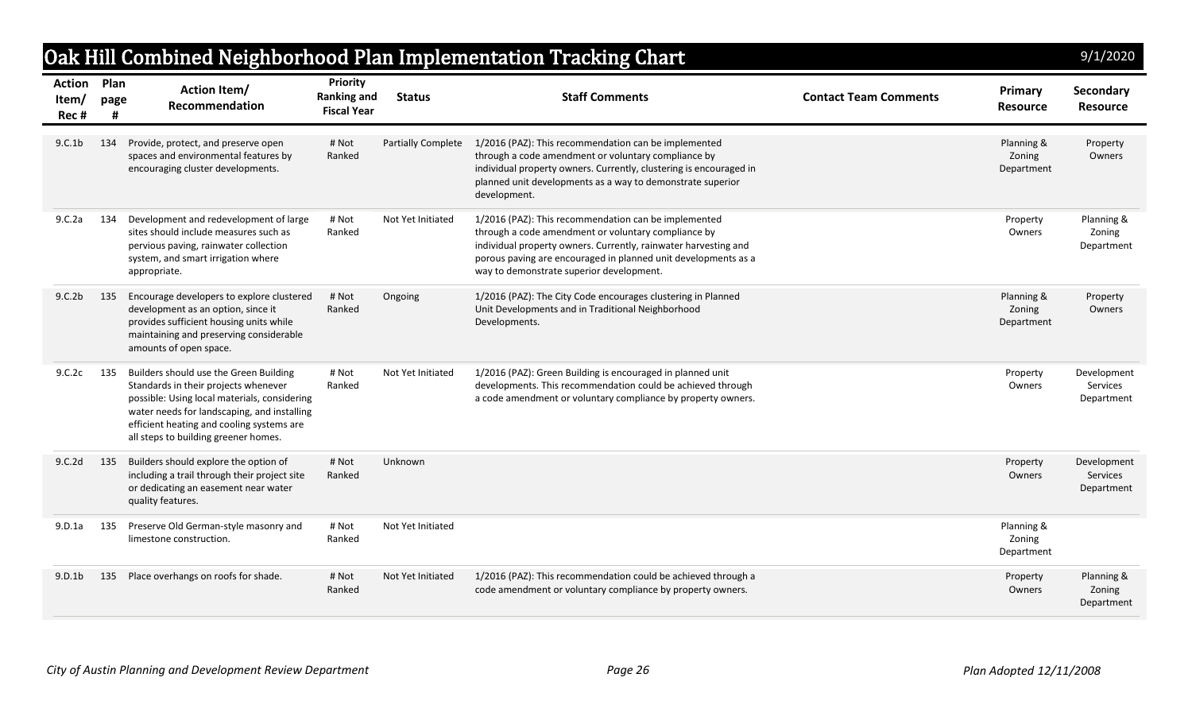|                                     |           |                                                                                                                                                                                                                                                                    |                                                      |                    | Oak Hill Combined Neighborhood Plan Implementation Tracking Chart                                                                                                                                                                                                                            |                              |                                    | 9/1/2020                                     |
|-------------------------------------|-----------|--------------------------------------------------------------------------------------------------------------------------------------------------------------------------------------------------------------------------------------------------------------------|------------------------------------------------------|--------------------|----------------------------------------------------------------------------------------------------------------------------------------------------------------------------------------------------------------------------------------------------------------------------------------------|------------------------------|------------------------------------|----------------------------------------------|
| <b>Action Plan</b><br>Item/<br>Rec# | page<br># | <b>Action Item/</b><br><b>Recommendation</b>                                                                                                                                                                                                                       | Priority<br><b>Ranking and</b><br><b>Fiscal Year</b> | <b>Status</b>      | <b>Staff Comments</b>                                                                                                                                                                                                                                                                        | <b>Contact Team Comments</b> | Primary<br><b>Resource</b>         | Secondary<br><b>Resource</b>                 |
| 9.C.1 <sub>b</sub>                  | 134       | Provide, protect, and preserve open<br>spaces and environmental features by<br>encouraging cluster developments.                                                                                                                                                   | # Not<br>Ranked                                      | Partially Complete | 1/2016 (PAZ): This recommendation can be implemented<br>through a code amendment or voluntary compliance by<br>individual property owners. Currently, clustering is encouraged in<br>planned unit developments as a way to demonstrate superior<br>development.                              |                              | Planning &<br>Zoning<br>Department | Property<br>Owners                           |
| 9.C.2a                              | 134       | Development and redevelopment of large<br>sites should include measures such as<br>pervious paving, rainwater collection<br>system, and smart irrigation where<br>appropriate.                                                                                     | # Not<br>Ranked                                      | Not Yet Initiated  | 1/2016 (PAZ): This recommendation can be implemented<br>through a code amendment or voluntary compliance by<br>individual property owners. Currently, rainwater harvesting and<br>porous paving are encouraged in planned unit developments as a<br>way to demonstrate superior development. |                              | Property<br>Owners                 | Planning &<br>Zoning<br>Department           |
| 9.C.2b                              | 135       | Encourage developers to explore clustered<br>development as an option, since it<br>provides sufficient housing units while<br>maintaining and preserving considerable<br>amounts of open space.                                                                    | # Not<br>Ranked                                      | Ongoing            | 1/2016 (PAZ): The City Code encourages clustering in Planned<br>Unit Developments and in Traditional Neighborhood<br>Developments.                                                                                                                                                           |                              | Planning &<br>Zoning<br>Department | Property<br>Owners                           |
| 9.C.2c                              | 135       | Builders should use the Green Building<br>Standards in their projects whenever<br>possible: Using local materials, considering<br>water needs for landscaping, and installing<br>efficient heating and cooling systems are<br>all steps to building greener homes. | # Not<br>Ranked                                      | Not Yet Initiated  | 1/2016 (PAZ): Green Building is encouraged in planned unit<br>developments. This recommendation could be achieved through<br>a code amendment or voluntary compliance by property owners.                                                                                                    |                              | Property<br>Owners                 | Development<br>Services<br>Department        |
| 9.C.2d                              | 135       | Builders should explore the option of<br>including a trail through their project site<br>or dedicating an easement near water<br>quality features.                                                                                                                 | # Not<br>Ranked                                      | Unknown            |                                                                                                                                                                                                                                                                                              |                              | Property<br>Owners                 | Development<br><b>Services</b><br>Department |
| 9.D.1a                              | 135       | Preserve Old German-style masonry and<br>limestone construction.                                                                                                                                                                                                   | # Not<br>Ranked                                      | Not Yet Initiated  |                                                                                                                                                                                                                                                                                              |                              | Planning &<br>Zoning<br>Department |                                              |
| 9.D.1 <sub>b</sub>                  | 135       | Place overhangs on roofs for shade.                                                                                                                                                                                                                                | # Not<br>Ranked                                      | Not Yet Initiated  | 1/2016 (PAZ): This recommendation could be achieved through a<br>code amendment or voluntary compliance by property owners.                                                                                                                                                                  |                              | Property<br>Owners                 | Planning &<br>Zoning<br>Department           |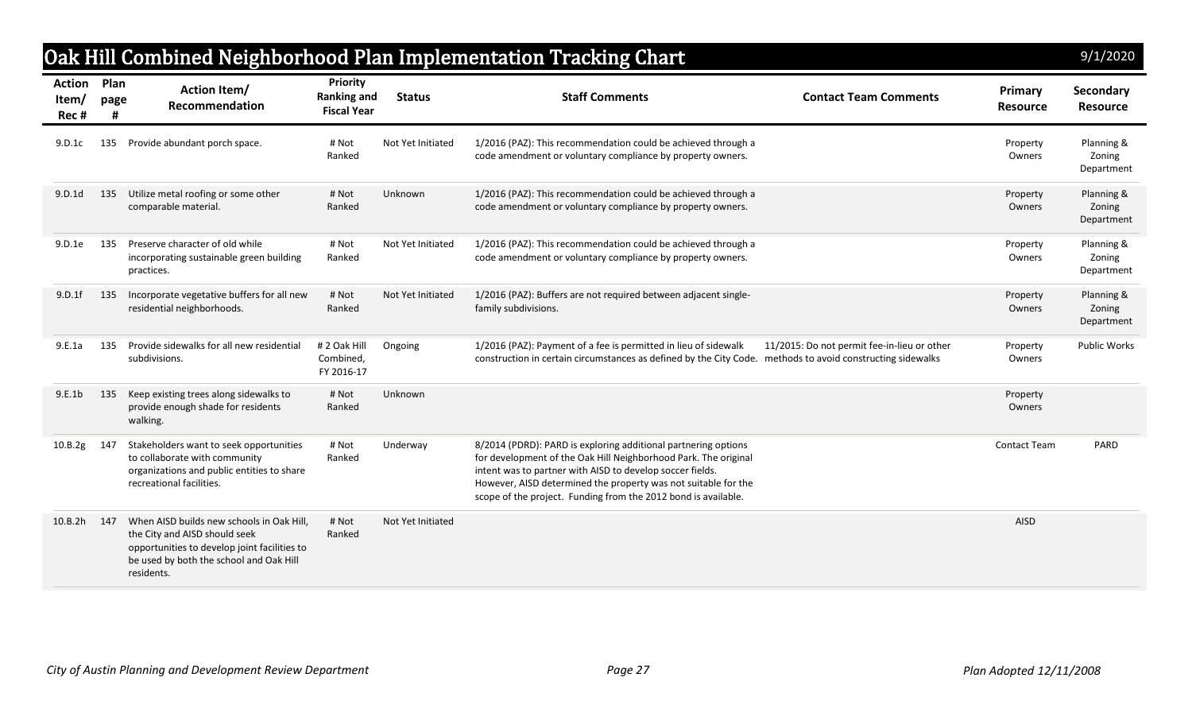## Oak Hill Combined Neighborhood Plan Implementation Tracking Chart

| 9/1/2020 |  |  |
|----------|--|--|
|          |  |  |

| <b>Action</b><br>Item/<br>Rec# | Plan<br>page<br># | <b>Action Item/</b><br>Recommendation                                                                                                                                               | Priority<br><b>Ranking and</b><br><b>Fiscal Year</b> | <b>Status</b>     | <b>Staff Comments</b><br><b>Contact Team Comments</b>                                                                                                                                                                                                                                                                              | Primary<br><b>Resource</b> | <b>Secondary</b><br><b>Resource</b> |
|--------------------------------|-------------------|-------------------------------------------------------------------------------------------------------------------------------------------------------------------------------------|------------------------------------------------------|-------------------|------------------------------------------------------------------------------------------------------------------------------------------------------------------------------------------------------------------------------------------------------------------------------------------------------------------------------------|----------------------------|-------------------------------------|
| 9.D.1c                         | 135               | Provide abundant porch space.                                                                                                                                                       | # Not<br>Ranked                                      | Not Yet Initiated | 1/2016 (PAZ): This recommendation could be achieved through a<br>code amendment or voluntary compliance by property owners.                                                                                                                                                                                                        | Property<br>Owners         | Planning &<br>Zoning<br>Department  |
| 9.D.1d                         | 135               | Utilize metal roofing or some other<br>comparable material.                                                                                                                         | # Not<br>Ranked                                      | Unknown           | 1/2016 (PAZ): This recommendation could be achieved through a<br>code amendment or voluntary compliance by property owners.                                                                                                                                                                                                        | Property<br>Owners         | Planning &<br>Zoning<br>Department  |
| 9.D.1e                         | 135               | Preserve character of old while<br>incorporating sustainable green building<br>practices.                                                                                           | # Not<br>Ranked                                      | Not Yet Initiated | 1/2016 (PAZ): This recommendation could be achieved through a<br>code amendment or voluntary compliance by property owners.                                                                                                                                                                                                        | Property<br>Owners         | Planning &<br>Zoning<br>Department  |
| 9.D.1f                         | 135               | Incorporate vegetative buffers for all new<br>residential neighborhoods.                                                                                                            | # Not<br>Ranked                                      | Not Yet Initiated | 1/2016 (PAZ): Buffers are not required between adjacent single-<br>family subdivisions.                                                                                                                                                                                                                                            | Property<br>Owners         | Planning &<br>Zoning<br>Department  |
| 9.E.1a                         | 135               | Provide sidewalks for all new residential<br>subdivisions.                                                                                                                          | # 2 Oak Hill<br>Combined,<br>FY 2016-17              | Ongoing           | 1/2016 (PAZ): Payment of a fee is permitted in lieu of sidewalk<br>11/2015: Do not permit fee-in-lieu or other<br>construction in certain circumstances as defined by the City Code. methods to avoid constructing sidewalks                                                                                                       | Property<br>Owners         | <b>Public Works</b>                 |
| 9.E.1b                         | 135               | Keep existing trees along sidewalks to<br>provide enough shade for residents<br>walking.                                                                                            | # Not<br>Ranked                                      | Unknown           |                                                                                                                                                                                                                                                                                                                                    | Property<br>Owners         |                                     |
| 10.B.2g                        | 147               | Stakeholders want to seek opportunities<br>to collaborate with community<br>organizations and public entities to share<br>recreational facilities.                                  | # Not<br>Ranked                                      | Underway          | 8/2014 (PDRD): PARD is exploring additional partnering options<br>for development of the Oak Hill Neighborhood Park. The original<br>intent was to partner with AISD to develop soccer fields.<br>However, AISD determined the property was not suitable for the<br>scope of the project. Funding from the 2012 bond is available. | <b>Contact Team</b>        | PARD                                |
| 10.B.2h 147                    |                   | When AISD builds new schools in Oak Hill.<br>the City and AISD should seek<br>opportunities to develop joint facilities to<br>be used by both the school and Oak Hill<br>residents. | # Not<br>Ranked                                      | Not Yet Initiated |                                                                                                                                                                                                                                                                                                                                    | <b>AISD</b>                |                                     |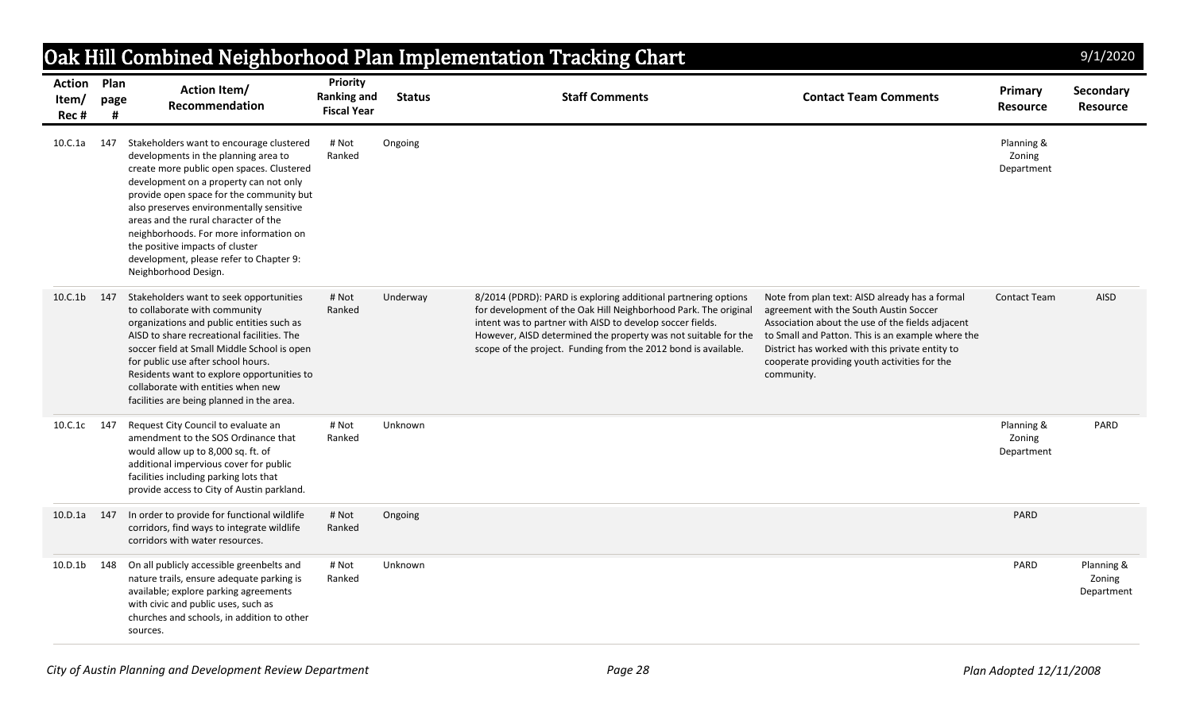|                                     |      |                                                                                                                                                                                                                                                                                                                                                                                                                                                         |                                                             |               | Oak Hill Combined Neighborhood Plan Implementation Tracking Chart                                                                                                                                                                                                                                                                  |                                                                                                                                                                                                                                                                                                                    |                                    | 9/1/2020                           |
|-------------------------------------|------|---------------------------------------------------------------------------------------------------------------------------------------------------------------------------------------------------------------------------------------------------------------------------------------------------------------------------------------------------------------------------------------------------------------------------------------------------------|-------------------------------------------------------------|---------------|------------------------------------------------------------------------------------------------------------------------------------------------------------------------------------------------------------------------------------------------------------------------------------------------------------------------------------|--------------------------------------------------------------------------------------------------------------------------------------------------------------------------------------------------------------------------------------------------------------------------------------------------------------------|------------------------------------|------------------------------------|
| <b>Action Plan</b><br>Item/<br>Rec# | page | <b>Action Item/</b><br>Recommendation                                                                                                                                                                                                                                                                                                                                                                                                                   | <b>Priority</b><br><b>Ranking and</b><br><b>Fiscal Year</b> | <b>Status</b> | <b>Staff Comments</b>                                                                                                                                                                                                                                                                                                              | <b>Contact Team Comments</b>                                                                                                                                                                                                                                                                                       | Primary<br><b>Resource</b>         | Secondary<br><b>Resource</b>       |
| 10.C.1a                             | 147  | Stakeholders want to encourage clustered<br>developments in the planning area to<br>create more public open spaces. Clustered<br>development on a property can not only<br>provide open space for the community but<br>also preserves environmentally sensitive<br>areas and the rural character of the<br>neighborhoods. For more information on<br>the positive impacts of cluster<br>development, please refer to Chapter 9:<br>Neighborhood Design. | # Not<br>Ranked                                             | Ongoing       |                                                                                                                                                                                                                                                                                                                                    |                                                                                                                                                                                                                                                                                                                    | Planning &<br>Zoning<br>Department |                                    |
| 10.C.1b                             | 147  | Stakeholders want to seek opportunities<br>to collaborate with community<br>organizations and public entities such as<br>AISD to share recreational facilities. The<br>soccer field at Small Middle School is open<br>for public use after school hours.<br>Residents want to explore opportunities to<br>collaborate with entities when new<br>facilities are being planned in the area.                                                               | # Not<br>Ranked                                             | Underway      | 8/2014 (PDRD): PARD is exploring additional partnering options<br>for development of the Oak Hill Neighborhood Park. The original<br>intent was to partner with AISD to develop soccer fields.<br>However, AISD determined the property was not suitable for the<br>scope of the project. Funding from the 2012 bond is available. | Note from plan text: AISD already has a formal<br>agreement with the South Austin Soccer<br>Association about the use of the fields adjacent<br>to Small and Patton. This is an example where the<br>District has worked with this private entity to<br>cooperate providing youth activities for the<br>community. | <b>Contact Team</b>                | <b>AISD</b>                        |
| 10.C.1c 147                         |      | Request City Council to evaluate an<br>amendment to the SOS Ordinance that<br>would allow up to 8,000 sq. ft. of<br>additional impervious cover for public<br>facilities including parking lots that<br>provide access to City of Austin parkland.                                                                                                                                                                                                      | # Not<br>Ranked                                             | Unknown       |                                                                                                                                                                                                                                                                                                                                    |                                                                                                                                                                                                                                                                                                                    | Planning &<br>Zoning<br>Department | PARD                               |
| 10.D.1a                             | 147  | In order to provide for functional wildlife<br>corridors, find ways to integrate wildlife<br>corridors with water resources.                                                                                                                                                                                                                                                                                                                            | # Not<br>Ranked                                             | Ongoing       |                                                                                                                                                                                                                                                                                                                                    |                                                                                                                                                                                                                                                                                                                    | PARD                               |                                    |
| 10.D.1b 148                         |      | On all publicly accessible greenbelts and<br>nature trails, ensure adequate parking is<br>available; explore parking agreements<br>with civic and public uses, such as<br>churches and schools, in addition to other<br>sources.                                                                                                                                                                                                                        | # Not<br>Ranked                                             | Unknown       |                                                                                                                                                                                                                                                                                                                                    |                                                                                                                                                                                                                                                                                                                    | PARD                               | Planning &<br>Zoning<br>Department |

*City of Austin Planning and Development Review Department Page 28 Plan Adopted 12/11/2008*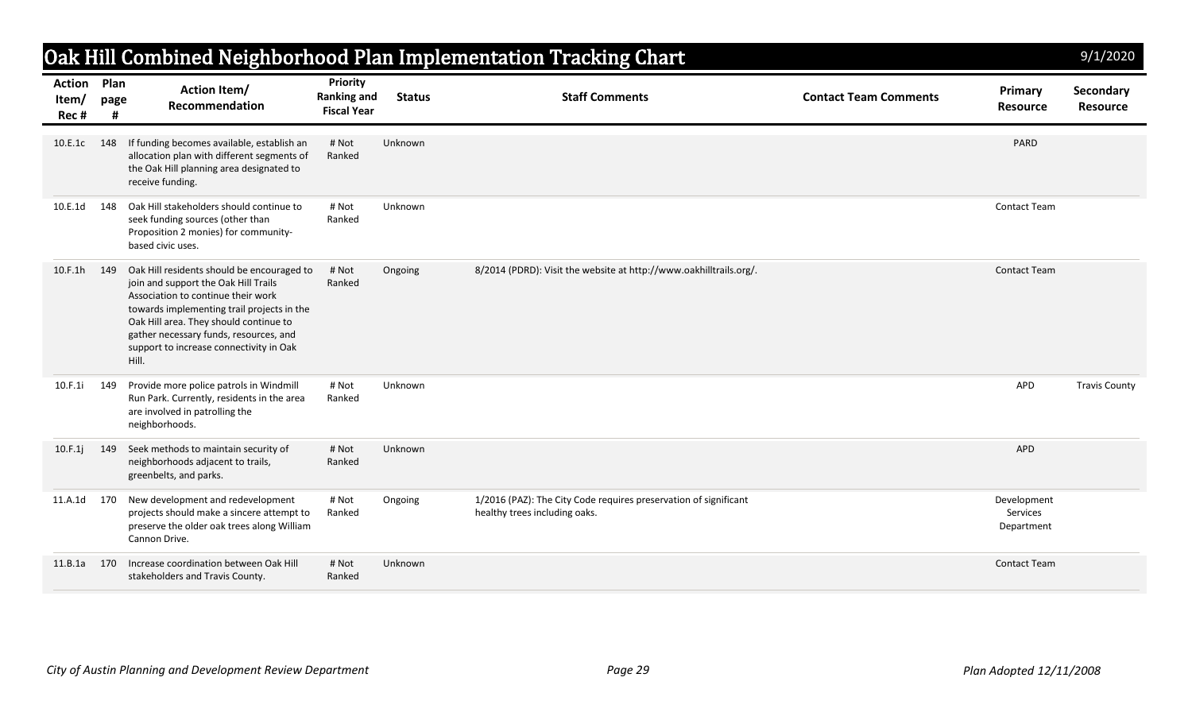|                         |                   |                                                                                                                                                                                                                                                                                                                |                                                             |               | Oak Hill Combined Neighborhood Plan Implementation Tracking Chart                                 |                              |                                       | 9/1/2020                     |
|-------------------------|-------------------|----------------------------------------------------------------------------------------------------------------------------------------------------------------------------------------------------------------------------------------------------------------------------------------------------------------|-------------------------------------------------------------|---------------|---------------------------------------------------------------------------------------------------|------------------------------|---------------------------------------|------------------------------|
| Action<br>Item/<br>Rec# | Plan<br>page<br># | <b>Action Item/</b><br>Recommendation                                                                                                                                                                                                                                                                          | <b>Priority</b><br><b>Ranking and</b><br><b>Fiscal Year</b> | <b>Status</b> | <b>Staff Comments</b>                                                                             | <b>Contact Team Comments</b> | Primary<br><b>Resource</b>            | Secondary<br><b>Resource</b> |
| 10.E.1c                 | 148               | If funding becomes available, establish an<br>allocation plan with different segments of<br>the Oak Hill planning area designated to<br>receive funding.                                                                                                                                                       | # Not<br>Ranked                                             | Unknown       |                                                                                                   |                              | PARD                                  |                              |
| 10.E.1d                 | 148               | Oak Hill stakeholders should continue to<br>seek funding sources (other than<br>Proposition 2 monies) for community-<br>based civic uses.                                                                                                                                                                      | # Not<br>Ranked                                             | Unknown       |                                                                                                   |                              | <b>Contact Team</b>                   |                              |
| 10.F.1h                 | 149               | Oak Hill residents should be encouraged to<br>join and support the Oak Hill Trails<br>Association to continue their work<br>towards implementing trail projects in the<br>Oak Hill area. They should continue to<br>gather necessary funds, resources, and<br>support to increase connectivity in Oak<br>Hill. | # Not<br>Ranked                                             | Ongoing       | 8/2014 (PDRD): Visit the website at http://www.oakhilltrails.org/.                                |                              | <b>Contact Team</b>                   |                              |
| 10.F.1i                 | 149               | Provide more police patrols in Windmill<br>Run Park. Currently, residents in the area<br>are involved in patrolling the<br>neighborhoods.                                                                                                                                                                      | # Not<br>Ranked                                             | Unknown       |                                                                                                   |                              | APD                                   | <b>Travis County</b>         |
| 10.F.1j                 | 149               | Seek methods to maintain security of<br>neighborhoods adjacent to trails,<br>greenbelts, and parks.                                                                                                                                                                                                            | # Not<br>Ranked                                             | Unknown       |                                                                                                   |                              | APD                                   |                              |
| 11.A.1d                 | 170               | New development and redevelopment<br>projects should make a sincere attempt to<br>preserve the older oak trees along William<br>Cannon Drive.                                                                                                                                                                  | # Not<br>Ranked                                             | Ongoing       | 1/2016 (PAZ): The City Code requires preservation of significant<br>healthy trees including oaks. |                              | Development<br>Services<br>Department |                              |
| 11.B.1a                 | 170               | Increase coordination between Oak Hill<br>stakeholders and Travis County.                                                                                                                                                                                                                                      | # Not<br>Ranked                                             | Unknown       |                                                                                                   |                              | <b>Contact Team</b>                   |                              |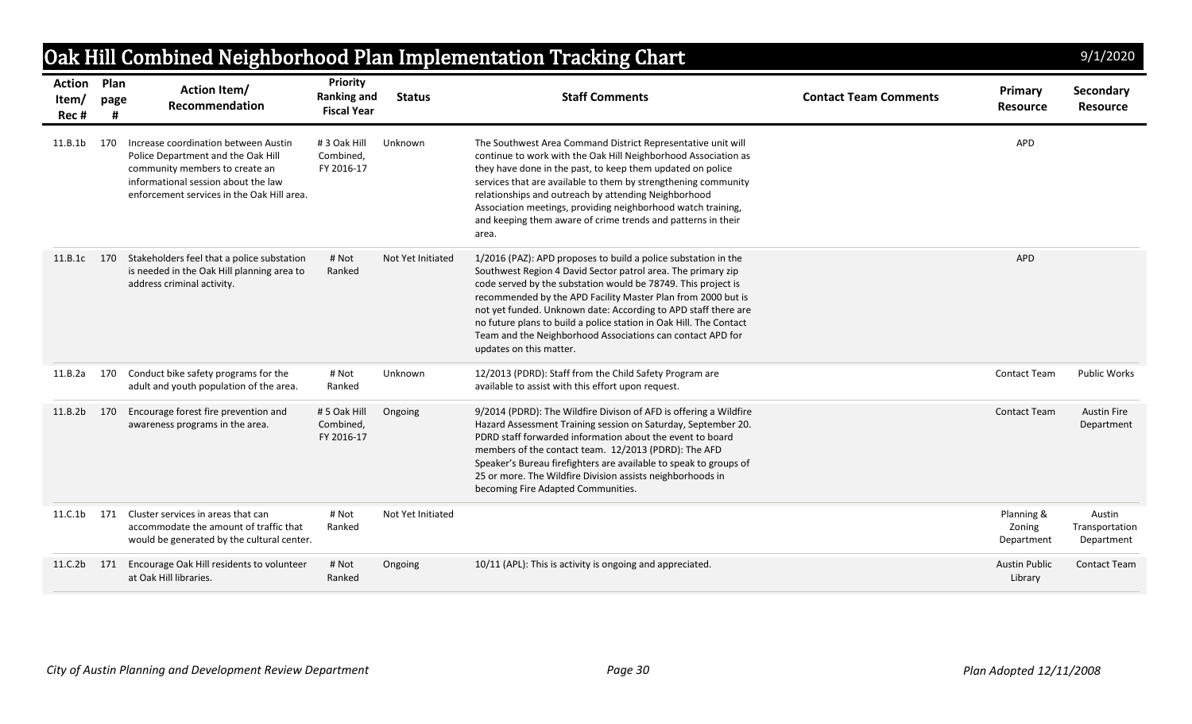|                                     |           |                                                                                                                                                                                                   |                                                      |                   | Oak Hill Combined Neighborhood Plan Implementation Tracking Chart                                                                                                                                                                                                                                                                                                                                                                                                                                |                              |                                    | 9/1/2020                               |
|-------------------------------------|-----------|---------------------------------------------------------------------------------------------------------------------------------------------------------------------------------------------------|------------------------------------------------------|-------------------|--------------------------------------------------------------------------------------------------------------------------------------------------------------------------------------------------------------------------------------------------------------------------------------------------------------------------------------------------------------------------------------------------------------------------------------------------------------------------------------------------|------------------------------|------------------------------------|----------------------------------------|
| <b>Action</b> Plan<br>Item/<br>Rec# | page<br>Ħ | <b>Action Item/</b><br>Recommendation                                                                                                                                                             | Priority<br><b>Ranking and</b><br><b>Fiscal Year</b> | <b>Status</b>     | <b>Staff Comments</b>                                                                                                                                                                                                                                                                                                                                                                                                                                                                            | <b>Contact Team Comments</b> | Primary<br><b>Resource</b>         | Secondary<br><b>Resource</b>           |
| 11.B.1b                             | 170       | Increase coordination between Austin<br>Police Department and the Oak Hill<br>community members to create an<br>informational session about the law<br>enforcement services in the Oak Hill area. | # 3 Oak Hill<br>Combined.<br>FY 2016-17              | Unknown           | The Southwest Area Command District Representative unit will<br>continue to work with the Oak Hill Neighborhood Association as<br>they have done in the past, to keep them updated on police<br>services that are available to them by strengthening community<br>relationships and outreach by attending Neighborhood<br>Association meetings, providing neighborhood watch training,<br>and keeping them aware of crime trends and patterns in their<br>area.                                  |                              | APD                                |                                        |
| 11.B.1c 170                         |           | Stakeholders feel that a police substation<br>is needed in the Oak Hill planning area to<br>address criminal activity.                                                                            | # Not<br>Ranked                                      | Not Yet Initiated | 1/2016 (PAZ): APD proposes to build a police substation in the<br>Southwest Region 4 David Sector patrol area. The primary zip<br>code served by the substation would be 78749. This project is<br>recommended by the APD Facility Master Plan from 2000 but is<br>not yet funded. Unknown date: According to APD staff there are<br>no future plans to build a police station in Oak Hill. The Contact<br>Team and the Neighborhood Associations can contact APD for<br>updates on this matter. |                              | <b>APD</b>                         |                                        |
| 11.B.2a                             | 170       | Conduct bike safety programs for the<br>adult and youth population of the area.                                                                                                                   | # Not<br>Ranked                                      | Unknown           | 12/2013 (PDRD): Staff from the Child Safety Program are<br>available to assist with this effort upon request.                                                                                                                                                                                                                                                                                                                                                                                    |                              | Contact Team                       | <b>Public Works</b>                    |
| 11.B.2b                             | 170       | Encourage forest fire prevention and<br>awareness programs in the area.                                                                                                                           | #5 Oak Hill<br>Combined,<br>FY 2016-17               | Ongoing           | 9/2014 (PDRD): The Wildfire Divison of AFD is offering a Wildfire<br>Hazard Assessment Training session on Saturday, September 20.<br>PDRD staff forwarded information about the event to board<br>members of the contact team. 12/2013 (PDRD): The AFD<br>Speaker's Bureau firefighters are available to speak to groups of<br>25 or more. The Wildfire Division assists neighborhoods in<br>becoming Fire Adapted Communities.                                                                 |                              | <b>Contact Team</b>                | <b>Austin Fire</b><br>Department       |
| 11.C.1b                             | 171       | Cluster services in areas that can<br>accommodate the amount of traffic that<br>would be generated by the cultural center.                                                                        | # Not<br>Ranked                                      | Not Yet Initiated |                                                                                                                                                                                                                                                                                                                                                                                                                                                                                                  |                              | Planning &<br>Zoning<br>Department | Austin<br>Transportation<br>Department |
| 11.C.2b 171                         |           | Encourage Oak Hill residents to volunteer<br>at Oak Hill libraries.                                                                                                                               | # Not<br>Ranked                                      | Ongoing           | 10/11 (APL): This is activity is ongoing and appreciated.                                                                                                                                                                                                                                                                                                                                                                                                                                        |                              | <b>Austin Public</b><br>Library    | <b>Contact Team</b>                    |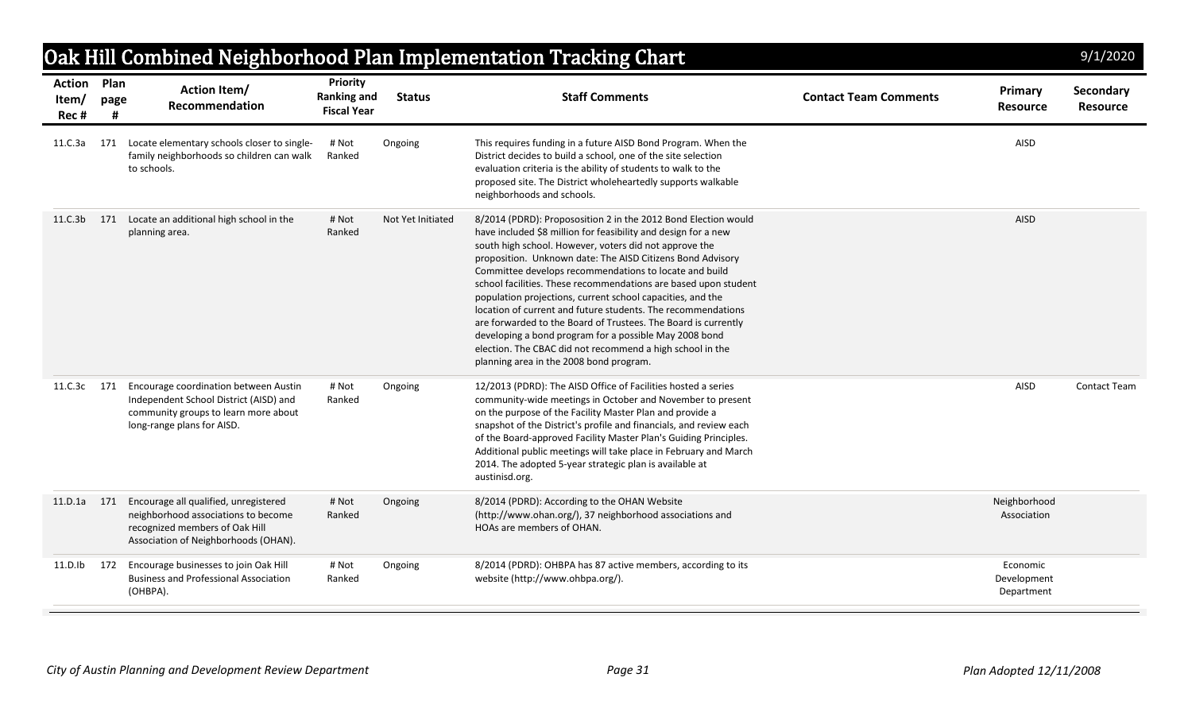| Oak Hill Combined Neighborhood Plan Implementation Tracking Chart<br>9/1/2020 |      |                                                                                                                                                        |                                                             |                   |                                                                                                                                                                                                                                                                                                                                                                                                                                                                                                                                                                                                                                                                                                                                                         |                              |                                       |                              |  |  |  |  |
|-------------------------------------------------------------------------------|------|--------------------------------------------------------------------------------------------------------------------------------------------------------|-------------------------------------------------------------|-------------------|---------------------------------------------------------------------------------------------------------------------------------------------------------------------------------------------------------------------------------------------------------------------------------------------------------------------------------------------------------------------------------------------------------------------------------------------------------------------------------------------------------------------------------------------------------------------------------------------------------------------------------------------------------------------------------------------------------------------------------------------------------|------------------------------|---------------------------------------|------------------------------|--|--|--|--|
| <b>Action Plan</b><br>Item/<br>Rec#                                           | page | <b>Action Item/</b><br>Recommendation                                                                                                                  | <b>Priority</b><br><b>Ranking and</b><br><b>Fiscal Year</b> | <b>Status</b>     | <b>Staff Comments</b>                                                                                                                                                                                                                                                                                                                                                                                                                                                                                                                                                                                                                                                                                                                                   | <b>Contact Team Comments</b> | Primary<br><b>Resource</b>            | Secondary<br><b>Resource</b> |  |  |  |  |
| 11.C.3a                                                                       | 171  | Locate elementary schools closer to single-<br>family neighborhoods so children can walk<br>to schools.                                                | # Not<br>Ranked                                             | Ongoing           | This requires funding in a future AISD Bond Program. When the<br>District decides to build a school, one of the site selection<br>evaluation criteria is the ability of students to walk to the<br>proposed site. The District wholeheartedly supports walkable<br>neighborhoods and schools.                                                                                                                                                                                                                                                                                                                                                                                                                                                           |                              | AISD                                  |                              |  |  |  |  |
| 11.C.3b                                                                       | 171  | Locate an additional high school in the<br>planning area.                                                                                              | # Not<br>Ranked                                             | Not Yet Initiated | 8/2014 (PDRD): Propososition 2 in the 2012 Bond Election would<br>have included \$8 million for feasibility and design for a new<br>south high school. However, voters did not approve the<br>proposition. Unknown date: The AISD Citizens Bond Advisory<br>Committee develops recommendations to locate and build<br>school facilities. These recommendations are based upon student<br>population projections, current school capacities, and the<br>location of current and future students. The recommendations<br>are forwarded to the Board of Trustees. The Board is currently<br>developing a bond program for a possible May 2008 bond<br>election. The CBAC did not recommend a high school in the<br>planning area in the 2008 bond program. |                              | AISD                                  |                              |  |  |  |  |
| 11.C.3c 171                                                                   |      | Encourage coordination between Austin<br>Independent School District (AISD) and<br>community groups to learn more about<br>long-range plans for AISD.  | # Not<br>Ranked                                             | Ongoing           | 12/2013 (PDRD): The AISD Office of Facilities hosted a series<br>community-wide meetings in October and November to present<br>on the purpose of the Facility Master Plan and provide a<br>snapshot of the District's profile and financials, and review each<br>of the Board-approved Facility Master Plan's Guiding Principles.<br>Additional public meetings will take place in February and March<br>2014. The adopted 5-year strategic plan is available at<br>austinisd.org.                                                                                                                                                                                                                                                                      |                              | AISD                                  | Contact Team                 |  |  |  |  |
| 11.D.1a                                                                       | 171  | Encourage all qualified, unregistered<br>neighborhood associations to become<br>recognized members of Oak Hill<br>Association of Neighborhoods (OHAN). | # Not<br>Ranked                                             | Ongoing           | 8/2014 (PDRD): According to the OHAN Website<br>(http://www.ohan.org/), 37 neighborhood associations and<br>HOAs are members of OHAN.                                                                                                                                                                                                                                                                                                                                                                                                                                                                                                                                                                                                                   |                              | Neighborhood<br>Association           |                              |  |  |  |  |
| 11.D.lb                                                                       | 172  | Encourage businesses to join Oak Hill<br><b>Business and Professional Association</b><br>(OHBPA).                                                      | # Not<br>Ranked                                             | Ongoing           | 8/2014 (PDRD): OHBPA has 87 active members, according to its<br>website (http://www.ohbpa.org/).                                                                                                                                                                                                                                                                                                                                                                                                                                                                                                                                                                                                                                                        |                              | Economic<br>Development<br>Department |                              |  |  |  |  |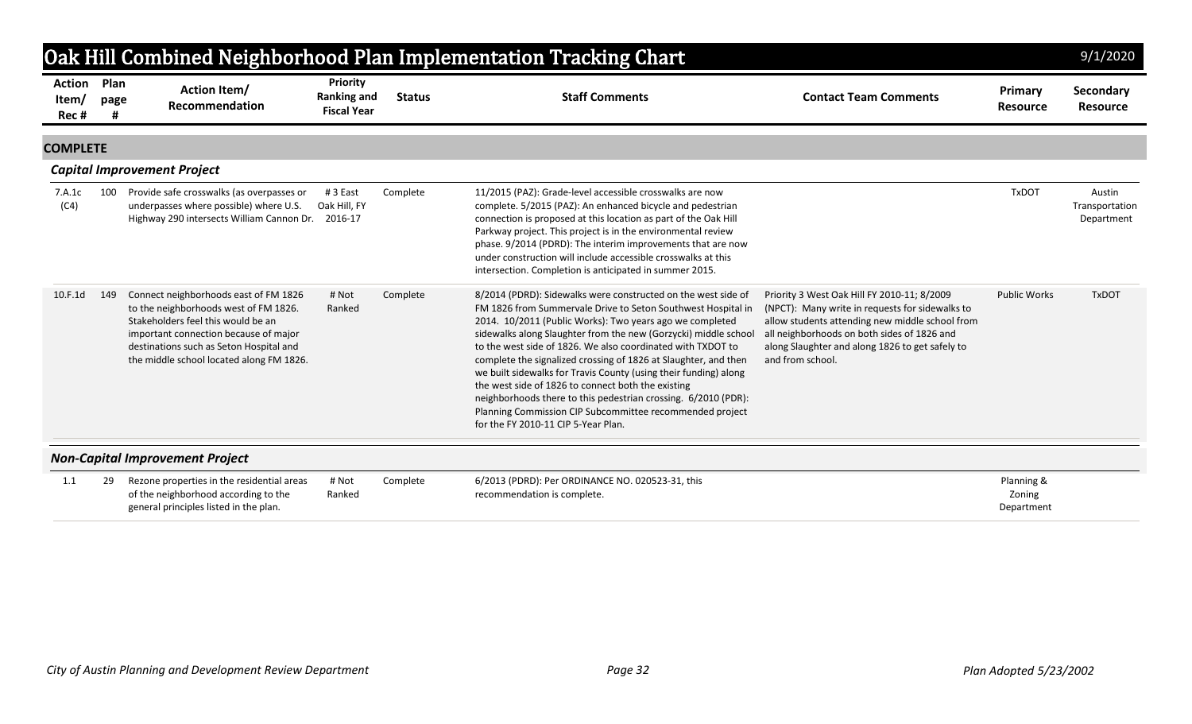|                                 | Oak Hill Combined Neighborhood Plan Implementation Tracking Chart<br>9/1/2020 |                                                                                                                                                                                                                                                      |                                                             |               |                                                                                                                                                                                                                                                                                                                                                                                                                                                                                                                                                                                                                                                                                               |                                                                                                                                                                                                                                                                         |                                    |                                        |  |  |  |  |
|---------------------------------|-------------------------------------------------------------------------------|------------------------------------------------------------------------------------------------------------------------------------------------------------------------------------------------------------------------------------------------------|-------------------------------------------------------------|---------------|-----------------------------------------------------------------------------------------------------------------------------------------------------------------------------------------------------------------------------------------------------------------------------------------------------------------------------------------------------------------------------------------------------------------------------------------------------------------------------------------------------------------------------------------------------------------------------------------------------------------------------------------------------------------------------------------------|-------------------------------------------------------------------------------------------------------------------------------------------------------------------------------------------------------------------------------------------------------------------------|------------------------------------|----------------------------------------|--|--|--|--|
| <b>Action</b><br>Item/<br>Rec # | Plan<br>page                                                                  | <b>Action Item/</b><br>Recommendation                                                                                                                                                                                                                | <b>Priority</b><br><b>Ranking and</b><br><b>Fiscal Year</b> | <b>Status</b> | <b>Staff Comments</b>                                                                                                                                                                                                                                                                                                                                                                                                                                                                                                                                                                                                                                                                         | <b>Contact Team Comments</b>                                                                                                                                                                                                                                            | Primary<br><b>Resource</b>         | Secondary<br><b>Resource</b>           |  |  |  |  |
| <b>COMPLETE</b>                 |                                                                               |                                                                                                                                                                                                                                                      |                                                             |               |                                                                                                                                                                                                                                                                                                                                                                                                                                                                                                                                                                                                                                                                                               |                                                                                                                                                                                                                                                                         |                                    |                                        |  |  |  |  |
|                                 |                                                                               | <b>Capital Improvement Project</b>                                                                                                                                                                                                                   |                                                             |               |                                                                                                                                                                                                                                                                                                                                                                                                                                                                                                                                                                                                                                                                                               |                                                                                                                                                                                                                                                                         |                                    |                                        |  |  |  |  |
| 7.A.1c<br>(C4)                  | 100                                                                           | Provide safe crosswalks (as overpasses or<br>underpasses where possible) where U.S.<br>Highway 290 intersects William Cannon Dr.                                                                                                                     | #3 East<br>Oak Hill, FY<br>2016-17                          | Complete      | 11/2015 (PAZ): Grade-level accessible crosswalks are now<br>complete. 5/2015 (PAZ): An enhanced bicycle and pedestrian<br>connection is proposed at this location as part of the Oak Hill<br>Parkway project. This project is in the environmental review<br>phase. 9/2014 (PDRD): The interim improvements that are now<br>under construction will include accessible crosswalks at this<br>intersection. Completion is anticipated in summer 2015.                                                                                                                                                                                                                                          |                                                                                                                                                                                                                                                                         | <b>TxDOT</b>                       | Austin<br>Transportation<br>Department |  |  |  |  |
| 10.F.1d                         | 149                                                                           | Connect neighborhoods east of FM 1826<br>to the neighborhoods west of FM 1826.<br>Stakeholders feel this would be an<br>important connection because of major<br>destinations such as Seton Hospital and<br>the middle school located along FM 1826. | # Not<br>Ranked                                             | Complete      | 8/2014 (PDRD): Sidewalks were constructed on the west side of<br>FM 1826 from Summervale Drive to Seton Southwest Hospital in<br>2014. 10/2011 (Public Works): Two years ago we completed<br>sidewalks along Slaughter from the new (Gorzycki) middle school<br>to the west side of 1826. We also coordinated with TXDOT to<br>complete the signalized crossing of 1826 at Slaughter, and then<br>we built sidewalks for Travis County (using their funding) along<br>the west side of 1826 to connect both the existing<br>neighborhoods there to this pedestrian crossing. 6/2010 (PDR):<br>Planning Commission CIP Subcommittee recommended project<br>for the FY 2010-11 CIP 5-Year Plan. | Priority 3 West Oak Hill FY 2010-11; 8/2009<br>(NPCT): Many write in requests for sidewalks to<br>allow students attending new middle school from<br>all neighborhoods on both sides of 1826 and<br>along Slaughter and along 1826 to get safely to<br>and from school. | <b>Public Works</b>                | <b>TxDOT</b>                           |  |  |  |  |
|                                 |                                                                               | <b>Non-Capital Improvement Project</b>                                                                                                                                                                                                               |                                                             |               |                                                                                                                                                                                                                                                                                                                                                                                                                                                                                                                                                                                                                                                                                               |                                                                                                                                                                                                                                                                         |                                    |                                        |  |  |  |  |
| 1.1                             | 29                                                                            | Rezone properties in the residential areas<br>of the neighborhood according to the<br>general principles listed in the plan.                                                                                                                         | # Not<br>Ranked                                             | Complete      | 6/2013 (PDRD): Per ORDINANCE NO. 020523-31, this<br>recommendation is complete.                                                                                                                                                                                                                                                                                                                                                                                                                                                                                                                                                                                                               |                                                                                                                                                                                                                                                                         | Planning &<br>Zoning<br>Department |                                        |  |  |  |  |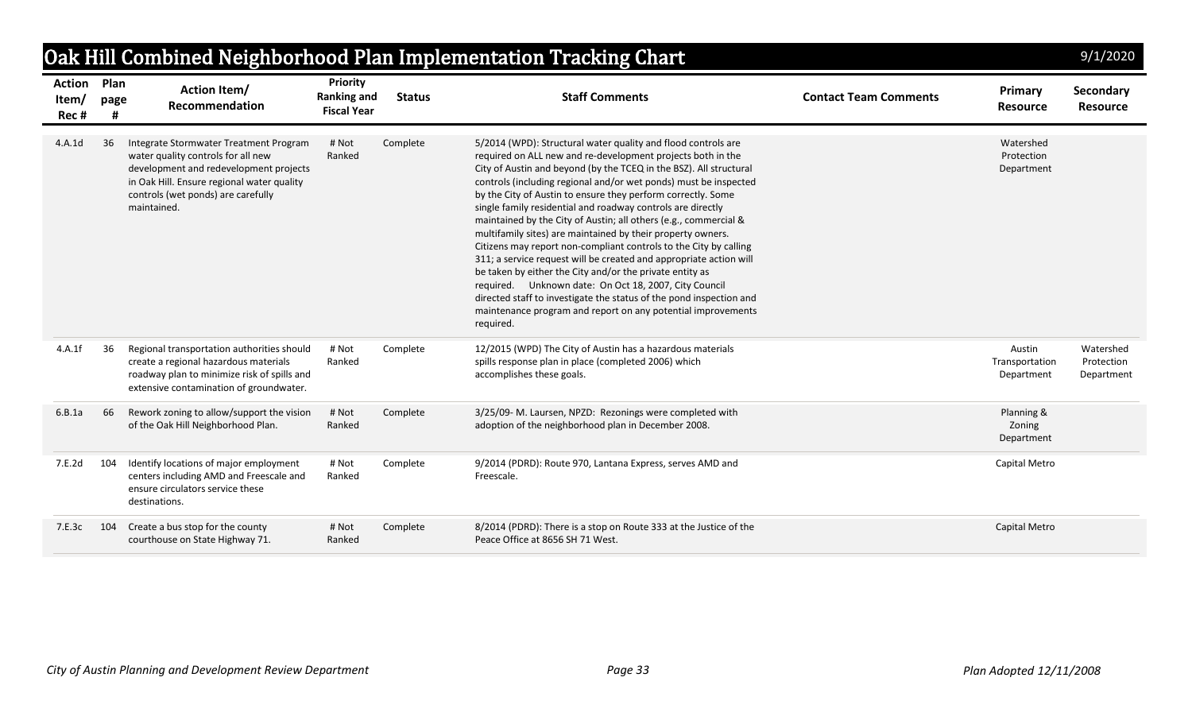|                          |                   |                                                                                                                                                                                                                           |                                                             |               | Oak Hill Combined Neighborhood Plan Implementation Tracking Chart                                                                                                                                                                                                                                                                                                                                                                                                                                                                                                                                                                                                                                                                                                                                                                                                                                                                                            |                              |                                        | 9/1/2020                              |
|--------------------------|-------------------|---------------------------------------------------------------------------------------------------------------------------------------------------------------------------------------------------------------------------|-------------------------------------------------------------|---------------|--------------------------------------------------------------------------------------------------------------------------------------------------------------------------------------------------------------------------------------------------------------------------------------------------------------------------------------------------------------------------------------------------------------------------------------------------------------------------------------------------------------------------------------------------------------------------------------------------------------------------------------------------------------------------------------------------------------------------------------------------------------------------------------------------------------------------------------------------------------------------------------------------------------------------------------------------------------|------------------------------|----------------------------------------|---------------------------------------|
| Action<br>Item/<br>Rec # | Plan<br>page<br># | <b>Action Item/</b><br>Recommendation                                                                                                                                                                                     | <b>Priority</b><br><b>Ranking and</b><br><b>Fiscal Year</b> | <b>Status</b> | <b>Staff Comments</b>                                                                                                                                                                                                                                                                                                                                                                                                                                                                                                                                                                                                                                                                                                                                                                                                                                                                                                                                        | <b>Contact Team Comments</b> | <b>Primary</b><br><b>Resource</b>      | <b>Secondary</b><br><b>Resource</b>   |
| 4.A.1d                   | -36               | Integrate Stormwater Treatment Program<br>water quality controls for all new<br>development and redevelopment projects<br>in Oak Hill. Ensure regional water quality<br>controls (wet ponds) are carefully<br>maintained. | # Not<br>Ranked                                             | Complete      | 5/2014 (WPD): Structural water quality and flood controls are<br>required on ALL new and re-development projects both in the<br>City of Austin and beyond (by the TCEQ in the BSZ). All structural<br>controls (including regional and/or wet ponds) must be inspected<br>by the City of Austin to ensure they perform correctly. Some<br>single family residential and roadway controls are directly<br>maintained by the City of Austin; all others (e.g., commercial &<br>multifamily sites) are maintained by their property owners.<br>Citizens may report non-compliant controls to the City by calling<br>311; a service request will be created and appropriate action will<br>be taken by either the City and/or the private entity as<br>required. Unknown date: On Oct 18, 2007, City Council<br>directed staff to investigate the status of the pond inspection and<br>maintenance program and report on any potential improvements<br>required. |                              | Watershed<br>Protection<br>Department  |                                       |
| 4.A.1f                   | 36                | Regional transportation authorities should<br>create a regional hazardous materials<br>roadway plan to minimize risk of spills and<br>extensive contamination of groundwater.                                             | # Not<br>Ranked                                             | Complete      | 12/2015 (WPD) The City of Austin has a hazardous materials<br>spills response plan in place (completed 2006) which<br>accomplishes these goals.                                                                                                                                                                                                                                                                                                                                                                                                                                                                                                                                                                                                                                                                                                                                                                                                              |                              | Austin<br>Transportation<br>Department | Watershed<br>Protection<br>Department |
| 6.B.1a                   | 66                | Rework zoning to allow/support the vision<br>of the Oak Hill Neighborhood Plan.                                                                                                                                           | # Not<br>Ranked                                             | Complete      | 3/25/09-M. Laursen, NPZD: Rezonings were completed with<br>adoption of the neighborhood plan in December 2008.                                                                                                                                                                                                                                                                                                                                                                                                                                                                                                                                                                                                                                                                                                                                                                                                                                               |                              | Planning &<br>Zoning<br>Department     |                                       |
| 7.E.2d                   | 104               | Identify locations of major employment<br>centers including AMD and Freescale and<br>ensure circulators service these<br>destinations.                                                                                    | # Not<br>Ranked                                             | Complete      | 9/2014 (PDRD): Route 970, Lantana Express, serves AMD and<br>Freescale.                                                                                                                                                                                                                                                                                                                                                                                                                                                                                                                                                                                                                                                                                                                                                                                                                                                                                      |                              | Capital Metro                          |                                       |
| 7.E.3c                   | 104               | Create a bus stop for the county<br>courthouse on State Highway 71.                                                                                                                                                       | # Not<br>Ranked                                             | Complete      | 8/2014 (PDRD): There is a stop on Route 333 at the Justice of the<br>Peace Office at 8656 SH 71 West.                                                                                                                                                                                                                                                                                                                                                                                                                                                                                                                                                                                                                                                                                                                                                                                                                                                        |                              | Capital Metro                          |                                       |